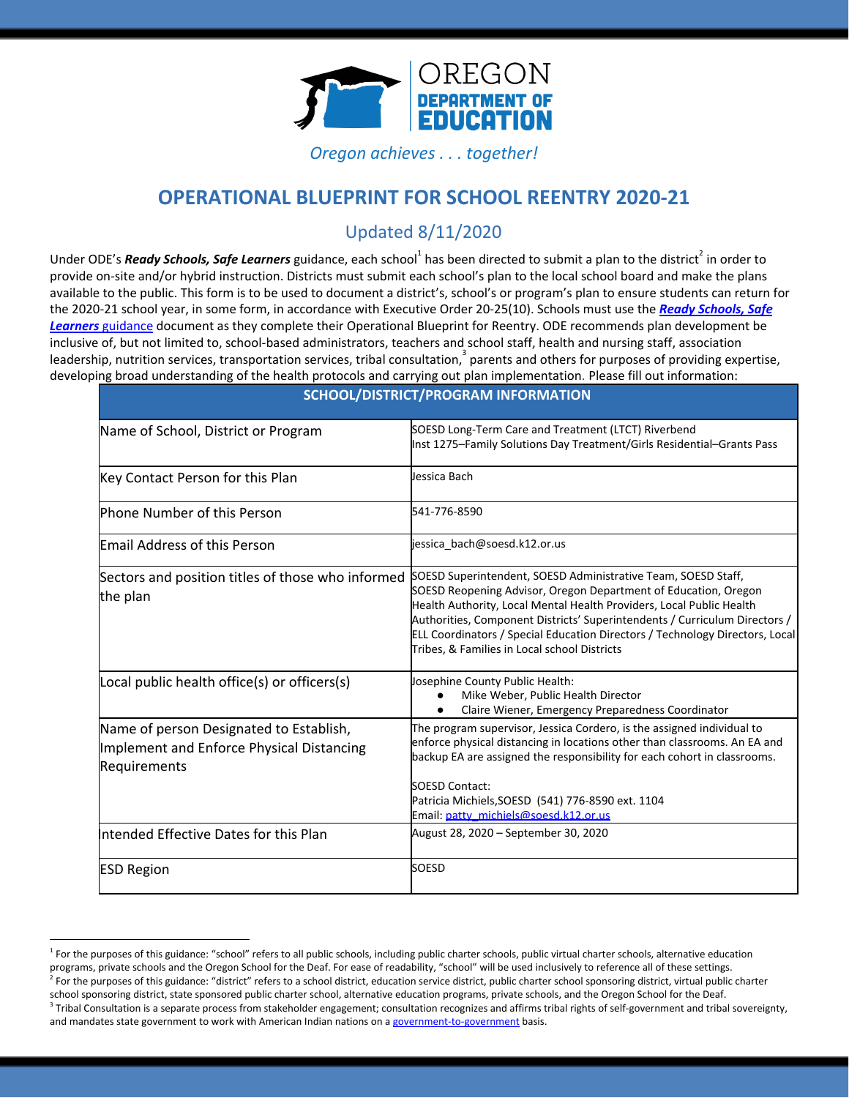

*Oregon achieves . . . together!*

### **OPERATIONAL BLUEPRINT FOR SCHOOL REENTRY 2020-21**

### Updated 8/11/2020

Under ODE's *Ready Schools, Safe Learners* guidance, each school<sup>1</sup> has been directed to submit a plan to the district<sup>2</sup> in order to provide on-site and/or hybrid instruction. Districts must submit each school's plan to the local school board and make the plans available to the public. This form is to be used to document a district's, school's or program's plan to ensure students can return for the 2020-21 school year, in some form, in accordance with Executive Order 20-25(10). Schools must use the *Ready [Schools,](https://www.oregon.gov/ode/students-and-family/healthsafety/Documents/Ready%20Schools%20Safe%20Learners%202020-21%20Guidance.pdf) Safe [Learners](https://www.oregon.gov/ode/students-and-family/healthsafety/Documents/Ready%20Schools%20Safe%20Learners%202020-21%20Guidance.pdf)* [guidance](https://www.oregon.gov/ode/students-and-family/healthsafety/Documents/Ready%20Schools%20Safe%20Learners%202020-21%20Guidance.pdf) document as they complete their Operational Blueprint for Reentry. ODE recommends plan development be inclusive of, but not limited to, school-based administrators, teachers and school staff, health and nursing staff, association leadership, nutrition services, transportation services, tribal consultation,  $3$  parents and others for purposes of providing expertise, developing broad understanding of the health protocols and carrying out plan implementation. Please fill out information:

|                                                                                                      | SCHOOL/DISTRICT/PROGRAM INFORMATION                                                                                                                                                                                                                                                                                                                                                                                    |
|------------------------------------------------------------------------------------------------------|------------------------------------------------------------------------------------------------------------------------------------------------------------------------------------------------------------------------------------------------------------------------------------------------------------------------------------------------------------------------------------------------------------------------|
| Name of School, District or Program                                                                  | SOESD Long-Term Care and Treatment (LTCT) Riverbend<br>Inst 1275-Family Solutions Day Treatment/Girls Residential-Grants Pass                                                                                                                                                                                                                                                                                          |
| Key Contact Person for this Plan                                                                     | Jessica Bach                                                                                                                                                                                                                                                                                                                                                                                                           |
| <b>Phone Number of this Person</b>                                                                   | 541-776-8590                                                                                                                                                                                                                                                                                                                                                                                                           |
| <b>Email Address of this Person</b>                                                                  | jessica bach@soesd.k12.or.us                                                                                                                                                                                                                                                                                                                                                                                           |
| Sectors and position titles of those who informed<br>the plan                                        | SOESD Superintendent, SOESD Administrative Team, SOESD Staff,<br>SOESD Reopening Advisor, Oregon Department of Education, Oregon<br>Health Authority, Local Mental Health Providers, Local Public Health<br>Authorities, Component Districts' Superintendents / Curriculum Directors /<br>ELL Coordinators / Special Education Directors / Technology Directors, Local<br>Tribes, & Families in Local school Districts |
| Local public health office(s) or officers(s)                                                         | Josephine County Public Health:<br>Mike Weber, Public Health Director<br>Claire Wiener, Emergency Preparedness Coordinator                                                                                                                                                                                                                                                                                             |
| Name of person Designated to Establish,<br>Implement and Enforce Physical Distancing<br>Requirements | The program supervisor, Jessica Cordero, is the assigned individual to<br>enforce physical distancing in locations other than classrooms. An EA and<br>backup EA are assigned the responsibility for each cohort in classrooms.<br><b>SOESD Contact:</b><br>Patricia Michiels, SOESD (541) 776-8590 ext. 1104<br>Email: patty_michiels@soesd.k12.or.us                                                                 |
| Intended Effective Dates for this Plan                                                               | August 28, 2020 - September 30, 2020                                                                                                                                                                                                                                                                                                                                                                                   |
| <b>ESD Region</b>                                                                                    | <b>SOESD</b>                                                                                                                                                                                                                                                                                                                                                                                                           |

**SCHOOL/DISTRICT/PROGRAM INFORMATION**

<sup>&</sup>lt;sup>1</sup> For the purposes of this guidance: "school" refers to all public schools, including public charter schools, public virtual charter schools, alternative education programs, private schools and the Oregon School for the Deaf. For ease of readability, "school" will be used inclusively to reference all of these settings. <sup>2</sup> For the purposes of this guidance: "district" refers to a school district, education service district, public charter school sponsoring district, virtual public charter school sponsoring district, state sponsored public charter school, alternative education programs, private schools, and the Oregon School for the Deaf. <sup>3</sup> Tribal Consultation is a separate process from stakeholder engagement; consultation recognizes and affirms tribal rights of self-government and tribal sovereignty, and mandates state government to work with American Indian nations on a [government-to-government](http://www.nrc4tribes.org/files/Tab%209_9H%20Oregon%20SB770.pdf) basis.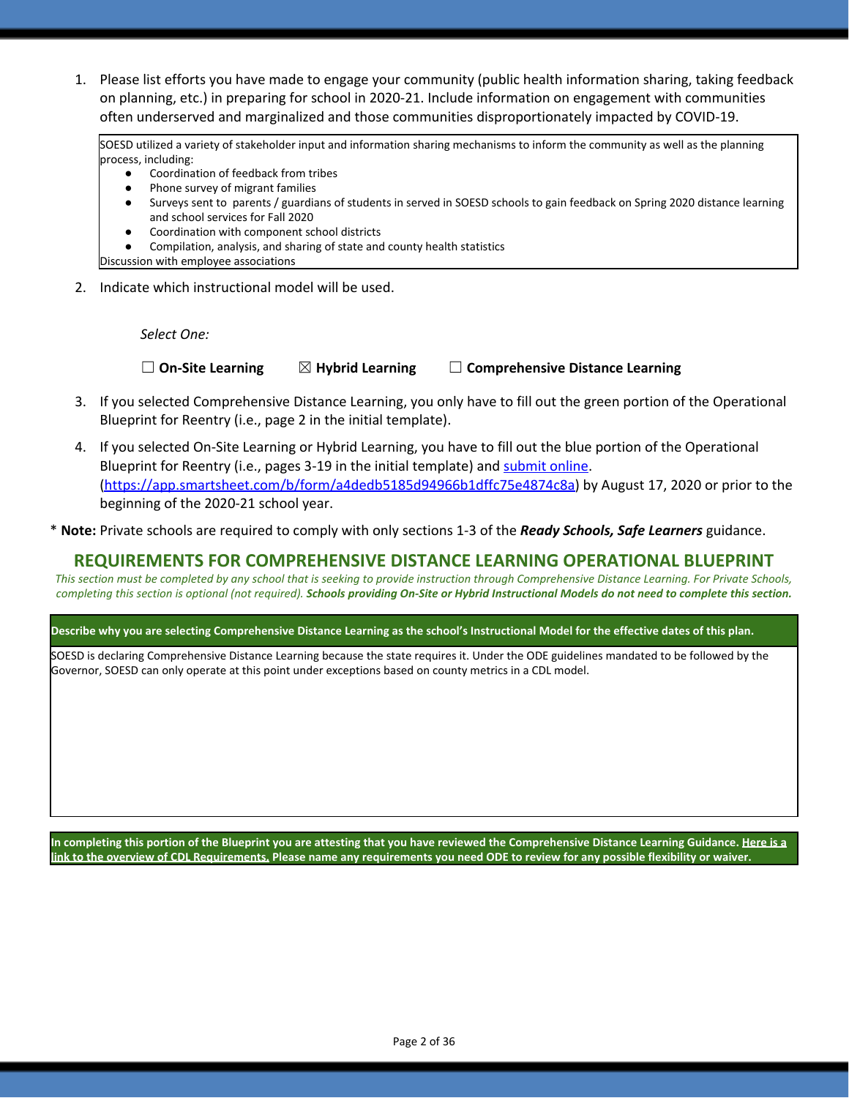1. Please list efforts you have made to engage your community (public health information sharing, taking feedback on planning, etc.) in preparing for school in 2020-21. Include information on engagement with communities often underserved and marginalized and those communities disproportionately impacted by COVID-19.

SOESD utilized a variety of stakeholder input and information sharing mechanisms to inform the community as well as the planning process, including:

- Coordination of feedback from tribes
- Phone survey of migrant families
- Surveys sent to parents / guardians of students in served in SOESD schools to gain feedback on Spring 2020 distance learning and school services for Fall 2020
- Coordination with component school districts
- Compilation, analysis, and sharing of state and county health statistics

Discussion with employee associations

2. Indicate which instructional model will be used.

*Select One:*

☐ **On-Site Learning** ☒ **Hybrid Learning** ☐ **Comprehensive Distance Learning**

- 3. If you selected Comprehensive Distance Learning, you only have to fill out the green portion of the Operational Blueprint for Reentry (i.e., page 2 in the initial template).
- 4. If you selected On-Site Learning or Hybrid Learning, you have to fill out the blue portion of the Operational Blueprint for Reentry (i.e., pages 3-19 in the initial template) and [submit](https://app.smartsheet.com/b/form/a4dedb5185d94966b1dffc75e4874c8a) online. [\(https://app.smartsheet.com/b/form/a4dedb5185d94966b1dffc75e4874c8a\)](https://app.smartsheet.com/b/form/a4dedb5185d94966b1dffc75e4874c8a) by August 17, 2020 or prior to the beginning of the 2020-21 school year.
- \* **Note:** Private schools are required to comply with only sections 1-3 of the *Ready Schools, Safe Learners* guidance.

### **REQUIREMENTS FOR COMPREHENSIVE DISTANCE LEARNING OPERATIONAL BLUEPRINT**

*This section must be completed by any school that is seeking to provide instruction through Comprehensive Distance Learning. For Private Schools, completing this section is optional (not required). Schools providing On-Site or Hybrid Instructional Models do not need to complete this section.*

### **Describe why you are selecting Comprehensive Distance Learning as the school's Instructional Model for the effective dates of this plan.**

SOESD is declaring Comprehensive Distance Learning because the state requires it. Under the ODE guidelines mandated to be followed by the Governor, SOESD can only operate at this point under exceptions based on county metrics in a CDL model.

**In completing this portion of the Blueprint you are attesting that you have reviewed the Comprehensive Distance Learning Guidance. [Here is a](https://www.oregon.gov/ode/students-and-family/healthsafety/Documents/Comprehensive%20Distance%20Learning%20Requirements%20Review.pdf) [link to the overview of CDL Requirements.](https://www.oregon.gov/ode/students-and-family/healthsafety/Documents/Comprehensive%20Distance%20Learning%20Requirements%20Review.pdf) Please name any requirements you need ODE to review for any possible flexibility or waiver.**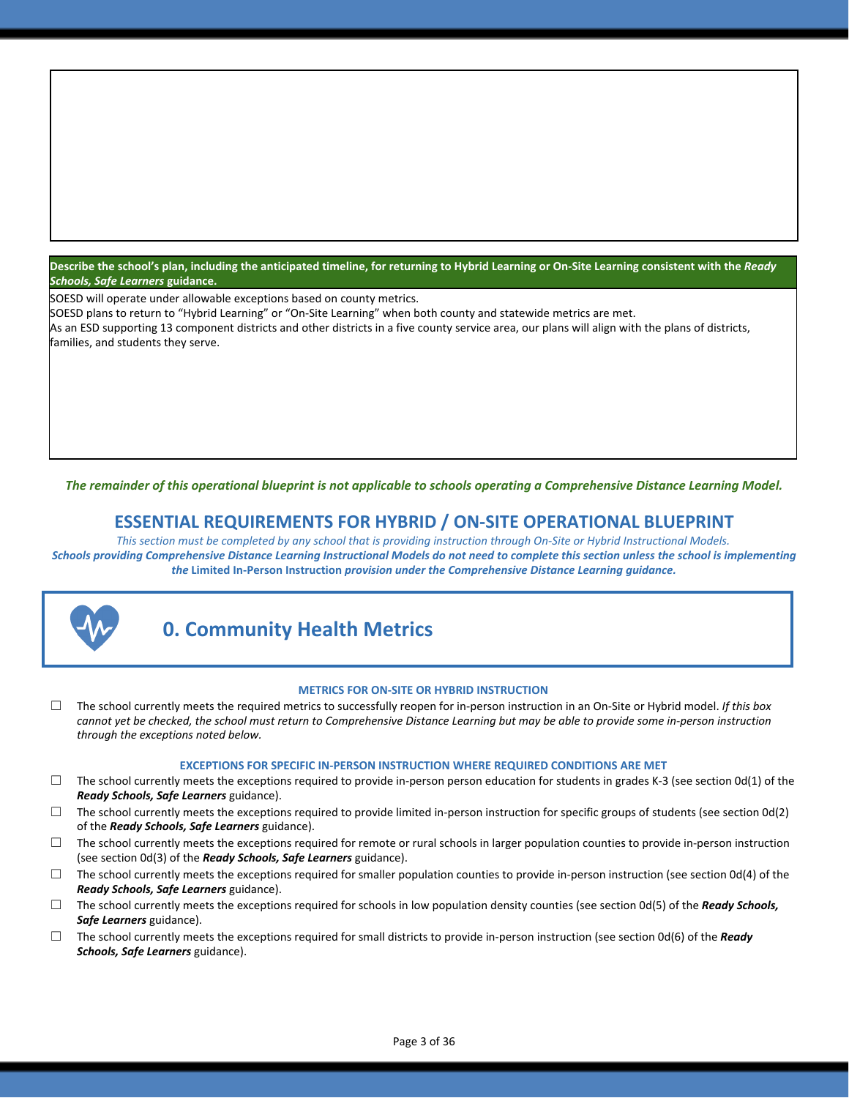**Describe the school's plan, including the anticipated timeline, for returning to Hybrid Learning or On-Site Learning consistent with the** *Ready Schools, Safe Learners* **guidance.**

SOESD will operate under allowable exceptions based on county metrics.

SOESD plans to return to "Hybrid Learning" or "On-Site Learning" when both county and statewide metrics are met. As an ESD supporting 13 component districts and other districts in a five county service area, our plans will align with the plans of districts, families, and students they serve.

The remainder of this operational blueprint is not applicable to schools operating a Comprehensive Distance Learning Model.

### **ESSENTIAL REQUIREMENTS FOR HYBRID / ON-SITE OPERATIONAL BLUEPRINT**

*This section must be completed by any school that is providing instruction through On-Site or Hybrid Instructional Models. Schools providing Comprehensive Distance Learning Instructional Models do not need to complete this section unless the school is implementing the* **Limited In-Person Instruction** *provision under the Comprehensive Distance Learning guidance.*



### **0. Community Health Metrics**

#### **METRICS FOR ON-SITE OR HYBRID INSTRUCTION**

☐ The school currently meets the required metrics to successfully reopen for in-person instruction in an On-Site or Hybrid model. *If this box cannot yet be checked, the school must return to Comprehensive Distance Learning but may be able to provide some in-person instruction through the exceptions noted below.*

#### **EXCEPTIONS FOR SPECIFIC IN-PERSON INSTRUCTION WHERE REQUIRED CONDITIONS ARE MET**

- $\Box$  The school currently meets the exceptions required to provide in-person person education for students in grades K-3 (see section 0d(1) of the *Ready Schools, Safe Learners* guidance).
- $\Box$  The school currently meets the exceptions required to provide limited in-person instruction for specific groups of students (see section 0d(2) of the *Ready Schools, Safe Learners* guidance).
- $\Box$  The school currently meets the exceptions required for remote or rural schools in larger population counties to provide in-person instruction (see section 0d(3) of the *Ready Schools, Safe Learners* guidance).
- $\square$  The school currently meets the exceptions required for smaller population counties to provide in-person instruction (see section 0d(4) of the *Ready Schools, Safe Learners* guidance).
- ☐ The school currently meets the exceptions required for schools in low population density counties (see section 0d(5) of the *Ready Schools, Safe Learners* guidance).
- ☐ The school currently meets the exceptions required for small districts to provide in-person instruction (see section 0d(6) of the *Ready Schools, Safe Learners* guidance).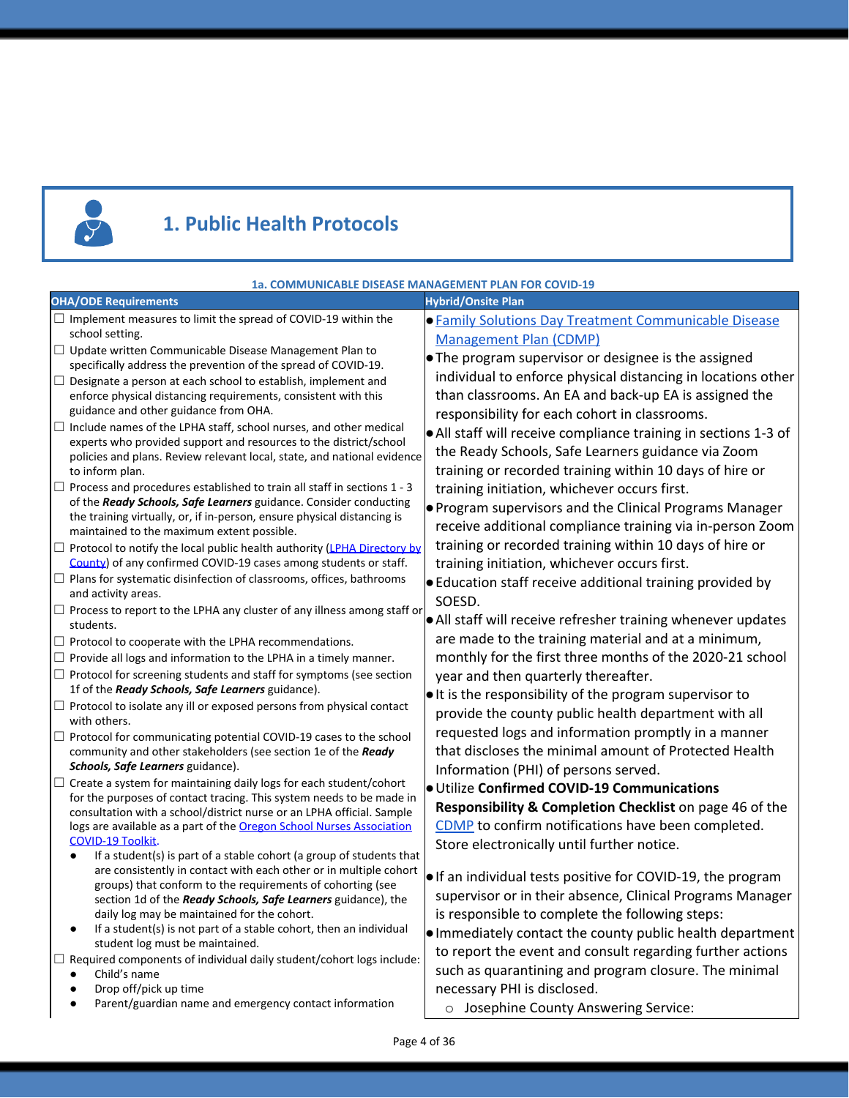

# **1. Public Health Protocols**

|                                                                                                                                                                                                                                                                                                                                                                                                                                                                                                                                                                                                                                                                                                                                                                                                                                                                                                                                                                                                                                                                                                                                                                                                                                                                                                                                                                                                                                                                                                                                                                                                                                                                                                                                                              | 1a. COMMUNICABLE DISEASE MANAGEMENT PLAN FOR COVID-19                                                                                                                                                                                                                                                                                                                                                                                                                                                                                                                                                                                                                                                                                                                                                                                                                                                                                                                                                                                                                                                                                                                                                                                                                             |
|--------------------------------------------------------------------------------------------------------------------------------------------------------------------------------------------------------------------------------------------------------------------------------------------------------------------------------------------------------------------------------------------------------------------------------------------------------------------------------------------------------------------------------------------------------------------------------------------------------------------------------------------------------------------------------------------------------------------------------------------------------------------------------------------------------------------------------------------------------------------------------------------------------------------------------------------------------------------------------------------------------------------------------------------------------------------------------------------------------------------------------------------------------------------------------------------------------------------------------------------------------------------------------------------------------------------------------------------------------------------------------------------------------------------------------------------------------------------------------------------------------------------------------------------------------------------------------------------------------------------------------------------------------------------------------------------------------------------------------------------------------------|-----------------------------------------------------------------------------------------------------------------------------------------------------------------------------------------------------------------------------------------------------------------------------------------------------------------------------------------------------------------------------------------------------------------------------------------------------------------------------------------------------------------------------------------------------------------------------------------------------------------------------------------------------------------------------------------------------------------------------------------------------------------------------------------------------------------------------------------------------------------------------------------------------------------------------------------------------------------------------------------------------------------------------------------------------------------------------------------------------------------------------------------------------------------------------------------------------------------------------------------------------------------------------------|
| <b>OHA/ODE Requirements</b>                                                                                                                                                                                                                                                                                                                                                                                                                                                                                                                                                                                                                                                                                                                                                                                                                                                                                                                                                                                                                                                                                                                                                                                                                                                                                                                                                                                                                                                                                                                                                                                                                                                                                                                                  | <b>Hybrid/Onsite Plan</b>                                                                                                                                                                                                                                                                                                                                                                                                                                                                                                                                                                                                                                                                                                                                                                                                                                                                                                                                                                                                                                                                                                                                                                                                                                                         |
| $\Box$ Implement measures to limit the spread of COVID-19 within the<br>school setting.<br>$\Box$ Update written Communicable Disease Management Plan to<br>specifically address the prevention of the spread of COVID-19.<br>$\Box$ Designate a person at each school to establish, implement and<br>enforce physical distancing requirements, consistent with this<br>guidance and other guidance from OHA.<br>Include names of the LPHA staff, school nurses, and other medical<br>$\Box$<br>experts who provided support and resources to the district/school<br>policies and plans. Review relevant local, state, and national evidence<br>to inform plan.<br>$\Box$ Process and procedures established to train all staff in sections 1 - 3<br>of the Ready Schools, Safe Learners guidance. Consider conducting<br>the training virtually, or, if in-person, ensure physical distancing is<br>maintained to the maximum extent possible.<br>□ Protocol to notify the local public health authority (LPHA Directory by<br>County) of any confirmed COVID-19 cases among students or staff.<br>$\Box$ Plans for systematic disinfection of classrooms, offices, bathrooms<br>and activity areas.<br>$\Box$ Process to report to the LPHA any cluster of any illness among staff or<br>students.<br>$\Box$ Protocol to cooperate with the LPHA recommendations.<br>$\Box$ Provide all logs and information to the LPHA in a timely manner.<br>$\Box$ Protocol for screening students and staff for symptoms (see section<br>1f of the Ready Schools, Safe Learners guidance).<br>$\Box$ Protocol to isolate any ill or exposed persons from physical contact<br>with others.<br>$\Box$ Protocol for communicating potential COVID-19 cases to the school | <b>• Family Solutions Day Treatment Communicable Disease</b><br><b>Management Plan (CDMP)</b><br>• The program supervisor or designee is the assigned<br>individual to enforce physical distancing in locations other<br>than classrooms. An EA and back-up EA is assigned the<br>responsibility for each cohort in classrooms.<br>• All staff will receive compliance training in sections 1-3 of<br>the Ready Schools, Safe Learners guidance via Zoom<br>training or recorded training within 10 days of hire or<br>training initiation, whichever occurs first.<br>. Program supervisors and the Clinical Programs Manager<br>receive additional compliance training via in-person Zoom<br>training or recorded training within 10 days of hire or<br>training initiation, whichever occurs first.<br>• Education staff receive additional training provided by<br>SOESD.<br>. All staff will receive refresher training whenever updates<br>are made to the training material and at a minimum,<br>monthly for the first three months of the 2020-21 school<br>year and then quarterly thereafter.<br>• It is the responsibility of the program supervisor to<br>provide the county public health department with all<br>requested logs and information promptly in a manner |
| community and other stakeholders (see section 1e of the Ready<br>Schools, Safe Learners guidance).<br>$\Box$ Create a system for maintaining daily logs for each student/cohort<br>for the purposes of contact tracing. This system needs to be made in<br>consultation with a school/district nurse or an LPHA official. Sample<br>logs are available as a part of the Oregon School Nurses Association<br><b>COVID-19 Toolkit</b><br>If a student(s) is part of a stable cohort (a group of students that<br>٠<br>are consistently in contact with each other or in multiple cohort<br>groups) that conform to the requirements of cohorting (see<br>section 1d of the Ready Schools, Safe Learners guidance), the<br>daily log may be maintained for the cohort.<br>If a student(s) is not part of a stable cohort, then an individual<br>student log must be maintained.<br>$\Box$ Required components of individual daily student/cohort logs include:<br>Child's name<br>Drop off/pick up time<br>Parent/guardian name and emergency contact information                                                                                                                                                                                                                                                                                                                                                                                                                                                                                                                                                                                                                                                                                               | that discloses the minimal amount of Protected Health<br>Information (PHI) of persons served.<br>· Utilize Confirmed COVID-19 Communications<br>Responsibility & Completion Checklist on page 46 of the<br>CDMP to confirm notifications have been completed.<br>Store electronically until further notice.<br>. If an individual tests positive for COVID-19, the program<br>supervisor or in their absence, Clinical Programs Manager<br>is responsible to complete the following steps:<br>. Immediately contact the county public health department<br>to report the event and consult regarding further actions<br>such as quarantining and program closure. The minimal<br>necessary PHI is disclosed.<br>o Josephine County Answering Service:                                                                                                                                                                                                                                                                                                                                                                                                                                                                                                                             |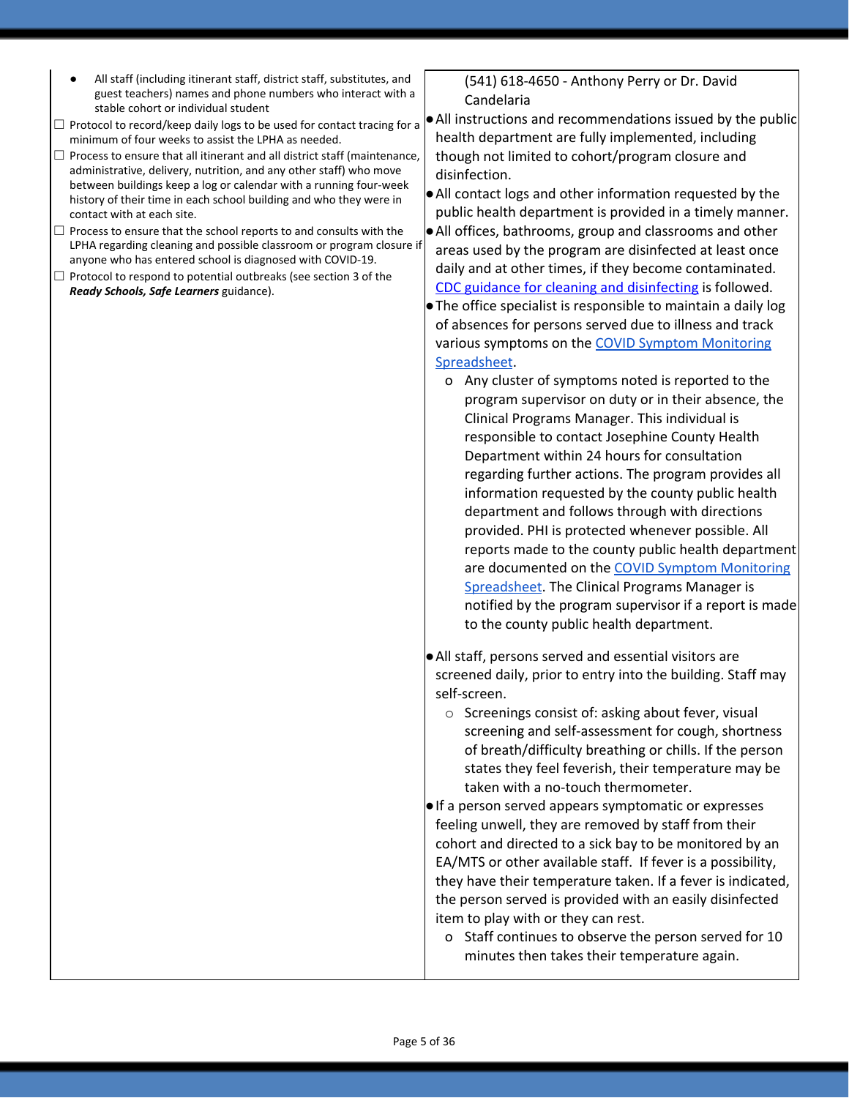- All staff (including itinerant staff, district staff, substitutes, and guest teachers) names and phone numbers who interact with a stable cohort or individual student
- $\Box$  Protocol to record/keep daily logs to be used for contact tracing for a minimum of four weeks to assist the LPHA as needed.
- $\Box$  Process to ensure that all itinerant and all district staff (maintenance, administrative, delivery, nutrition, and any other staff) who move between buildings keep a log or calendar with a running four-week history of their time in each school building and who they were in contact with at each site.
- $\Box$  Process to ensure that the school reports to and consults with the LPHA regarding cleaning and possible classroom or program closure if anyone who has entered school is diagnosed with COVID-19.
- $\Box$  Protocol to respond to potential outbreaks (see section 3 of the *Ready Schools, Safe Learners* guidance).

(541) 618-4650 - Anthony Perry or Dr. David Candelaria

●All instructions and recommendations issued by the public health department are fully implemented, including though not limited to cohort/program closure and disinfection.

●All contact logs and other information requested by the public health department is provided in a timely manner. ●All offices, bathrooms, group and classrooms and other areas used by the program are disinfected at least once daily and at other times, if they become contaminated.

CDC guidance for cleaning and [disinfecting](https://www.cdc.gov/coronavirus/2019-ncov/community/disinfecting-building-facility.html) is followed. ●The office specialist is responsible to maintain a daily log of absences for persons served due to illness and track various symptoms on the COVID Symptom [Monitoring](https://docs.google.com/spreadsheets/d/1-azl2JBu-WhRDgdmSHSFtHzho11TbNBs/edit#gid=1063265590) [Spreadsheet](https://docs.google.com/spreadsheets/d/1-azl2JBu-WhRDgdmSHSFtHzho11TbNBs/edit#gid=1063265590).

- o Any cluster of symptoms noted is reported to the program supervisor on duty or in their absence, the Clinical Programs Manager. This individual is responsible to contact Josephine County Health Department within 24 hours for consultation regarding further actions. The program provides all information requested by the county public health department and follows through with directions provided. PHI is protected whenever possible. All reports made to the county public health department are documented on the COVID Symptom [Monitoring](https://docs.google.com/spreadsheets/d/1-azl2JBu-WhRDgdmSHSFtHzho11TbNBs/edit#gid=1063265590) [Spreadsheet](https://docs.google.com/spreadsheets/d/1-azl2JBu-WhRDgdmSHSFtHzho11TbNBs/edit#gid=1063265590). The Clinical Programs Manager is notified by the program supervisor if a report is made to the county public health department.
- ●All staff, persons served and essential visitors are screened daily, prior to entry into the building. Staff may self-screen.
	- o Screenings consist of: asking about fever, visual screening and self-assessment for cough, shortness of breath/difficulty breathing or chills. If the person states they feel feverish, their temperature may be taken with a no-touch thermometer.

●If a person served appears symptomatic or expresses feeling unwell, they are removed by staff from their cohort and directed to a sick bay to be monitored by an EA/MTS or other available staff. If fever is a possibility, they have their temperature taken. If a fever is indicated, the person served is provided with an easily disinfected item to play with or they can rest.

o Staff continues to observe the person served for 10 minutes then takes their temperature again.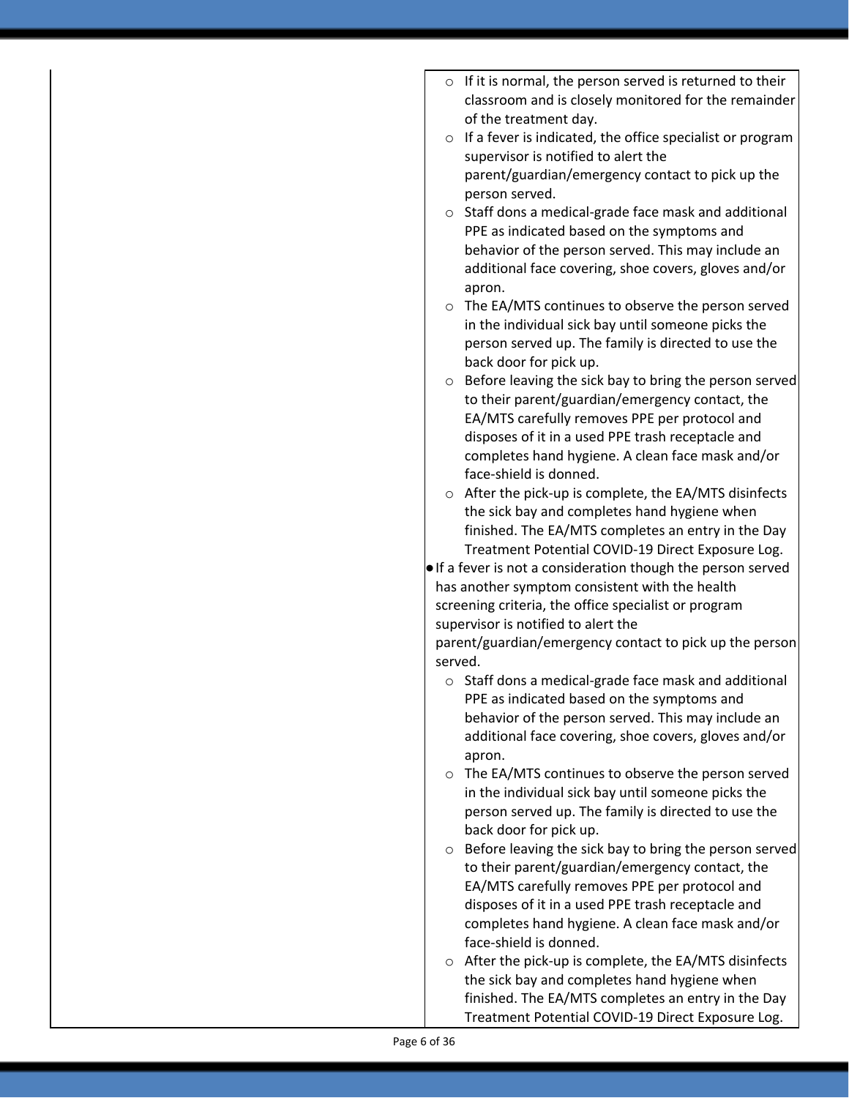|         | $\circ$ If it is normal, the person served is returned to their                                           |
|---------|-----------------------------------------------------------------------------------------------------------|
|         | classroom and is closely monitored for the remainder                                                      |
|         | of the treatment day.                                                                                     |
|         | $\circ$ If a fever is indicated, the office specialist or program                                         |
|         | supervisor is notified to alert the                                                                       |
|         | parent/guardian/emergency contact to pick up the                                                          |
|         | person served.                                                                                            |
|         | o Staff dons a medical-grade face mask and additional                                                     |
|         | PPE as indicated based on the symptoms and                                                                |
|         | behavior of the person served. This may include an                                                        |
|         | additional face covering, shoe covers, gloves and/or                                                      |
|         | apron.                                                                                                    |
|         | o The EA/MTS continues to observe the person served                                                       |
|         | in the individual sick bay until someone picks the                                                        |
|         | person served up. The family is directed to use the<br>back door for pick up.                             |
|         | $\circ$ Before leaving the sick bay to bring the person served                                            |
|         | to their parent/guardian/emergency contact, the                                                           |
|         | EA/MTS carefully removes PPE per protocol and                                                             |
|         | disposes of it in a used PPE trash receptacle and                                                         |
|         | completes hand hygiene. A clean face mask and/or                                                          |
|         | face-shield is donned.                                                                                    |
|         | $\circ$ After the pick-up is complete, the EA/MTS disinfects                                              |
|         | the sick bay and completes hand hygiene when                                                              |
|         | finished. The EA/MTS completes an entry in the Day                                                        |
|         | Treatment Potential COVID-19 Direct Exposure Log.                                                         |
|         | . If a fever is not a consideration though the person served                                              |
|         | has another symptom consistent with the health                                                            |
|         | screening criteria, the office specialist or program                                                      |
|         | supervisor is notified to alert the                                                                       |
|         | parent/guardian/emergency contact to pick up the person                                                   |
| served. |                                                                                                           |
| O       | Staff dons a medical-grade face mask and additional                                                       |
|         | PPE as indicated based on the symptoms and                                                                |
|         | behavior of the person served. This may include an                                                        |
|         | additional face covering, shoe covers, gloves and/or                                                      |
|         | apron.                                                                                                    |
|         | ○ The EA/MTS continues to observe the person served<br>in the individual sick bay until someone picks the |
|         | person served up. The family is directed to use the                                                       |
|         | back door for pick up.                                                                                    |
| $\circ$ | Before leaving the sick bay to bring the person served                                                    |
|         | to their parent/guardian/emergency contact, the                                                           |
|         | EA/MTS carefully removes PPE per protocol and                                                             |
|         | disposes of it in a used PPE trash receptacle and                                                         |
|         | completes hand hygiene. A clean face mask and/or                                                          |
|         | face-shield is donned.                                                                                    |
|         | o After the pick-up is complete, the EA/MTS disinfects                                                    |
|         | the sick bay and completes hand hygiene when                                                              |
|         | finished. The EA/MTS completes an entry in the Day                                                        |
|         | Treatment Potential COVID-19 Direct Exposure Log.                                                         |
|         |                                                                                                           |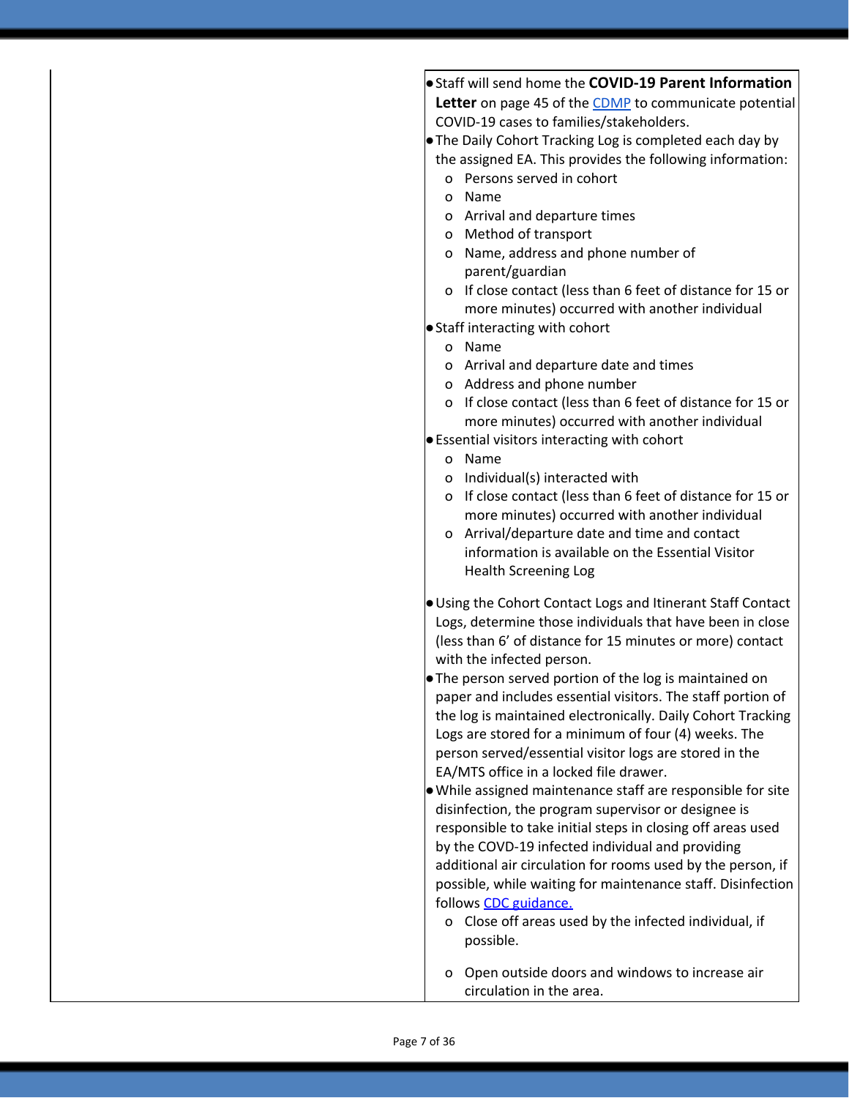●Staff will send home the **COVID-19 Parent Information** Letter on page 45 of the [CDMP](https://familysolutionsoregon.org/wp-content/uploads/2020/09/Family-Solutions-CDMP-DTX.pdf) to communicate potential COVID-19 cases to families/stakeholders.

●The Daily Cohort Tracking Log is completed each day by the assigned EA. This provides the following information:

- o Persons served in cohort
- o Name
- o Arrival and departure times
- o Method of transport
- o Name, address and phone number of parent/guardian
- o If close contact (less than 6 feet of distance for 15 or more minutes) occurred with another individual

●Staff interacting with cohort

- o Name
- o Arrival and departure date and times
- o Address and phone number
- o If close contact (less than 6 feet of distance for 15 or more minutes) occurred with another individual
- ●Essential visitors interacting with cohort
	- o Name
	- o Individual(s) interacted with
	- o If close contact (less than 6 feet of distance for 15 or more minutes) occurred with another individual
	- o Arrival/departure date and time and contact information is available on the Essential Visitor Health Screening Log
- ●Using the Cohort Contact Logs and Itinerant Staff Contact Logs, determine those individuals that have been in close (less than 6' of distance for 15 minutes or more) contact with the infected person.
- ●The person served portion of the log is maintained on paper and includes essential visitors. The staff portion of the log is maintained electronically. Daily Cohort Tracking Logs are stored for a minimum of four (4) weeks. The person served/essential visitor logs are stored in the EA/MTS office in a locked file drawer.
- ●While assigned maintenance staff are responsible for site disinfection, the program supervisor or designee is responsible to take initial steps in closing off areas used by the COVD-19 infected individual and providing additional air circulation for rooms used by the person, if possible, while waiting for maintenance staff. Disinfection follows CDC [guidance.](https://www.cdc.gov/coronavirus/2019-ncov/community/disinfecting-building-facility.html)
	- o Close off areas used by the infected individual, if possible.
	- o Open outside doors and windows to increase air circulation in the area.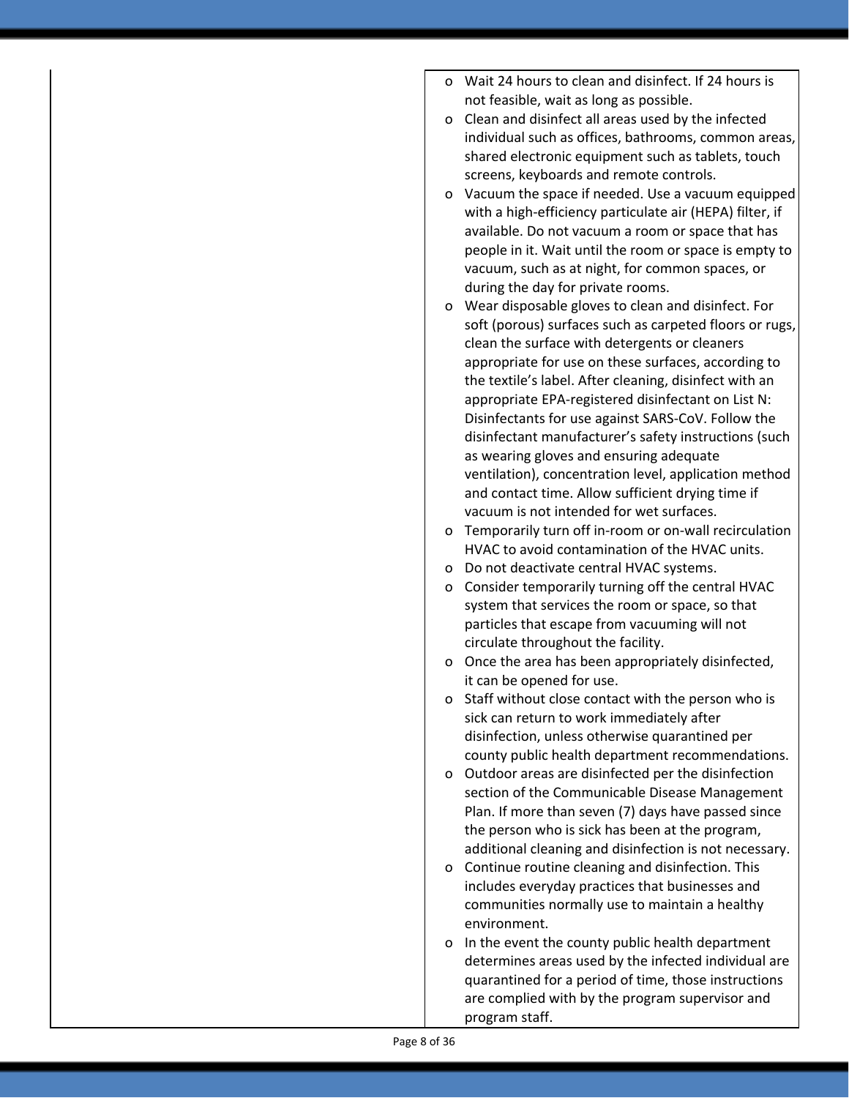- o Wait 24 hours to clean and disinfect. If 24 hours is not feasible, wait as long as possible.
- o Clean and disinfect all areas used by the infected individual such as offices, bathrooms, common areas, shared electronic equipment such as tablets, touch screens, keyboards and remote controls.
- o [Vacuum](https://www.cdc.gov/coronavirus/2019-ncov/faq.html#Cleaning-and-Disinfection) the space if needed. Use a vacuum equipped with a high-efficiency particulate air (HEPA) filter, if available. Do not vacuum a room or space that has people in it. Wait until the room or space is empty to vacuum, such as at night, for common spaces, or during the day for private rooms.
- o Wear disposable gloves to clean and disinfect. For soft (porous) surfaces such as carpeted floors or rugs, clean the surface with detergents or cleaners appropriate for use on these surfaces, according to the textile's label. After cleaning, disinfect with an appropriate EPA-registered disinfectant on List N: Disinfectants for use against SARS-CoV. Follow the disinfectant manufacturer's safety instructions (such as wearing gloves and ensuring adequate ventilation), concentration level, application method and contact time. Allow sufficient drying time if vacuum is not intended for wet surfaces.
- o Temporarily turn off in-room or on-wall recirculation HVAC to avoid contamination of the HVAC units.
- o Do not deactivate central HVAC systems.
- o Consider temporarily turning off the central HVAC system that services the room or space, so that particles that escape from vacuuming will not circulate throughout the facility.
- o Once the area has been appropriately disinfected, it can be opened for use.
- o Staff without close contact with the person who is sick can return to work immediately after disinfection, unless otherwise quarantined per county public health department recommendations.
- o Outdoor areas are disinfected per the disinfection section of the Communicable Disease Management Plan. If more than seven (7) days have passed since the person who is sick has been at the program, additional cleaning and disinfection is not necessary.
- o Continue routine cleaning and disinfection. This includes everyday practices that businesses and communities normally use to maintain a healthy environment.
- o In the event the county public health department determines areas used by the infected individual are quarantined for a period of time, those instructions are complied with by the program supervisor and program staff.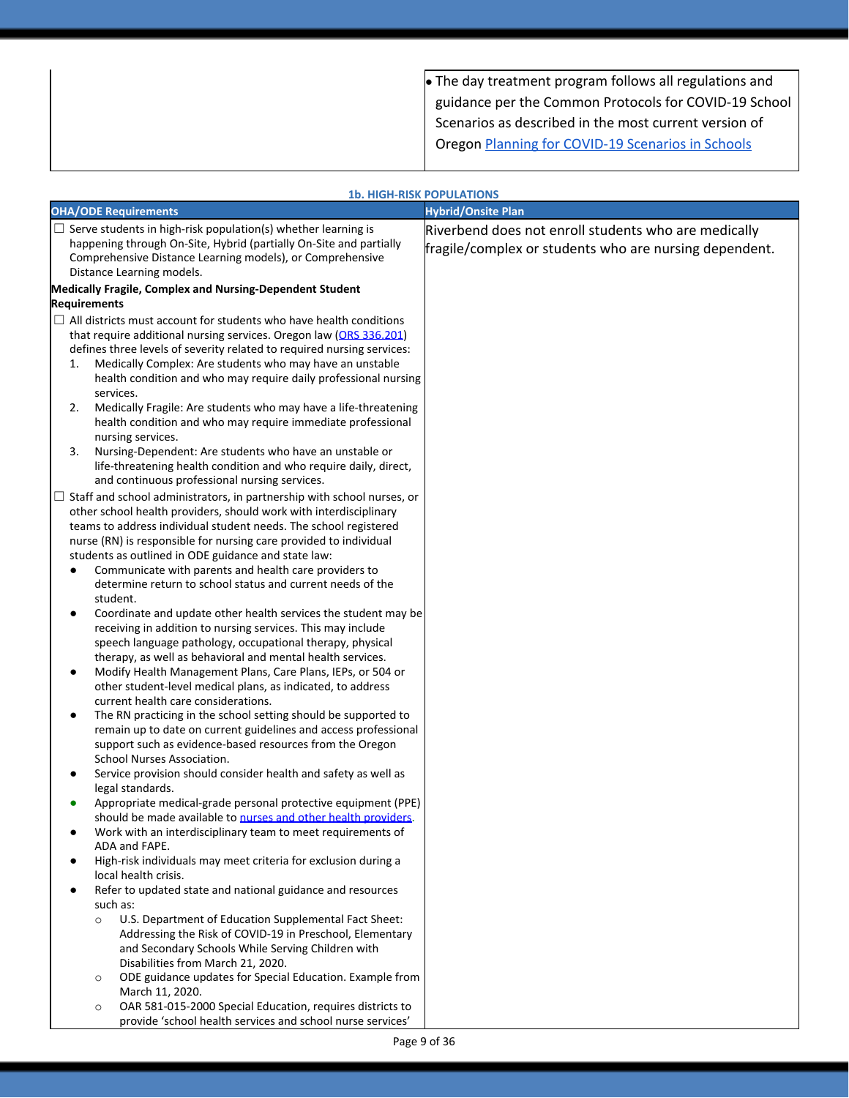| $\bullet$ The day treatment program follows all regulations and |
|-----------------------------------------------------------------|
| guidance per the Common Protocols for COVID-19 School           |
| Scenarios as described in the most current version of           |
| Oregon Planning for COVID-19 Scenarios in Schools               |
|                                                                 |

|                                                                                                                                                                                                                                                                                                                                                                                                                                                                                                                                                                                   | <b>1b. HIGH-RISK POPULATIONS</b>                                                                               |
|-----------------------------------------------------------------------------------------------------------------------------------------------------------------------------------------------------------------------------------------------------------------------------------------------------------------------------------------------------------------------------------------------------------------------------------------------------------------------------------------------------------------------------------------------------------------------------------|----------------------------------------------------------------------------------------------------------------|
| <b>OHA/ODE Requirements</b>                                                                                                                                                                                                                                                                                                                                                                                                                                                                                                                                                       | <b>Hybrid/Onsite Plan</b>                                                                                      |
| $\Box$ Serve students in high-risk population(s) whether learning is<br>happening through On-Site, Hybrid (partially On-Site and partially<br>Comprehensive Distance Learning models), or Comprehensive<br>Distance Learning models.                                                                                                                                                                                                                                                                                                                                              | Riverbend does not enroll students who are medically<br>fragile/complex or students who are nursing dependent. |
| Medically Fragile, Complex and Nursing-Dependent Student<br><b>Requirements</b>                                                                                                                                                                                                                                                                                                                                                                                                                                                                                                   |                                                                                                                |
| $\Box$ All districts must account for students who have health conditions<br>that require additional nursing services. Oregon law (ORS 336.201)<br>defines three levels of severity related to required nursing services:<br>Medically Complex: Are students who may have an unstable<br>1.<br>health condition and who may require daily professional nursing<br>services.<br>Medically Fragile: Are students who may have a life-threatening<br>2.<br>health condition and who may require immediate professional<br>nursing services.                                          |                                                                                                                |
| Nursing-Dependent: Are students who have an unstable or<br>3.<br>life-threatening health condition and who require daily, direct,                                                                                                                                                                                                                                                                                                                                                                                                                                                 |                                                                                                                |
| and continuous professional nursing services.<br>$\Box$ Staff and school administrators, in partnership with school nurses, or<br>other school health providers, should work with interdisciplinary<br>teams to address individual student needs. The school registered<br>nurse (RN) is responsible for nursing care provided to individual<br>students as outlined in ODE guidance and state law:<br>Communicate with parents and health care providers to<br>٠<br>determine return to school status and current needs of the<br>student.                                       |                                                                                                                |
| Coordinate and update other health services the student may be<br>٠<br>receiving in addition to nursing services. This may include<br>speech language pathology, occupational therapy, physical<br>therapy, as well as behavioral and mental health services.<br>Modify Health Management Plans, Care Plans, IEPs, or 504 or<br>٠<br>other student-level medical plans, as indicated, to address<br>current health care considerations.<br>The RN practicing in the school setting should be supported to<br>٠<br>remain up to date on current guidelines and access professional |                                                                                                                |
| support such as evidence-based resources from the Oregon<br>School Nurses Association.                                                                                                                                                                                                                                                                                                                                                                                                                                                                                            |                                                                                                                |
| Service provision should consider health and safety as well as<br>legal standards.<br>Appropriate medical-grade personal protective equipment (PPE)<br>should be made available to nurses and other health providers.                                                                                                                                                                                                                                                                                                                                                             |                                                                                                                |
| Work with an interdisciplinary team to meet requirements of<br>ADA and FAPE.<br>High-risk individuals may meet criteria for exclusion during a<br>٠                                                                                                                                                                                                                                                                                                                                                                                                                               |                                                                                                                |
| local health crisis.<br>Refer to updated state and national guidance and resources<br>$\bullet$<br>such as:<br>U.S. Department of Education Supplemental Fact Sheet:<br>$\circ$<br>Addressing the Risk of COVID-19 in Preschool, Elementary<br>and Secondary Schools While Serving Children with<br>Disabilities from March 21, 2020.                                                                                                                                                                                                                                             |                                                                                                                |
| ODE guidance updates for Special Education. Example from<br>$\circ$<br>March 11, 2020.<br>OAR 581-015-2000 Special Education, requires districts to<br>$\circ$<br>provide 'school health services and school nurse services'                                                                                                                                                                                                                                                                                                                                                      |                                                                                                                |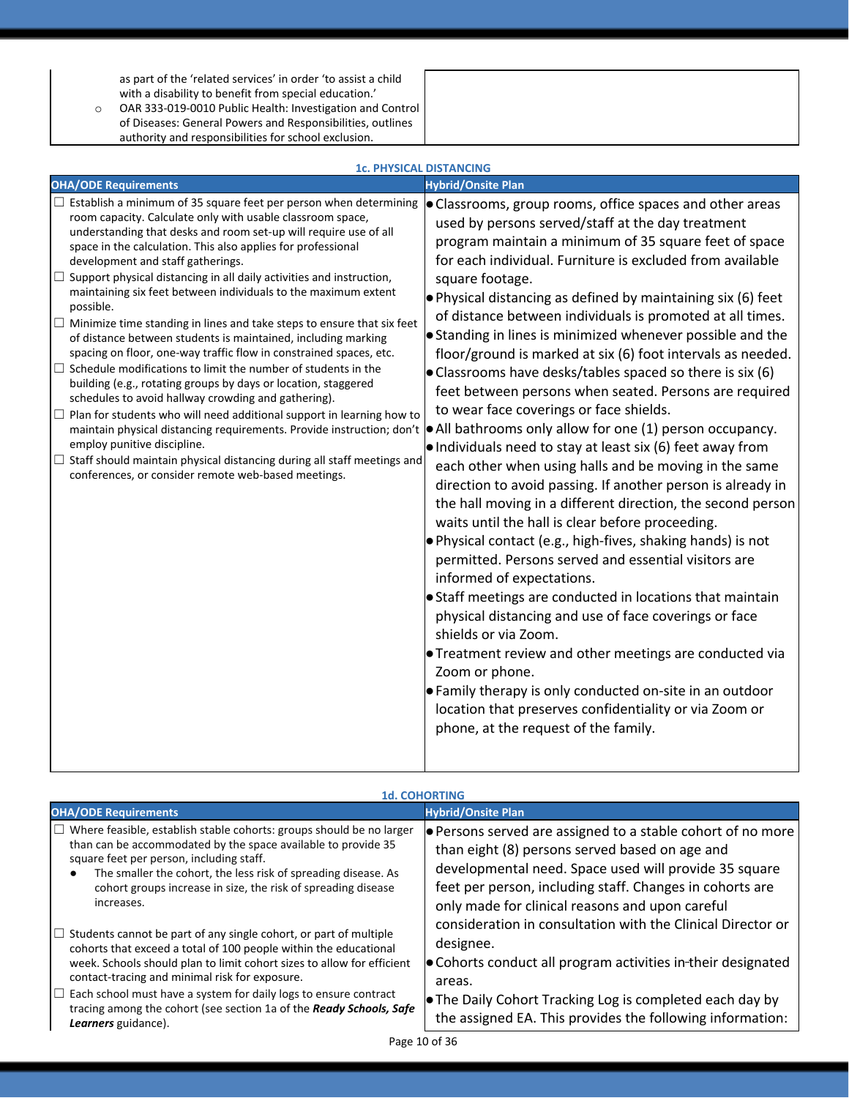as part of the 'related services' in order 'to assist a child with a disability to benefit from special education.'

o OAR 333-019-0010 Public Health: Investigation and Control of Diseases: General Powers and Responsibilities, outlines authority and responsibilities for school exclusion.

|                                                                                                                                                                                                                                                                                                                                                                                                                                                                                                                                                                                                                                                                                                                                                                                                                                                                                                                                                                                                                                                                                                                                                                                                                                  | <b>1c. PHYSICAL DISTANCING</b>                                                                                                                                                                                                                                                                                                                                                                                                                                                                                                                                                                                                                                                                                                                                                                                                                                                                                                                                                                                                                                                                                                                                                                                                                                                                                                                                                                                                                                                                                                                                                                                              |
|----------------------------------------------------------------------------------------------------------------------------------------------------------------------------------------------------------------------------------------------------------------------------------------------------------------------------------------------------------------------------------------------------------------------------------------------------------------------------------------------------------------------------------------------------------------------------------------------------------------------------------------------------------------------------------------------------------------------------------------------------------------------------------------------------------------------------------------------------------------------------------------------------------------------------------------------------------------------------------------------------------------------------------------------------------------------------------------------------------------------------------------------------------------------------------------------------------------------------------|-----------------------------------------------------------------------------------------------------------------------------------------------------------------------------------------------------------------------------------------------------------------------------------------------------------------------------------------------------------------------------------------------------------------------------------------------------------------------------------------------------------------------------------------------------------------------------------------------------------------------------------------------------------------------------------------------------------------------------------------------------------------------------------------------------------------------------------------------------------------------------------------------------------------------------------------------------------------------------------------------------------------------------------------------------------------------------------------------------------------------------------------------------------------------------------------------------------------------------------------------------------------------------------------------------------------------------------------------------------------------------------------------------------------------------------------------------------------------------------------------------------------------------------------------------------------------------------------------------------------------------|
| <b>OHA/ODE Requirements</b>                                                                                                                                                                                                                                                                                                                                                                                                                                                                                                                                                                                                                                                                                                                                                                                                                                                                                                                                                                                                                                                                                                                                                                                                      | <b>Hybrid/Onsite Plan</b>                                                                                                                                                                                                                                                                                                                                                                                                                                                                                                                                                                                                                                                                                                                                                                                                                                                                                                                                                                                                                                                                                                                                                                                                                                                                                                                                                                                                                                                                                                                                                                                                   |
| $\Box$ Establish a minimum of 35 square feet per person when determining<br>room capacity. Calculate only with usable classroom space,<br>understanding that desks and room set-up will require use of all<br>space in the calculation. This also applies for professional<br>development and staff gatherings.<br>Support physical distancing in all daily activities and instruction,<br>maintaining six feet between individuals to the maximum extent<br>possible.<br>$\Box$ Minimize time standing in lines and take steps to ensure that six feet<br>of distance between students is maintained, including marking<br>spacing on floor, one-way traffic flow in constrained spaces, etc.<br>$\Box$ Schedule modifications to limit the number of students in the<br>building (e.g., rotating groups by days or location, staggered<br>schedules to avoid hallway crowding and gathering).<br>$\Box$ Plan for students who will need additional support in learning how to<br>maintain physical distancing requirements. Provide instruction; don't<br>employ punitive discipline.<br>$\Box$ Staff should maintain physical distancing during all staff meetings and<br>conferences, or consider remote web-based meetings. | • Classrooms, group rooms, office spaces and other areas<br>used by persons served/staff at the day treatment<br>program maintain a minimum of 35 square feet of space<br>for each individual. Furniture is excluded from available<br>square footage.<br>$\bullet$ Physical distancing as defined by maintaining six (6) feet<br>of distance between individuals is promoted at all times.<br>• Standing in lines is minimized whenever possible and the<br>floor/ground is marked at six (6) foot intervals as needed.<br>• Classrooms have desks/tables spaced so there is six (6)<br>feet between persons when seated. Persons are required<br>to wear face coverings or face shields.<br>$\bullet$ All bathrooms only allow for one (1) person occupancy.<br>. Individuals need to stay at least six (6) feet away from<br>each other when using halls and be moving in the same<br>direction to avoid passing. If another person is already in<br>the hall moving in a different direction, the second person<br>waits until the hall is clear before proceeding.<br>. Physical contact (e.g., high-fives, shaking hands) is not<br>permitted. Persons served and essential visitors are<br>informed of expectations.<br>• Staff meetings are conducted in locations that maintain<br>physical distancing and use of face coverings or face<br>shields or via Zoom.<br><b>•</b> Treatment review and other meetings are conducted via<br>Zoom or phone.<br>• Family therapy is only conducted on-site in an outdoor<br>location that preserves confidentiality or via Zoom or<br>phone, at the request of the family. |

#### **1d. COHORTING**

| <b>OHA/ODE Requirements</b>                                                                                                                                                                                                                                                                                                                                                                                                                       | <b>Hybrid/Onsite Plan</b>                                                                                                                                                                                                                                                           |
|---------------------------------------------------------------------------------------------------------------------------------------------------------------------------------------------------------------------------------------------------------------------------------------------------------------------------------------------------------------------------------------------------------------------------------------------------|-------------------------------------------------------------------------------------------------------------------------------------------------------------------------------------------------------------------------------------------------------------------------------------|
| $\Box$ Where feasible, establish stable cohorts: groups should be no larger<br>than can be accommodated by the space available to provide 35<br>square feet per person, including staff.<br>The smaller the cohort, the less risk of spreading disease. As<br>cohort groups increase in size, the risk of spreading disease<br>increases.                                                                                                         | Persons served are assigned to a stable cohort of no more<br>than eight (8) persons served based on age and<br>developmental need. Space used will provide 35 square<br>feet per person, including staff. Changes in cohorts are<br>only made for clinical reasons and upon careful |
| $\Box$ Students cannot be part of any single cohort, or part of multiple<br>cohorts that exceed a total of 100 people within the educational<br>week. Schools should plan to limit cohort sizes to allow for efficient<br>contact-tracing and minimal risk for exposure.<br>$\Box$ Each school must have a system for daily logs to ensure contract<br>tracing among the cohort (see section 1a of the Ready Schools, Safe<br>Learners guidance). | consideration in consultation with the Clinical Director or<br>designee.<br>• Cohorts conduct all program activities in-their designated<br>areas.<br>• The Daily Cohort Tracking Log is completed each day by<br>the assigned EA. This provides the following information:         |
|                                                                                                                                                                                                                                                                                                                                                                                                                                                   | $D = 40$                                                                                                                                                                                                                                                                            |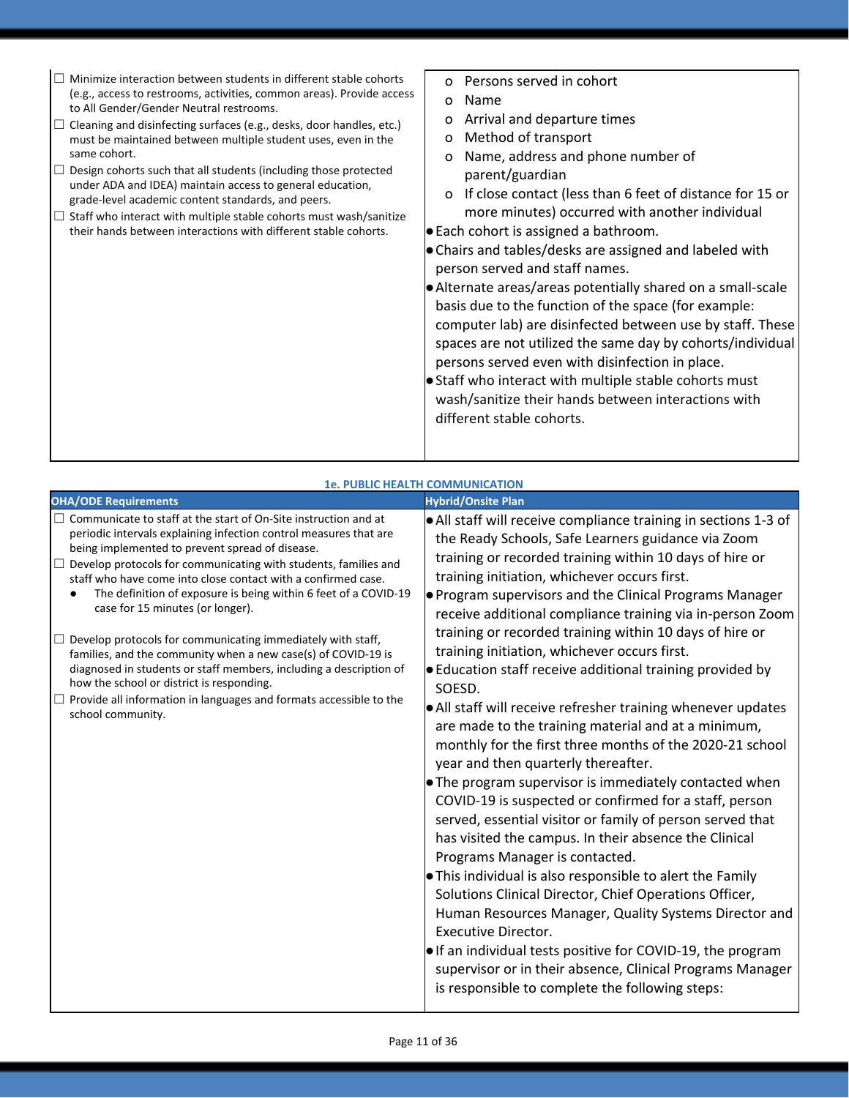|                                                                                                                                                                                                                                                                                                                                                                                                                                                                                                                                                                                                                                                                                                                                                                                                              | <b>1e. PUBLIC HEALTH COMMUNICATION</b>                                                                                                                                                                                                                                                                                                                                                                                                                                                                                                                                                                                                                                                                                                                                                                                                                                                                                                                                                                                                                                                                                                                                                                                                                                                                                                                                                                                                                                                       |
|--------------------------------------------------------------------------------------------------------------------------------------------------------------------------------------------------------------------------------------------------------------------------------------------------------------------------------------------------------------------------------------------------------------------------------------------------------------------------------------------------------------------------------------------------------------------------------------------------------------------------------------------------------------------------------------------------------------------------------------------------------------------------------------------------------------|----------------------------------------------------------------------------------------------------------------------------------------------------------------------------------------------------------------------------------------------------------------------------------------------------------------------------------------------------------------------------------------------------------------------------------------------------------------------------------------------------------------------------------------------------------------------------------------------------------------------------------------------------------------------------------------------------------------------------------------------------------------------------------------------------------------------------------------------------------------------------------------------------------------------------------------------------------------------------------------------------------------------------------------------------------------------------------------------------------------------------------------------------------------------------------------------------------------------------------------------------------------------------------------------------------------------------------------------------------------------------------------------------------------------------------------------------------------------------------------------|
| <b>OHA/ODE Requirements</b>                                                                                                                                                                                                                                                                                                                                                                                                                                                                                                                                                                                                                                                                                                                                                                                  | <b>Hybrid/Onsite Plan</b>                                                                                                                                                                                                                                                                                                                                                                                                                                                                                                                                                                                                                                                                                                                                                                                                                                                                                                                                                                                                                                                                                                                                                                                                                                                                                                                                                                                                                                                                    |
| $\Box$ Communicate to staff at the start of On-Site instruction and at<br>periodic intervals explaining infection control measures that are<br>being implemented to prevent spread of disease.<br>$\Box$ Develop protocols for communicating with students, families and<br>staff who have come into close contact with a confirmed case.<br>The definition of exposure is being within 6 feet of a COVID-19<br>case for 15 minutes (or longer).<br>$\Box$ Develop protocols for communicating immediately with staff,<br>families, and the community when a new case(s) of COVID-19 is<br>diagnosed in students or staff members, including a description of<br>how the school or district is responding.<br>$\Box$ Provide all information in languages and formats accessible to the<br>school community. | $\bullet$ All staff will receive compliance training in sections 1-3 of<br>the Ready Schools, Safe Learners guidance via Zoom<br>training or recorded training within 10 days of hire or<br>training initiation, whichever occurs first.<br><b>•</b> Program supervisors and the Clinical Programs Manager<br>receive additional compliance training via in-person Zoom<br>training or recorded training within 10 days of hire or<br>training initiation, whichever occurs first.<br>$\bullet$ Education staff receive additional training provided by<br>SOESD.<br>• All staff will receive refresher training whenever updates<br>are made to the training material and at a minimum,<br>monthly for the first three months of the 2020-21 school<br>year and then quarterly thereafter.<br>$\bullet$ The program supervisor is immediately contacted when<br>COVID-19 is suspected or confirmed for a staff, person<br>served, essential visitor or family of person served that<br>has visited the campus. In their absence the Clinical<br>Programs Manager is contacted.<br>$\bullet$ This individual is also responsible to alert the Family<br>Solutions Clinical Director, Chief Operations Officer,<br>Human Resources Manager, Quality Systems Director and<br><b>Executive Director.</b><br>$\bullet$ If an individual tests positive for COVID-19, the program<br>supervisor or in their absence, Clinical Programs Manager<br>is responsible to complete the following steps: |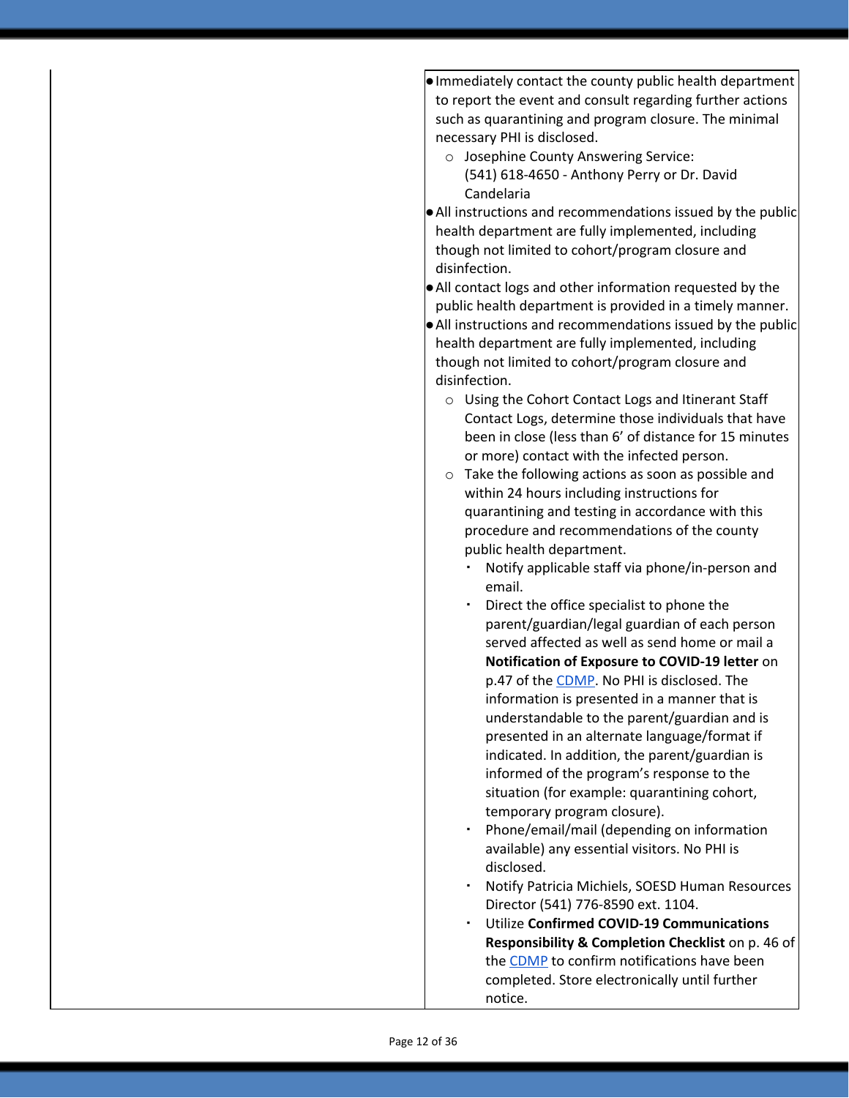●Immediately contact the county public health department to report the event and consult regarding further actions such as quarantining and program closure. The minimal necessary PHI is disclosed.

- o Josephine County Answering Service: (541) 618-4650 - Anthony Perry or Dr. David Candelaria
- ●All instructions and recommendations issued by the public health department are fully implemented, including though not limited to cohort/program closure and disinfection.
- ●All contact logs and other information requested by the public health department is provided in a timely manner.
- ●All instructions and recommendations issued by the public health department are fully implemented, including though not limited to cohort/program closure and disinfection.
	- o Using the Cohort Contact Logs and Itinerant Staff Contact Logs, determine those individuals that have been in close (less than 6' of distance for 15 minutes or more) contact with the infected person.
	- o Take the following actions as soon as possible and within 24 hours including instructions for quarantining and testing in accordance with this procedure and recommendations of the county public health department.
		- Notify applicable staff via phone/in-person and email.
		- Direct the office specialist to phone the parent/guardian/legal guardian of each person served affected as well as send home or mail a **Notification of Exposure to COVID-19 letter** on p.47 of the [CDMP](https://familysolutionsoregon.org/wp-content/uploads/2020/09/Family-Solutions-CDMP-DTX.pdf). No PHI is disclosed. The information is presented in a manner that is understandable to the parent/guardian and is presented in an alternate language/format if indicated. In addition, the parent/guardian is informed of the program's response to the situation (for example: quarantining cohort, temporary program closure).
		- Phone/email/mail (depending on information available) any essential visitors. No PHI is disclosed.
		- Notify Patricia Michiels, SOESD Human Resources Director (541) 776-8590 ext. 1104.
		- Utilize **Confirmed COVID-19 Communications Responsibility & Completion Checklist** on p. 46 of the [CDMP](https://familysolutionsoregon.org/wp-content/uploads/2020/09/Family-Solutions-CDMP-DTX.pdf) to confirm notifications have been completed. Store electronically until further notice.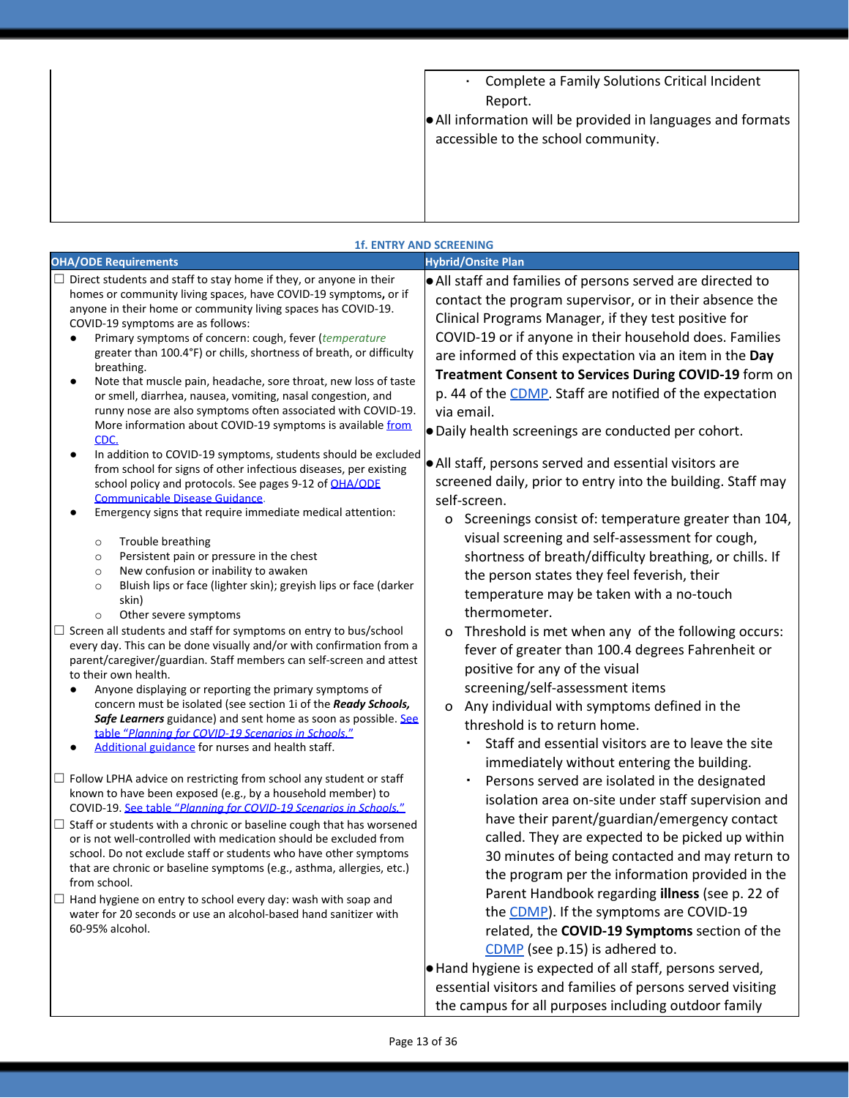| . Complete a Family Solutions Critical Incident                                                    |
|----------------------------------------------------------------------------------------------------|
| Report.                                                                                            |
| • All information will be provided in languages and formats<br>accessible to the school community. |

#### **1f. ENTRY AND SCREENING**

| <b>OHA/ODE Requirements</b>                                                                                                                                                                                                                                                                                                                                                                                                                                                                                                                                                                                                                                                                                                                                                                                                                                                                                                                                                                                                                                                                                                                                                                                                                                                                                                                                                                                                                                                                                                                                                                                                                                                                                                                                                                                                                                                                                                             |                                                                                                                                                                                                                                                                                                                                                                                                                                                                                                                                                                                                                                                                                                                                                                                                                                                                                                                                                                                                                                                                                                                                                                                                                                                                                                                                                                                                                                               |
|-----------------------------------------------------------------------------------------------------------------------------------------------------------------------------------------------------------------------------------------------------------------------------------------------------------------------------------------------------------------------------------------------------------------------------------------------------------------------------------------------------------------------------------------------------------------------------------------------------------------------------------------------------------------------------------------------------------------------------------------------------------------------------------------------------------------------------------------------------------------------------------------------------------------------------------------------------------------------------------------------------------------------------------------------------------------------------------------------------------------------------------------------------------------------------------------------------------------------------------------------------------------------------------------------------------------------------------------------------------------------------------------------------------------------------------------------------------------------------------------------------------------------------------------------------------------------------------------------------------------------------------------------------------------------------------------------------------------------------------------------------------------------------------------------------------------------------------------------------------------------------------------------------------------------------------------|-----------------------------------------------------------------------------------------------------------------------------------------------------------------------------------------------------------------------------------------------------------------------------------------------------------------------------------------------------------------------------------------------------------------------------------------------------------------------------------------------------------------------------------------------------------------------------------------------------------------------------------------------------------------------------------------------------------------------------------------------------------------------------------------------------------------------------------------------------------------------------------------------------------------------------------------------------------------------------------------------------------------------------------------------------------------------------------------------------------------------------------------------------------------------------------------------------------------------------------------------------------------------------------------------------------------------------------------------------------------------------------------------------------------------------------------------|
| Direct students and staff to stay home if they, or anyone in their<br>homes or community living spaces, have COVID-19 symptoms, or if<br>anyone in their home or community living spaces has COVID-19.<br>COVID-19 symptoms are as follows:<br>Primary symptoms of concern: cough, fever (temperature<br>greater than 100.4°F) or chills, shortness of breath, or difficulty<br>breathing.<br>Note that muscle pain, headache, sore throat, new loss of taste<br>or smell, diarrhea, nausea, vomiting, nasal congestion, and<br>runny nose are also symptoms often associated with COVID-19.<br>More information about COVID-19 symptoms is available from<br>CDC.<br>In addition to COVID-19 symptoms, students should be excluded<br>from school for signs of other infectious diseases, per existing<br>school policy and protocols. See pages 9-12 of OHA/ODE<br>Communicable Disease Guidance.<br>Emergency signs that require immediate medical attention:<br>Trouble breathing<br>$\circ$<br>Persistent pain or pressure in the chest<br>$\circ$<br>New confusion or inability to awaken<br>$\circ$<br>Bluish lips or face (lighter skin); greyish lips or face (darker<br>$\circ$<br>skin)<br>Other severe symptoms<br>$\circ$<br>Screen all students and staff for symptoms on entry to bus/school<br>every day. This can be done visually and/or with confirmation from a<br>parent/caregiver/guardian. Staff members can self-screen and attest<br>to their own health.<br>Anyone displaying or reporting the primary symptoms of<br>concern must be isolated (see section 1i of the Ready Schools,<br>Safe Learners guidance) and sent home as soon as possible. See<br>table "Planning for COVID-19 Scenarios in Schools."<br>Additional guidance for nurses and health staff.<br>$\Box$ Follow LPHA advice on restricting from school any student or staff<br>known to have been exposed (e.g., by a household member) to | <b>Hybrid/Onsite Plan</b><br>• All staff and families of persons served are directed to<br>contact the program supervisor, or in their absence the<br>Clinical Programs Manager, if they test positive for<br>COVID-19 or if anyone in their household does. Families<br>are informed of this expectation via an item in the Day<br>Treatment Consent to Services During COVID-19 form on<br>p. 44 of the CDMP. Staff are notified of the expectation<br>via email.<br>· Daily health screenings are conducted per cohort.<br>. All staff, persons served and essential visitors are<br>screened daily, prior to entry into the building. Staff may<br>self-screen.<br>Screenings consist of: temperature greater than 104,<br>o<br>visual screening and self-assessment for cough,<br>shortness of breath/difficulty breathing, or chills. If<br>the person states they feel feverish, their<br>temperature may be taken with a no-touch<br>thermometer.<br>Threshold is met when any of the following occurs:<br>o<br>fever of greater than 100.4 degrees Fahrenheit or<br>positive for any of the visual<br>screening/self-assessment items<br>Any individual with symptoms defined in the<br>O<br>threshold is to return home.<br>Staff and essential visitors are to leave the site<br>immediately without entering the building.<br>Persons served are isolated in the designated<br>isolation area on-site under staff supervision and |
| COVID-19. See table "Planning for COVID-19 Scenarios in Schools."<br>$\Box$ Staff or students with a chronic or baseline cough that has worsened<br>or is not well-controlled with medication should be excluded from<br>school. Do not exclude staff or students who have other symptoms<br>that are chronic or baseline symptoms (e.g., asthma, allergies, etc.)<br>from school.                                                                                                                                                                                                                                                                                                                                                                                                                                                                                                                                                                                                                                                                                                                                                                                                                                                                                                                                                                                                                                                                                                                                                                                                                                                                                                                                                                                                                                                                                                                                                      | have their parent/guardian/emergency contact<br>called. They are expected to be picked up within<br>30 minutes of being contacted and may return to<br>the program per the information provided in the                                                                                                                                                                                                                                                                                                                                                                                                                                                                                                                                                                                                                                                                                                                                                                                                                                                                                                                                                                                                                                                                                                                                                                                                                                        |
| Hand hygiene on entry to school every day: wash with soap and<br>⊔<br>water for 20 seconds or use an alcohol-based hand sanitizer with<br>60-95% alcohol.                                                                                                                                                                                                                                                                                                                                                                                                                                                                                                                                                                                                                                                                                                                                                                                                                                                                                                                                                                                                                                                                                                                                                                                                                                                                                                                                                                                                                                                                                                                                                                                                                                                                                                                                                                               | Parent Handbook regarding illness (see p. 22 of<br>the CDMP). If the symptoms are COVID-19<br>related, the COVID-19 Symptoms section of the<br>CDMP (see p.15) is adhered to.<br>Hand hygiene is expected of all staff, persons served,<br>essential visitors and families of persons served visiting<br>the campus for all purposes including outdoor family                                                                                                                                                                                                                                                                                                                                                                                                                                                                                                                                                                                                                                                                                                                                                                                                                                                                                                                                                                                                                                                                                 |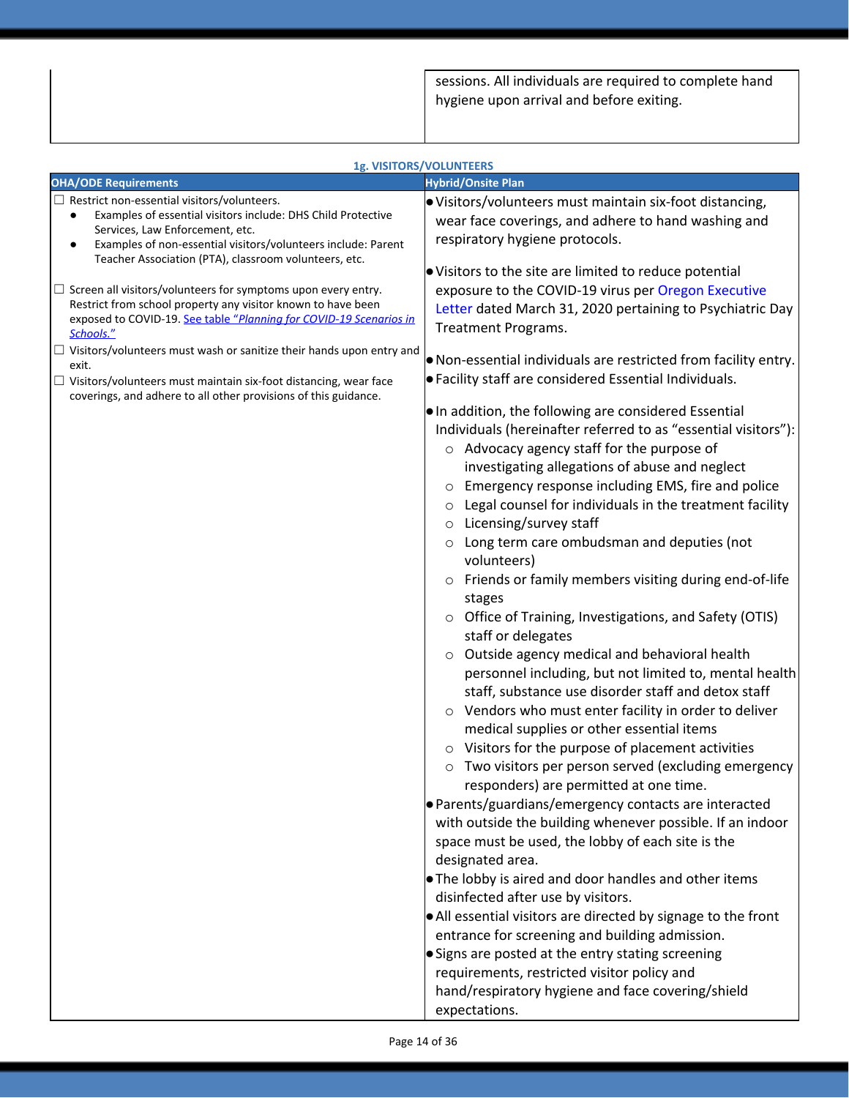sessions. All individuals are required to complete hand hygiene upon arrival and before exiting.

| <b>OHA/ODE Requirements</b><br><b>Hybrid/Onsite Plan</b><br>$\Box$ Restrict non-essential visitors/volunteers.<br>. Visitors/volunteers must maintain six-foot distancing,<br>Examples of essential visitors include: DHS Child Protective<br>$\bullet$<br>wear face coverings, and adhere to hand washing and<br>Services, Law Enforcement, etc.<br>respiratory hygiene protocols.<br>Examples of non-essential visitors/volunteers include: Parent<br>٠<br>Teacher Association (PTA), classroom volunteers, etc.<br>. Visitors to the site are limited to reduce potential<br>exposure to the COVID-19 virus per Oregon Executive<br>$\Box$ Screen all visitors/volunteers for symptoms upon every entry.<br>Restrict from school property any visitor known to have been<br>Letter dated March 31, 2020 pertaining to Psychiatric Day<br>exposed to COVID-19. See table "Planning for COVID-19 Scenarios in<br>Treatment Programs.<br>Schools."<br>$\Box$ Visitors/volunteers must wash or sanitize their hands upon entry and<br>. Non-essential individuals are restricted from facility entry.<br>exit.<br>● Facility staff are considered Essential Individuals.<br>$\Box$ Visitors/volunteers must maintain six-foot distancing, wear face<br>coverings, and adhere to all other provisions of this guidance.<br>Io In addition, the following are considered Essential<br>Individuals (hereinafter referred to as "essential visitors"):<br>o Advocacy agency staff for the purpose of<br>investigating allegations of abuse and neglect<br>Emergency response including EMS, fire and police<br>O<br>Legal counsel for individuals in the treatment facility<br>$\circ$<br>Licensing/survey staff<br>$\circ$<br>Long term care ombudsman and deputies (not<br>$\circ$<br>volunteers)<br>Friends or family members visiting during end-of-life<br>O<br>stages<br>Office of Training, Investigations, and Safety (OTIS)<br>$\circ$<br>staff or delegates<br>Outside agency medical and behavioral health<br>O<br>personnel including, but not limited to, mental health<br>staff, substance use disorder staff and detox staff<br>Vendors who must enter facility in order to deliver<br>$\circ$<br>medical supplies or other essential items<br>Visitors for the purpose of placement activities<br>Two visitors per person served (excluding emergency<br>O<br>responders) are permitted at one time.<br>· Parents/guardians/emergency contacts are interacted<br>with outside the building whenever possible. If an indoor<br>space must be used, the lobby of each site is the<br>designated area.<br>The lobby is aired and door handles and other items<br>disinfected after use by visitors. |
|-------------------------------------------------------------------------------------------------------------------------------------------------------------------------------------------------------------------------------------------------------------------------------------------------------------------------------------------------------------------------------------------------------------------------------------------------------------------------------------------------------------------------------------------------------------------------------------------------------------------------------------------------------------------------------------------------------------------------------------------------------------------------------------------------------------------------------------------------------------------------------------------------------------------------------------------------------------------------------------------------------------------------------------------------------------------------------------------------------------------------------------------------------------------------------------------------------------------------------------------------------------------------------------------------------------------------------------------------------------------------------------------------------------------------------------------------------------------------------------------------------------------------------------------------------------------------------------------------------------------------------------------------------------------------------------------------------------------------------------------------------------------------------------------------------------------------------------------------------------------------------------------------------------------------------------------------------------------------------------------------------------------------------------------------------------------------------------------------------------------------------------------------------------------------------------------------------------------------------------------------------------------------------------------------------------------------------------------------------------------------------------------------------------------------------------------------------------------------------------------------------------------------------------------------------------------------------------------------------------------------------------------------------------------------------------------------------------|
|                                                                                                                                                                                                                                                                                                                                                                                                                                                                                                                                                                                                                                                                                                                                                                                                                                                                                                                                                                                                                                                                                                                                                                                                                                                                                                                                                                                                                                                                                                                                                                                                                                                                                                                                                                                                                                                                                                                                                                                                                                                                                                                                                                                                                                                                                                                                                                                                                                                                                                                                                                                                                                                                                                             |
| • All essential visitors are directed by signage to the front<br>entrance for screening and building admission.<br>Signs are posted at the entry stating screening<br>requirements, restricted visitor policy and                                                                                                                                                                                                                                                                                                                                                                                                                                                                                                                                                                                                                                                                                                                                                                                                                                                                                                                                                                                                                                                                                                                                                                                                                                                                                                                                                                                                                                                                                                                                                                                                                                                                                                                                                                                                                                                                                                                                                                                                                                                                                                                                                                                                                                                                                                                                                                                                                                                                                           |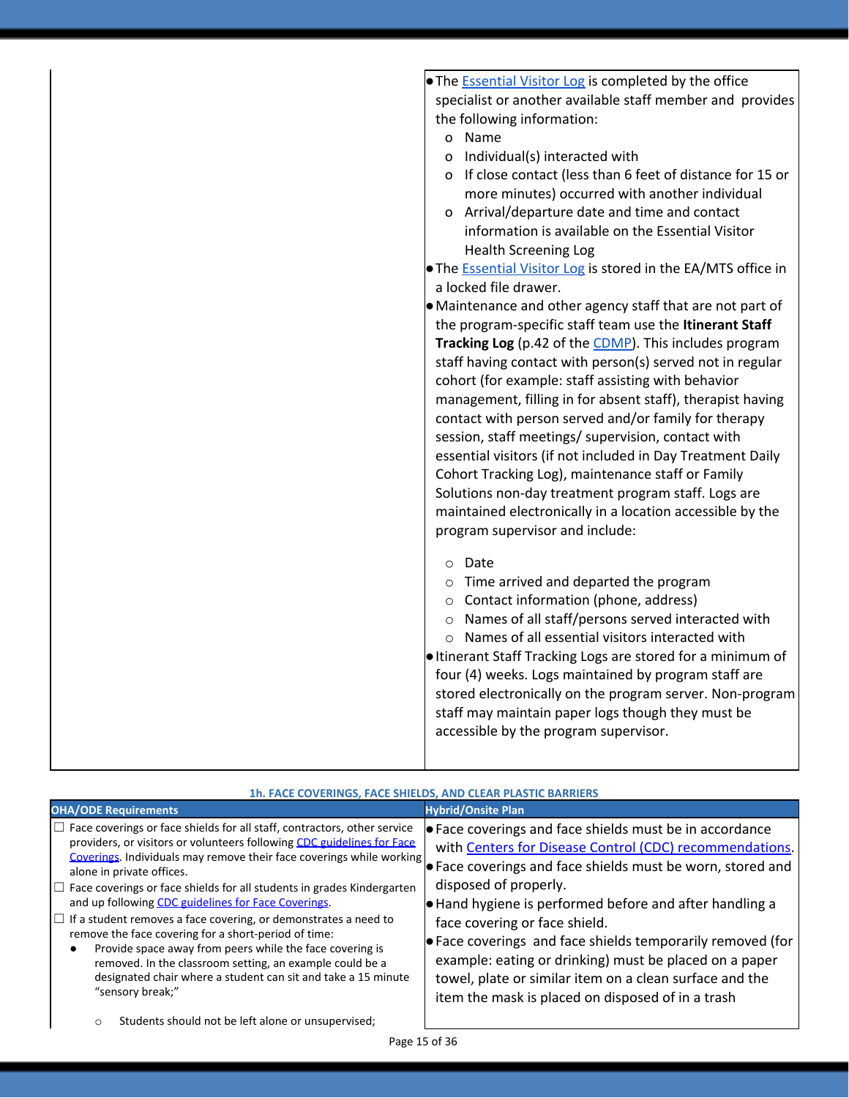| • The <b>Essential Visitor Log</b> is completed by the office<br>the following information:<br>o Name<br>Individual(s) interacted with<br>0<br>more minutes) occurred with another individual<br>o Arrival/departure date and time and contact<br>information is available on the Essential Visitor<br><b>Health Screening Log</b><br>a locked file drawer.<br>cohort (for example: staff assisting with behavior<br>contact with person served and/or family for therapy<br>session, staff meetings/ supervision, contact with<br>Cohort Tracking Log), maintenance staff or Family<br>Solutions non-day treatment program staff. Logs are<br>program supervisor and include:<br>Date<br>$\circ$<br>o Time arrived and departed the program<br>○ Contact information (phone, address) |                                                                                                                                                                                                                                                                                                                                                                                                                                                                                                                                                                                                                                         |
|----------------------------------------------------------------------------------------------------------------------------------------------------------------------------------------------------------------------------------------------------------------------------------------------------------------------------------------------------------------------------------------------------------------------------------------------------------------------------------------------------------------------------------------------------------------------------------------------------------------------------------------------------------------------------------------------------------------------------------------------------------------------------------------|-----------------------------------------------------------------------------------------------------------------------------------------------------------------------------------------------------------------------------------------------------------------------------------------------------------------------------------------------------------------------------------------------------------------------------------------------------------------------------------------------------------------------------------------------------------------------------------------------------------------------------------------|
|                                                                                                                                                                                                                                                                                                                                                                                                                                                                                                                                                                                                                                                                                                                                                                                        | specialist or another available staff member and provides<br>o If close contact (less than 6 feet of distance for 15 or<br>• The <b>Essential Visitor Log</b> is stored in the EA/MTS office in<br>• Maintenance and other agency staff that are not part of<br>the program-specific staff team use the Itinerant Staff<br>Tracking Log (p.42 of the CDMP). This includes program<br>staff having contact with person(s) served not in regular<br>management, filling in for absent staff), therapist having<br>essential visitors (if not included in Day Treatment Daily<br>maintained electronically in a location accessible by the |
| o Names of all staff/persons served interacted with<br>o Names of all essential visitors interacted with<br>four (4) weeks. Logs maintained by program staff are<br>staff may maintain paper logs though they must be<br>accessible by the program supervisor.                                                                                                                                                                                                                                                                                                                                                                                                                                                                                                                         | leltinerant Staff Tracking Logs are stored for a minimum of<br>stored electronically on the program server. Non-program                                                                                                                                                                                                                                                                                                                                                                                                                                                                                                                 |

| 1h. FACE COVERINGS, FACE SHIELDS, AND CLEAR PLASTIC BARRIERS                                                                                                                                                                                                                                                                                                                                                                                                                                                                                                                                                                                                                                                                                          |                                                                                                                                                                                                                                                                                                                                                                                                                                                                                                                                                   |
|-------------------------------------------------------------------------------------------------------------------------------------------------------------------------------------------------------------------------------------------------------------------------------------------------------------------------------------------------------------------------------------------------------------------------------------------------------------------------------------------------------------------------------------------------------------------------------------------------------------------------------------------------------------------------------------------------------------------------------------------------------|---------------------------------------------------------------------------------------------------------------------------------------------------------------------------------------------------------------------------------------------------------------------------------------------------------------------------------------------------------------------------------------------------------------------------------------------------------------------------------------------------------------------------------------------------|
| <b>OHA/ODE Requirements</b>                                                                                                                                                                                                                                                                                                                                                                                                                                                                                                                                                                                                                                                                                                                           | <b>Hybrid/Onsite Plan</b>                                                                                                                                                                                                                                                                                                                                                                                                                                                                                                                         |
| $\Box$ Face coverings or face shields for all staff, contractors, other service<br>providers, or visitors or volunteers following CDC guidelines for Face<br>Coverings. Individuals may remove their face coverings while working<br>alone in private offices.<br>$\Box$ Face coverings or face shields for all students in grades Kindergarten<br>and up following CDC guidelines for Face Coverings.<br>$\Box$ If a student removes a face covering, or demonstrates a need to<br>remove the face covering for a short-period of time:<br>Provide space away from peers while the face covering is<br>removed. In the classroom setting, an example could be a<br>designated chair where a student can sit and take a 15 minute<br>"sensory break;" | ● Face coverings and face shields must be in accordance<br>with Centers for Disease Control (CDC) recommendations.<br>Face coverings and face shields must be worn, stored and<br>disposed of properly.<br>Hand hygiene is performed before and after handling a<br>face covering or face shield.<br>$\bullet$ Face coverings and face shields temporarily removed (for<br>example: eating or drinking) must be placed on a paper<br>towel, plate or similar item on a clean surface and the<br>item the mask is placed on disposed of in a trash |
| Students should not be left alone or unsupervised;<br>$\circ$                                                                                                                                                                                                                                                                                                                                                                                                                                                                                                                                                                                                                                                                                         |                                                                                                                                                                                                                                                                                                                                                                                                                                                                                                                                                   |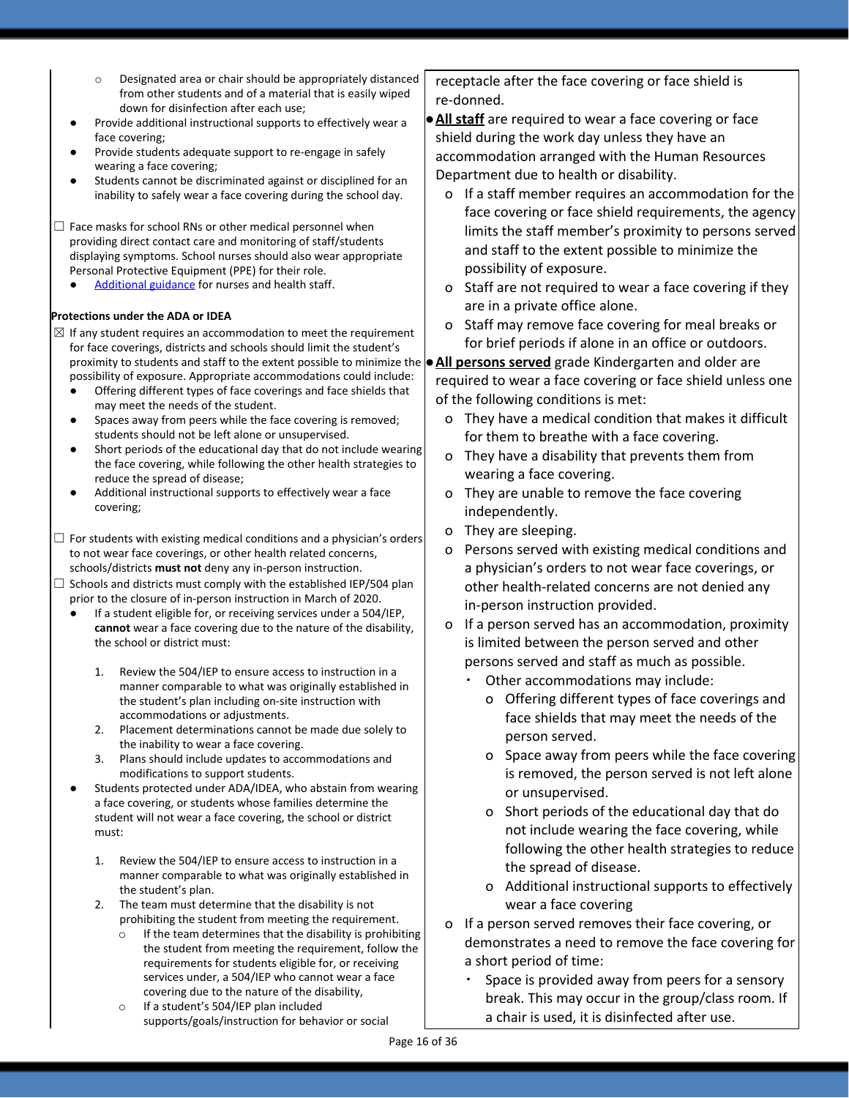- o Designated area or chair should be appropriately distanced from other students and of a material that is easily wiped down for disinfection after each use;
- Provide additional instructional supports to effectively wear a face covering;
- Provide students adequate support to re-engage in safely wearing a face covering;
- Students cannot be discriminated against or disciplined for an inability to safely wear a face covering during the school day.
- $\Box$  Face masks for school RNs or other medical personnel when providing direct contact care and monitoring of staff/students displaying symptoms. School nurses should also wear appropriate Personal Protective Equipment (PPE) for their role.
	- [Additional guidance](https://www.oregon.gov/ode/students-and-family/healthsafety/Documents/Additional%20Considerations%20for%20Staff%20Working%20with%20Students%20with%20Complex%20Needs.pdf) for nurses and health staff.

#### **Protections under the ADA or IDEA**

- proximity to students and staff to the extent possible to minimize the  $\bullet$  All persons served grade Kindergarten and older are  $\boxtimes$  If any student requires an accommodation to meet the requirement for face coverings, districts and schools should limit the student's possibility of exposure. Appropriate accommodations could include:
	- Offering different types of face coverings and face shields that may meet the needs of the student.
	- Spaces away from peers while the face covering is removed; students should not be left alone or unsupervised.
	- Short periods of the educational day that do not include wearing the face covering, while following the other health strategies to reduce the spread of disease;
	- Additional instructional supports to effectively wear a face covering;
- $\Box$  For students with existing medical conditions and a physician's orders to not wear face coverings, or other health related concerns, schools/districts **must not** deny any in-person instruction.
- $\Box$  Schools and districts must comply with the established IEP/504 plan prior to the closure of in-person instruction in March of 2020.
	- If a student eligible for, or receiving services under a 504/IEP, **cannot** wear a face covering due to the nature of the disability, the school or district must:
		- 1. Review the 504/IEP to ensure access to instruction in a manner comparable to what was originally established in the student's plan including on-site instruction with accommodations or adjustments.
		- 2. Placement determinations cannot be made due solely to the inability to wear a face covering.
		- 3. Plans should include updates to accommodations and modifications to support students.
	- Students protected under ADA/IDEA, who abstain from wearing a face covering, or students whose families determine the student will not wear a face covering, the school or district must:
		- 1. Review the 504/IEP to ensure access to instruction in a manner comparable to what was originally established in the student's plan.
		- 2. The team must determine that the disability is not prohibiting the student from meeting the requirement.
			- If the team determines that the disability is prohibiting the student from meeting the requirement, follow the requirements for students eligible for, or receiving services under, a 504/IEP who cannot wear a face covering due to the nature of the disability,
			- o If a student's 504/IEP plan included supports/goals/instruction for behavior or social

receptacle after the face covering or face shield is re-donned.

- **●All staff** are required to wear a face covering or face shield during the work day unless they have an accommodation arranged with the Human Resources Department due to health or disability.
	- o If a staff member requires an accommodation for the face covering or face shield requirements, the agency limits the staff member's proximity to persons served and staff to the extent possible to minimize the possibility of exposure.
	- o Staff are not required to wear a face covering if they are in a private office alone.
	- o Staff may remove face covering for meal breaks or for brief periods if alone in an office or outdoors.

required to wear a face covering or face shield unless one of the following conditions is met:

- o They have a medical condition that makes it difficult for them to breathe with a face covering.
- o They have a disability that prevents them from wearing a face covering.
- o They are unable to remove the face covering independently.
- o They are sleeping.
- o Persons served with existing medical conditions and a physician's orders to not wear face coverings, or other health-related concerns are not denied any in-person instruction provided.
- o If a person served has an accommodation, proximity is limited between the person served and other persons served and staff as much as possible.
	- Other accommodations may include:
		- o Offering different types of face coverings and face shields that may meet the needs of the person served.
		- o Space away from peers while the face covering is removed, the person served is not left alone or unsupervised.
		- o Short periods of the educational day that do not include wearing the face covering, while following the other health strategies to reduce the spread of disease.
		- o Additional instructional supports to effectively wear a face covering
- o If a person served removes their face covering, or demonstrates a need to remove the face covering for a short period of time:
	- Space is provided away from peers for a sensory break. This may occur in the group/class room. If a chair is used, it is disinfected after use.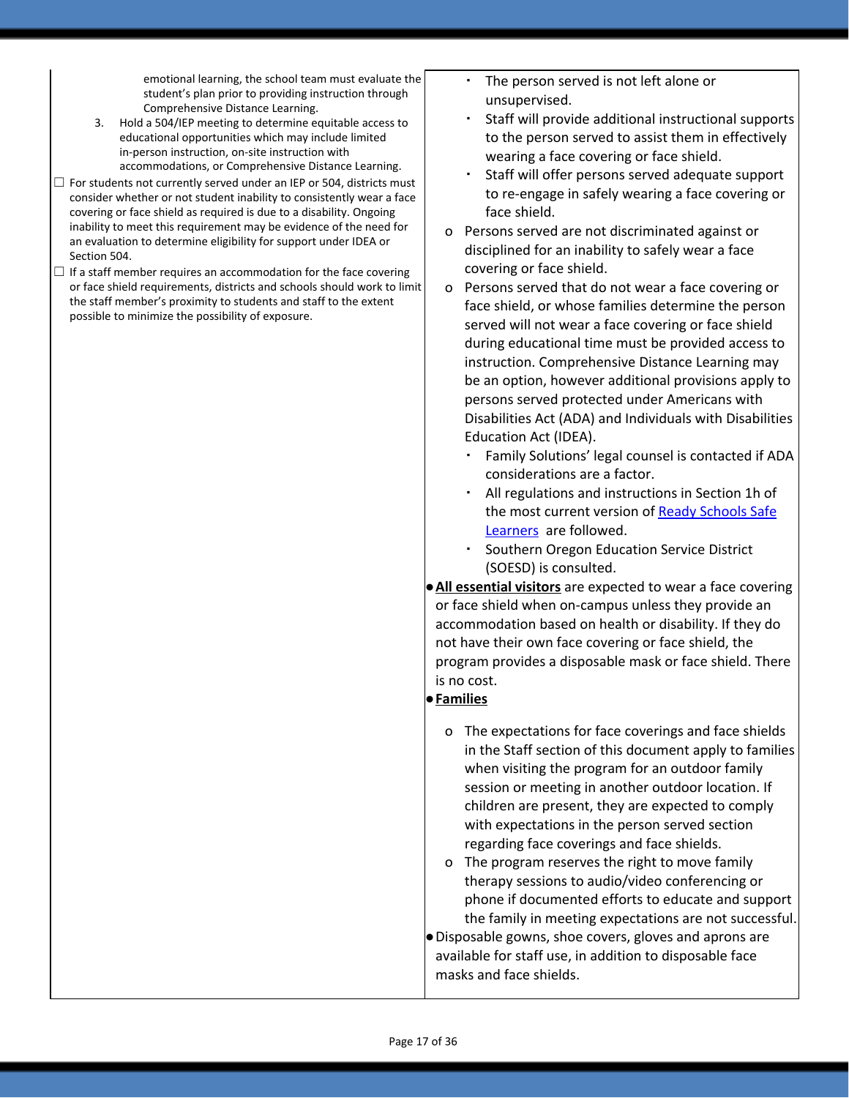emotional learning, the school team must evaluate the student's plan prior to providing instruction through Comprehensive Distance Learning.

- 3. Hold a 504/IEP meeting to determine equitable access to educational opportunities which may include limited in-person instruction, on-site instruction with accommodations, or Comprehensive Distance Learning.
- $\Box$  For students not currently served under an IEP or 504, districts must consider whether or not student inability to consistently wear a face covering or face shield as required is due to a disability. Ongoing inability to meet this requirement may be evidence of the need for an evaluation to determine eligibility for support under IDEA or Section 504.
- $\Box$  If a staff member requires an accommodation for the face covering or face shield requirements, districts and schools should work to limit the staff member's proximity to students and staff to the extent possible to minimize the possibility of exposure.
- The person served is not left alone or unsupervised.
- Staff will provide additional instructional supports to the person served to assist them in effectively wearing a face covering or face shield.
- Staff will offer persons served adequate support to re-engage in safely wearing a face covering or face shield.
- o Persons served are not discriminated against or disciplined for an inability to safely wear a face covering or face shield.
- o Persons served that do not wear a face covering or face shield, or whose families determine the person served will not wear a face covering or face shield during educational time must be provided access to instruction. Comprehensive Distance Learning may be an option, however additional provisions apply to persons served protected under Americans with Disabilities Act (ADA) and Individuals with Disabilities Education Act (IDEA).
	- Family Solutions' legal counsel is contacted if ADA considerations are a factor.
	- All regulations and instructions in Section 1h of the most current version of Ready [Schools](https://www.oregon.gov/ode/students-and-family/healthsafety/Pages/Planning-for-the-2020-21-School-Year.aspx) Safe [Learners](https://www.oregon.gov/ode/students-and-family/healthsafety/Pages/Planning-for-the-2020-21-School-Year.aspx) are followed.
	- Southern Oregon Education Service District (SOESD) is consulted.
- **●All essential visitors** are expected to wear a face covering or face shield when on-campus unless they provide an accommodation based on health or disability. If they do not have their own face covering or face shield, the program provides a disposable mask or face shield. There is no cost.

### ●**Families**

o The expectations for face coverings and face shields in the Staff section of this document apply to families when visiting the program for an outdoor family session or meeting in another outdoor location. If children are present, they are expected to comply with expectations in the person served section regarding face coverings and face shields.

o The program reserves the right to move family therapy sessions to audio/video conferencing or phone if documented efforts to educate and support the family in meeting expectations are not successful. ●Disposable gowns, shoe covers, gloves and aprons are available for staff use, in addition to disposable face masks and face shields.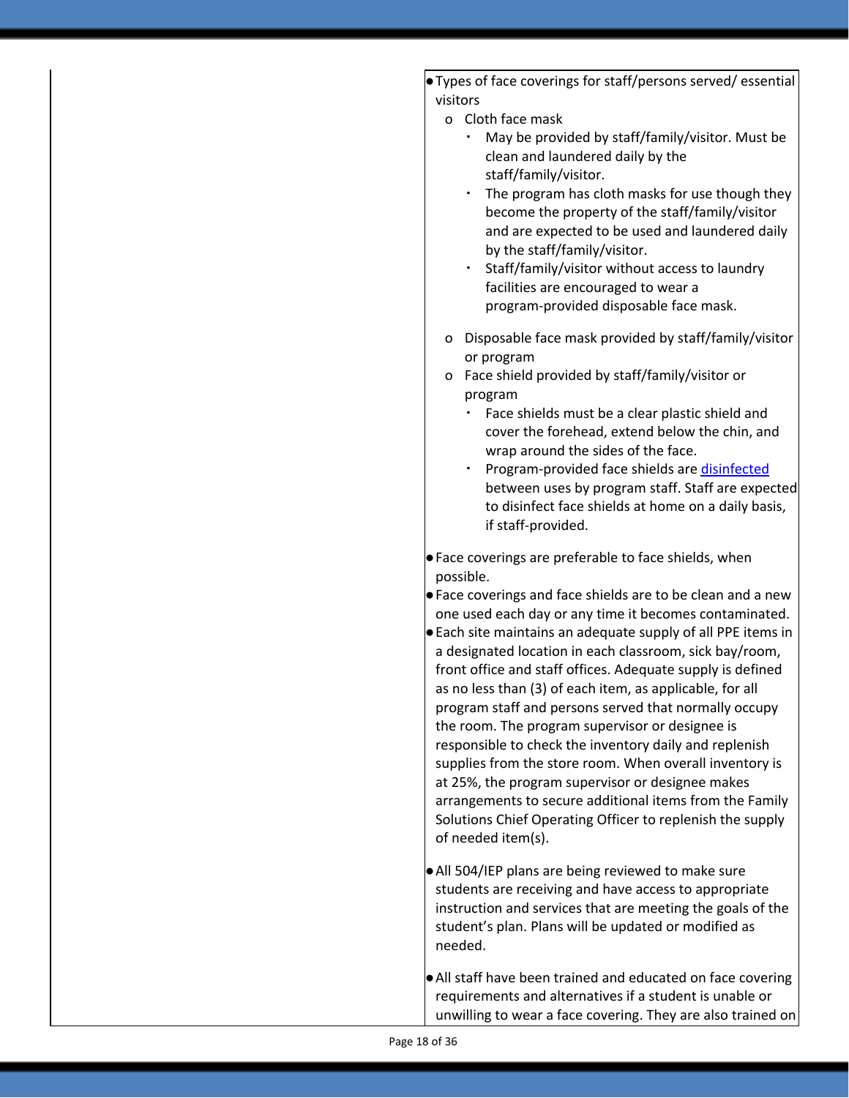●Types of face coverings for staff/persons served/ essential visitors

- o Cloth face mask
	- May be provided by staff/family/visitor. Must be clean and laundered daily by the staff/family/visitor.
	- The program has cloth masks for use though they become the property of the staff/family/visitor and are expected to be used and laundered daily by the staff/family/visitor.
	- Staff/family/visitor without access to laundry facilities are encouraged to wear a program-provided disposable face mask.
- o Disposable face mask provided by staff/family/visitor or program
- o Face shield provided by staff/family/visitor or program
	- Face shields must be a clear plastic shield and cover the forehead, extend below the chin, and wrap around the sides of the face.
	- **Program-provided face shields are [disinfected](https://www.samc.com/assets/documents/covid19/nursing/covid-19-full-face-shield-sanitization-final-_03_17_20.pdf)** between uses by program staff. Staff are expected to disinfect face shields at home on a daily basis, if staff-provided.
- ●Face coverings are preferable to face shields, when possible.
- ●Face coverings and face shields are to be clean and a new one used each day or any time it becomes contaminated. ●Each site maintains an adequate supply of all PPE items in a designated location in each classroom, sick bay/room, front office and staff offices. Adequate supply is defined as no less than (3) of each item, as applicable, for all program staff and persons served that normally occupy the room. The program supervisor or designee is responsible to check the inventory daily and replenish supplies from the store room. When overall inventory is at 25%, the program supervisor or designee makes arrangements to secure additional items from the Family Solutions Chief Operating Officer to replenish the supply of needed item(s).
- ●All 504/IEP plans are being reviewed to make sure students are receiving and have access to appropriate instruction and services that are meeting the goals of the student's plan. Plans will be updated or modified as needed.
- ●All staff have been trained and educated on face covering requirements and alternatives if a student is unable or unwilling to wear a face covering. They are also trained on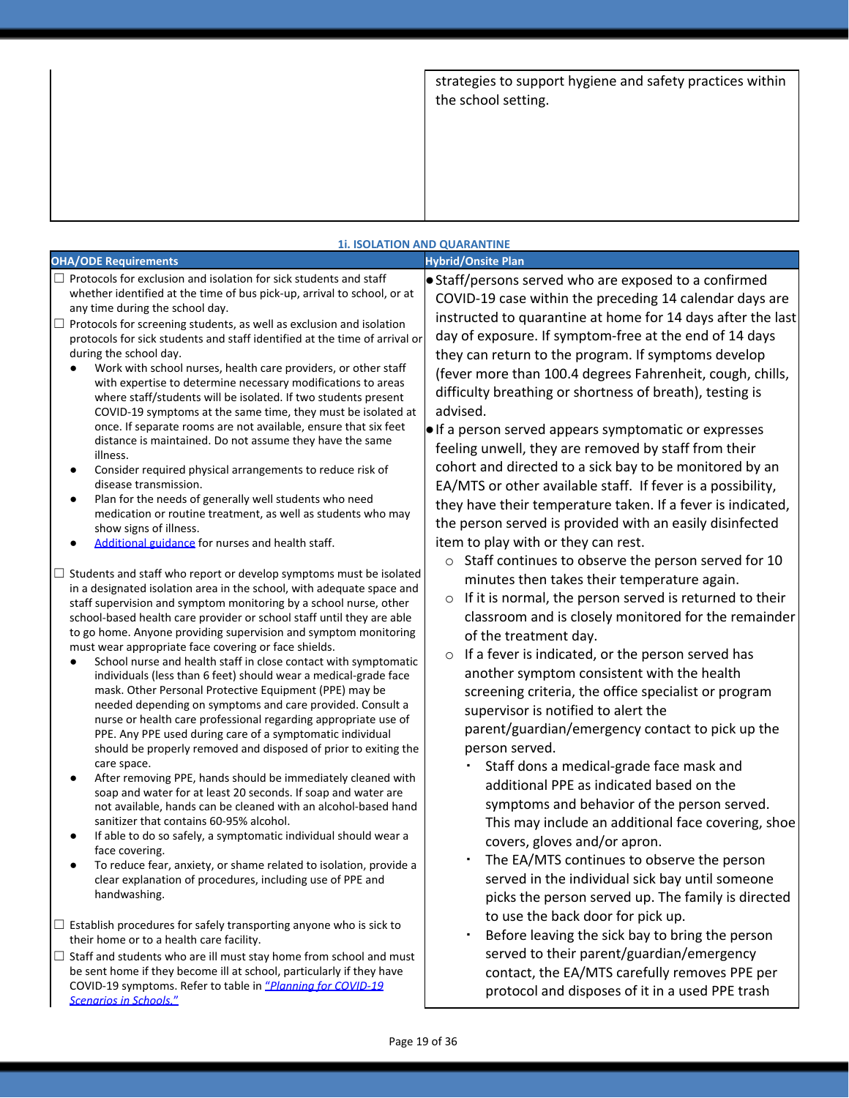strategies to support hygiene and safety practices within the school setting.

| <b>1i. ISOLATION AND QUARANTINE</b>                                                                                                                                                                                                                                                                                                                                                                                                                                                                                                                                                                                                                                                                                                                                                                                                                                                                                                                                                                                                                                                                                                                                                                                                                                                                                                                                                          |                                                                                                                                                                                                                                                                                                                                                                                                                                                                                                                                                                                                                                                                                                                                                                                                                                                                                                                      |
|----------------------------------------------------------------------------------------------------------------------------------------------------------------------------------------------------------------------------------------------------------------------------------------------------------------------------------------------------------------------------------------------------------------------------------------------------------------------------------------------------------------------------------------------------------------------------------------------------------------------------------------------------------------------------------------------------------------------------------------------------------------------------------------------------------------------------------------------------------------------------------------------------------------------------------------------------------------------------------------------------------------------------------------------------------------------------------------------------------------------------------------------------------------------------------------------------------------------------------------------------------------------------------------------------------------------------------------------------------------------------------------------|----------------------------------------------------------------------------------------------------------------------------------------------------------------------------------------------------------------------------------------------------------------------------------------------------------------------------------------------------------------------------------------------------------------------------------------------------------------------------------------------------------------------------------------------------------------------------------------------------------------------------------------------------------------------------------------------------------------------------------------------------------------------------------------------------------------------------------------------------------------------------------------------------------------------|
| <b>OHA/ODE Requirements</b>                                                                                                                                                                                                                                                                                                                                                                                                                                                                                                                                                                                                                                                                                                                                                                                                                                                                                                                                                                                                                                                                                                                                                                                                                                                                                                                                                                  | <b>Hybrid/Onsite Plan</b>                                                                                                                                                                                                                                                                                                                                                                                                                                                                                                                                                                                                                                                                                                                                                                                                                                                                                            |
| $\Box$ Protocols for exclusion and isolation for sick students and staff<br>whether identified at the time of bus pick-up, arrival to school, or at<br>any time during the school day.<br>$\Box$ Protocols for screening students, as well as exclusion and isolation<br>protocols for sick students and staff identified at the time of arrival or<br>during the school day.<br>Work with school nurses, health care providers, or other staff<br>with expertise to determine necessary modifications to areas<br>where staff/students will be isolated. If two students present<br>COVID-19 symptoms at the same time, they must be isolated at<br>once. If separate rooms are not available, ensure that six feet<br>distance is maintained. Do not assume they have the same<br>illness.<br>Consider required physical arrangements to reduce risk of<br>disease transmission.<br>Plan for the needs of generally well students who need<br>medication or routine treatment, as well as students who may<br>show signs of illness.<br>Additional guidance for nurses and health staff.                                                                                                                                                                                                                                                                                                   | • Staff/persons served who are exposed to a confirmed<br>COVID-19 case within the preceding 14 calendar days are<br>instructed to quarantine at home for 14 days after the last<br>day of exposure. If symptom-free at the end of 14 days<br>they can return to the program. If symptoms develop<br>(fever more than 100.4 degrees Fahrenheit, cough, chills,<br>difficulty breathing or shortness of breath), testing is<br>advised.<br>. If a person served appears symptomatic or expresses<br>feeling unwell, they are removed by staff from their<br>cohort and directed to a sick bay to be monitored by an<br>EA/MTS or other available staff. If fever is a possibility,<br>they have their temperature taken. If a fever is indicated,<br>the person served is provided with an easily disinfected<br>item to play with or they can rest.<br>Staff continues to observe the person served for 10<br>$\circ$ |
| Students and staff who report or develop symptoms must be isolated<br>in a designated isolation area in the school, with adequate space and<br>staff supervision and symptom monitoring by a school nurse, other<br>school-based health care provider or school staff until they are able<br>to go home. Anyone providing supervision and symptom monitoring<br>must wear appropriate face covering or face shields.<br>School nurse and health staff in close contact with symptomatic<br>٠<br>individuals (less than 6 feet) should wear a medical-grade face<br>mask. Other Personal Protective Equipment (PPE) may be<br>needed depending on symptoms and care provided. Consult a<br>nurse or health care professional regarding appropriate use of<br>PPE. Any PPE used during care of a symptomatic individual<br>should be properly removed and disposed of prior to exiting the<br>care space.<br>After removing PPE, hands should be immediately cleaned with<br>soap and water for at least 20 seconds. If soap and water are<br>not available, hands can be cleaned with an alcohol-based hand<br>sanitizer that contains 60-95% alcohol.<br>If able to do so safely, a symptomatic individual should wear a<br>face covering.<br>To reduce fear, anxiety, or shame related to isolation, provide a<br>clear explanation of procedures, including use of PPE and<br>handwashing. | minutes then takes their temperature again.<br>If it is normal, the person served is returned to their<br>$\circ$<br>classroom and is closely monitored for the remainder<br>of the treatment day.<br>If a fever is indicated, or the person served has<br>$\circ$<br>another symptom consistent with the health<br>screening criteria, the office specialist or program<br>supervisor is notified to alert the<br>parent/guardian/emergency contact to pick up the<br>person served.<br>Staff dons a medical-grade face mask and<br>additional PPE as indicated based on the<br>symptoms and behavior of the person served.<br>This may include an additional face covering, shoe<br>covers, gloves and/or apron.<br>The EA/MTS continues to observe the person<br>served in the individual sick bay until someone<br>picks the person served up. The family is directed                                            |
| $\Box$ Establish procedures for safely transporting anyone who is sick to<br>their home or to a health care facility.<br>$\Box$ Staff and students who are ill must stay home from school and must<br>be sent home if they become ill at school, particularly if they have<br>COVID-19 symptoms. Refer to table in "Planning for COVID-19<br><b>Scenarios in Schools."</b>                                                                                                                                                                                                                                                                                                                                                                                                                                                                                                                                                                                                                                                                                                                                                                                                                                                                                                                                                                                                                   | to use the back door for pick up.<br>Before leaving the sick bay to bring the person<br>served to their parent/guardian/emergency<br>contact, the EA/MTS carefully removes PPE per<br>protocol and disposes of it in a used PPE trash                                                                                                                                                                                                                                                                                                                                                                                                                                                                                                                                                                                                                                                                                |

## Page 19 of 36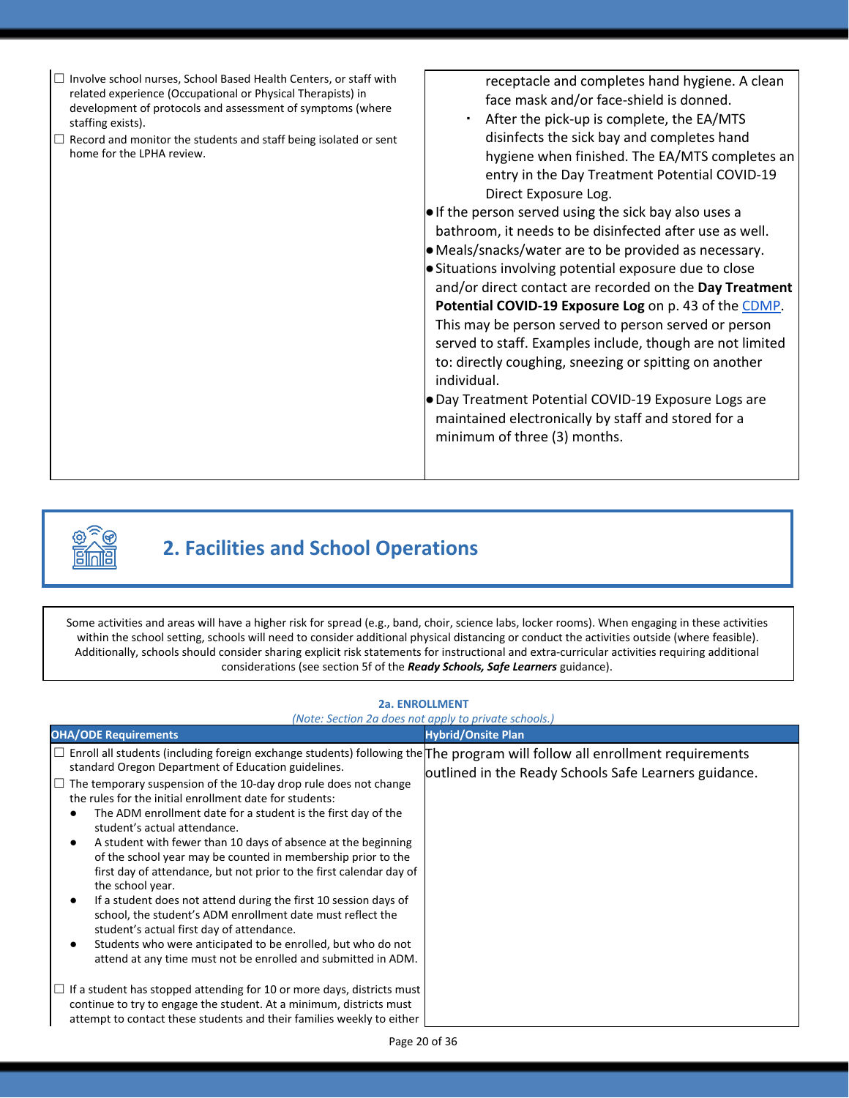

# **2. Facilities and School Operations**

Some activities and areas will have a higher risk for spread (e.g., band, choir, science labs, locker rooms). When engaging in these activities within the school setting, schools will need to consider additional physical distancing or conduct the activities outside (where feasible). Additionally, schools should consider sharing explicit risk statements for instructional and extra-curricular activities requiring additional considerations (see section 5f of the *Ready Schools, Safe Learners* guidance).

### *(Note: Section 2a does not apply to private schools.)* **OHA/ODE Requirements Hybrid/Onsite Plan** □ Enroll all students (including foreign exchange students) following the The program will follow all enrollment requirements standard Oregon Department of Education guidelines. standard Oregon Department of Education guidelines.<br>□ The temporary suspension of the 10-day drop rule does not change the rules for the initial enrollment date for students: The ADM enrollment date for a student is the first day of the student's actual attendance. A student with fewer than 10 days of absence at the beginning of the school year may be counted in membership prior to the first day of attendance, but not prior to the first calendar day of the school year. If a student does not attend during the first 10 session days of school, the student's ADM enrollment date must reflect the student's actual first day of attendance. Students who were anticipated to be enrolled, but who do not attend at any time must not be enrolled and submitted in ADM.  $\Box$  If a student has stopped attending for 10 or more days, districts must continue to try to engage the student. At a minimum, districts must attempt to contact these students and their families weekly to either

#### **2a. ENROLLMENT**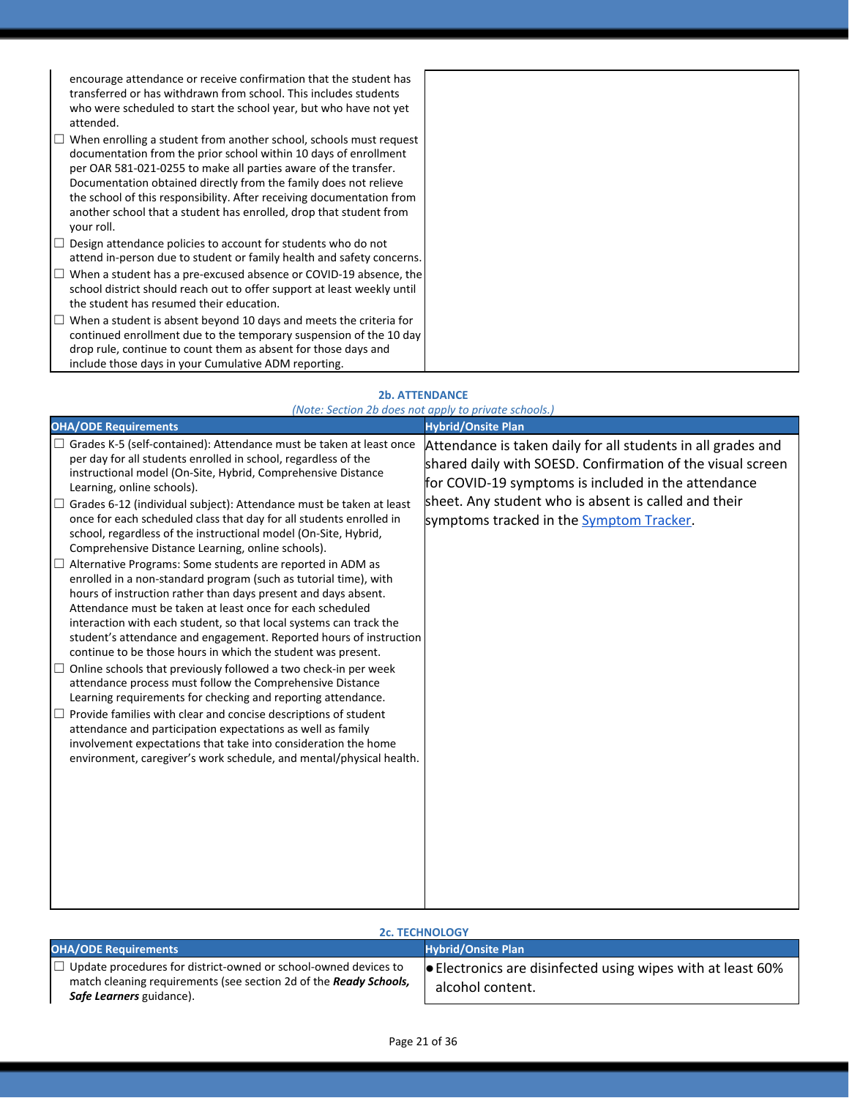encourage attendance or receive confirmation that the student has transferred or has withdrawn from school. This includes students who were scheduled to start the school year, but who have not yet attended.

- $\Box$  When enrolling a student from another school, schools must request documentation from the prior school within 10 days of enrollment per OAR 581-021-0255 to make all parties aware of the transfer. Documentation obtained directly from the family does not relieve the school of this responsibility. After receiving documentation from another school that a student has enrolled, drop that student from your roll.
- $\Box$  Design attendance policies to account for students who do not attend in-person due to student or family health and safety concerns.
- $\Box$  When a student has a pre-excused absence or COVID-19 absence, the school district should reach out to offer support at least weekly until the student has resumed their education.
- $\Box$  When a student is absent beyond 10 days and meets the criteria for continued enrollment due to the temporary suspension of the 10 day drop rule, continue to count them as absent for those days and include those days in your Cumulative ADM reporting.

#### **2b. ATTENDANCE**

|                                                                                                                                                                                                                                                                                                                                                                                                                                                                                                                                                                                                                                                                                                                                                                                                                                                                                                                                                                                                                                                                                                                                                                                                                                                                                                                                                                                                                                                                                        | (Note: Section 2b does not apply to private schools.)                                                                                                                                                                                                                                 |
|----------------------------------------------------------------------------------------------------------------------------------------------------------------------------------------------------------------------------------------------------------------------------------------------------------------------------------------------------------------------------------------------------------------------------------------------------------------------------------------------------------------------------------------------------------------------------------------------------------------------------------------------------------------------------------------------------------------------------------------------------------------------------------------------------------------------------------------------------------------------------------------------------------------------------------------------------------------------------------------------------------------------------------------------------------------------------------------------------------------------------------------------------------------------------------------------------------------------------------------------------------------------------------------------------------------------------------------------------------------------------------------------------------------------------------------------------------------------------------------|---------------------------------------------------------------------------------------------------------------------------------------------------------------------------------------------------------------------------------------------------------------------------------------|
| <b>OHA/ODE Requirements</b>                                                                                                                                                                                                                                                                                                                                                                                                                                                                                                                                                                                                                                                                                                                                                                                                                                                                                                                                                                                                                                                                                                                                                                                                                                                                                                                                                                                                                                                            | <b>Hybrid/Onsite Plan</b>                                                                                                                                                                                                                                                             |
| $\Box$ Grades K-5 (self-contained): Attendance must be taken at least once<br>per day for all students enrolled in school, regardless of the<br>instructional model (On-Site, Hybrid, Comprehensive Distance<br>Learning, online schools).<br>$\Box$ Grades 6-12 (individual subject): Attendance must be taken at least<br>once for each scheduled class that day for all students enrolled in<br>school, regardless of the instructional model (On-Site, Hybrid,<br>Comprehensive Distance Learning, online schools).<br>$\Box$ Alternative Programs: Some students are reported in ADM as<br>enrolled in a non-standard program (such as tutorial time), with<br>hours of instruction rather than days present and days absent.<br>Attendance must be taken at least once for each scheduled<br>interaction with each student, so that local systems can track the<br>student's attendance and engagement. Reported hours of instruction<br>continue to be those hours in which the student was present.<br>Online schools that previously followed a two check-in per week<br>attendance process must follow the Comprehensive Distance<br>Learning requirements for checking and reporting attendance.<br>Provide families with clear and concise descriptions of student<br>attendance and participation expectations as well as family<br>involvement expectations that take into consideration the home<br>environment, caregiver's work schedule, and mental/physical health. | Attendance is taken daily for all students in all grades and<br>shared daily with SOESD. Confirmation of the visual screen<br>for COVID-19 symptoms is included in the attendance<br>sheet. Any student who is absent is called and their<br>symptoms tracked in the Symptom Tracker. |

#### **2c. TECHNOLOGY**

| <b>OHA/ODE Requirements</b>                                                                                                                                                            | <b>Hybrid/Onsite Plan</b>                                                       |
|----------------------------------------------------------------------------------------------------------------------------------------------------------------------------------------|---------------------------------------------------------------------------------|
| $\Box$ Update procedures for district-owned or school-owned devices to<br>match cleaning requirements (see section 2d of the <b>Ready Schools</b> ,<br><b>Safe Learners</b> guidance). | ● Electronics are disinfected using wipes with at least 60%<br>alcohol content. |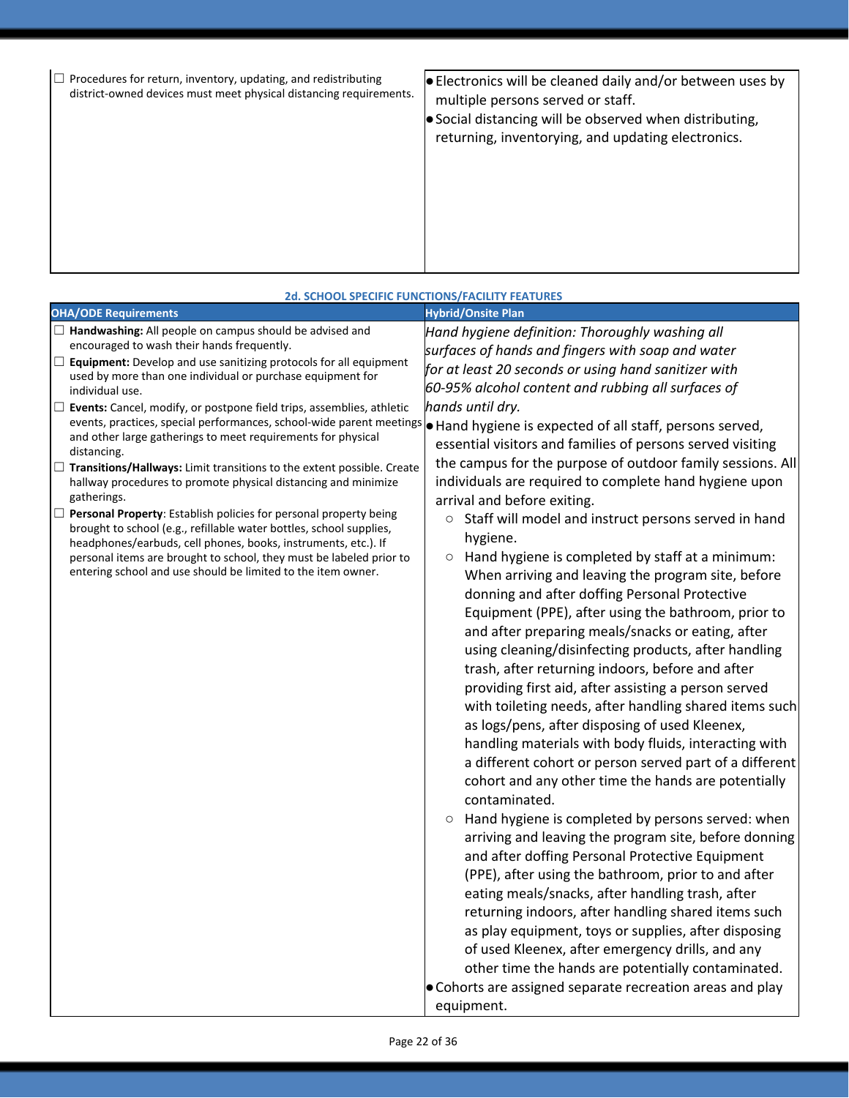|  |  | Procedures for return, inventory, updating, and redistributing<br>district-owned devices must meet physical distancing requirements. | $\bullet$ Electronics will be cleaned daily and/or between uses by<br>multiple persons served or staff.<br>Social distancing will be observed when distributing,<br>returning, inventorying, and updating electronics. |
|--|--|--------------------------------------------------------------------------------------------------------------------------------------|------------------------------------------------------------------------------------------------------------------------------------------------------------------------------------------------------------------------|
|--|--|--------------------------------------------------------------------------------------------------------------------------------------|------------------------------------------------------------------------------------------------------------------------------------------------------------------------------------------------------------------------|

|                                                                                                                                                                                                                                                                                                                                                                                                                                                                                                                                                                                                                                                                                                                                                                                                                                                                                                                                                                                                                                                       | <b>2d. SCHOOL SPECIFIC FUNCTIONS/FACILITY FEATURES</b>                                                                                                                                                                                                                                                                                                                                                                                                                                                                                                                                                                                                                                                                                                                                                                                                                                                                                                                                                                                                                                                                                                                                                                                                                                                                                                                                                                                                                                                                                                                                                                                                                                                                                                                                                                                                                                                                                                           |
|-------------------------------------------------------------------------------------------------------------------------------------------------------------------------------------------------------------------------------------------------------------------------------------------------------------------------------------------------------------------------------------------------------------------------------------------------------------------------------------------------------------------------------------------------------------------------------------------------------------------------------------------------------------------------------------------------------------------------------------------------------------------------------------------------------------------------------------------------------------------------------------------------------------------------------------------------------------------------------------------------------------------------------------------------------|------------------------------------------------------------------------------------------------------------------------------------------------------------------------------------------------------------------------------------------------------------------------------------------------------------------------------------------------------------------------------------------------------------------------------------------------------------------------------------------------------------------------------------------------------------------------------------------------------------------------------------------------------------------------------------------------------------------------------------------------------------------------------------------------------------------------------------------------------------------------------------------------------------------------------------------------------------------------------------------------------------------------------------------------------------------------------------------------------------------------------------------------------------------------------------------------------------------------------------------------------------------------------------------------------------------------------------------------------------------------------------------------------------------------------------------------------------------------------------------------------------------------------------------------------------------------------------------------------------------------------------------------------------------------------------------------------------------------------------------------------------------------------------------------------------------------------------------------------------------------------------------------------------------------------------------------------------------|
| <b>OHA/ODE Requirements</b>                                                                                                                                                                                                                                                                                                                                                                                                                                                                                                                                                                                                                                                                                                                                                                                                                                                                                                                                                                                                                           | <b>Hybrid/Onsite Plan</b>                                                                                                                                                                                                                                                                                                                                                                                                                                                                                                                                                                                                                                                                                                                                                                                                                                                                                                                                                                                                                                                                                                                                                                                                                                                                                                                                                                                                                                                                                                                                                                                                                                                                                                                                                                                                                                                                                                                                        |
| $\Box$ Handwashing: All people on campus should be advised and<br>encouraged to wash their hands frequently.<br>$\Box$ <b>Equipment:</b> Develop and use sanitizing protocols for all equipment<br>used by more than one individual or purchase equipment for<br>individual use.<br>$\Box$ Events: Cancel, modify, or postpone field trips, assemblies, athletic<br>events, practices, special performances, school-wide parent meetings<br>and other large gatherings to meet requirements for physical<br>distancing.<br>$\Box$ Transitions/Hallways: Limit transitions to the extent possible. Create<br>hallway procedures to promote physical distancing and minimize<br>gatherings.<br>$\Box$ Personal Property: Establish policies for personal property being<br>brought to school (e.g., refillable water bottles, school supplies,<br>headphones/earbuds, cell phones, books, instruments, etc.). If<br>personal items are brought to school, they must be labeled prior to<br>entering school and use should be limited to the item owner. | Hand hygiene definition: Thoroughly washing all<br>surfaces of hands and fingers with soap and water<br>for at least 20 seconds or using hand sanitizer with<br>60-95% alcohol content and rubbing all surfaces of<br>hands until dry.<br>Hand hygiene is expected of all staff, persons served,<br>essential visitors and families of persons served visiting<br>the campus for the purpose of outdoor family sessions. All<br>individuals are required to complete hand hygiene upon<br>arrival and before exiting.<br>○ Staff will model and instruct persons served in hand<br>hygiene.<br>Hand hygiene is completed by staff at a minimum:<br>$\circlearrowright$<br>When arriving and leaving the program site, before<br>donning and after doffing Personal Protective<br>Equipment (PPE), after using the bathroom, prior to<br>and after preparing meals/snacks or eating, after<br>using cleaning/disinfecting products, after handling<br>trash, after returning indoors, before and after<br>providing first aid, after assisting a person served<br>with toileting needs, after handling shared items such<br>as logs/pens, after disposing of used Kleenex,<br>handling materials with body fluids, interacting with<br>a different cohort or person served part of a different<br>cohort and any other time the hands are potentially<br>contaminated.<br>Hand hygiene is completed by persons served: when<br>$\circ$<br>arriving and leaving the program site, before donning<br>and after doffing Personal Protective Equipment<br>(PPE), after using the bathroom, prior to and after<br>eating meals/snacks, after handling trash, after<br>returning indoors, after handling shared items such<br>as play equipment, toys or supplies, after disposing<br>of used Kleenex, after emergency drills, and any<br>other time the hands are potentially contaminated.<br>• Cohorts are assigned separate recreation areas and play<br>equipment. |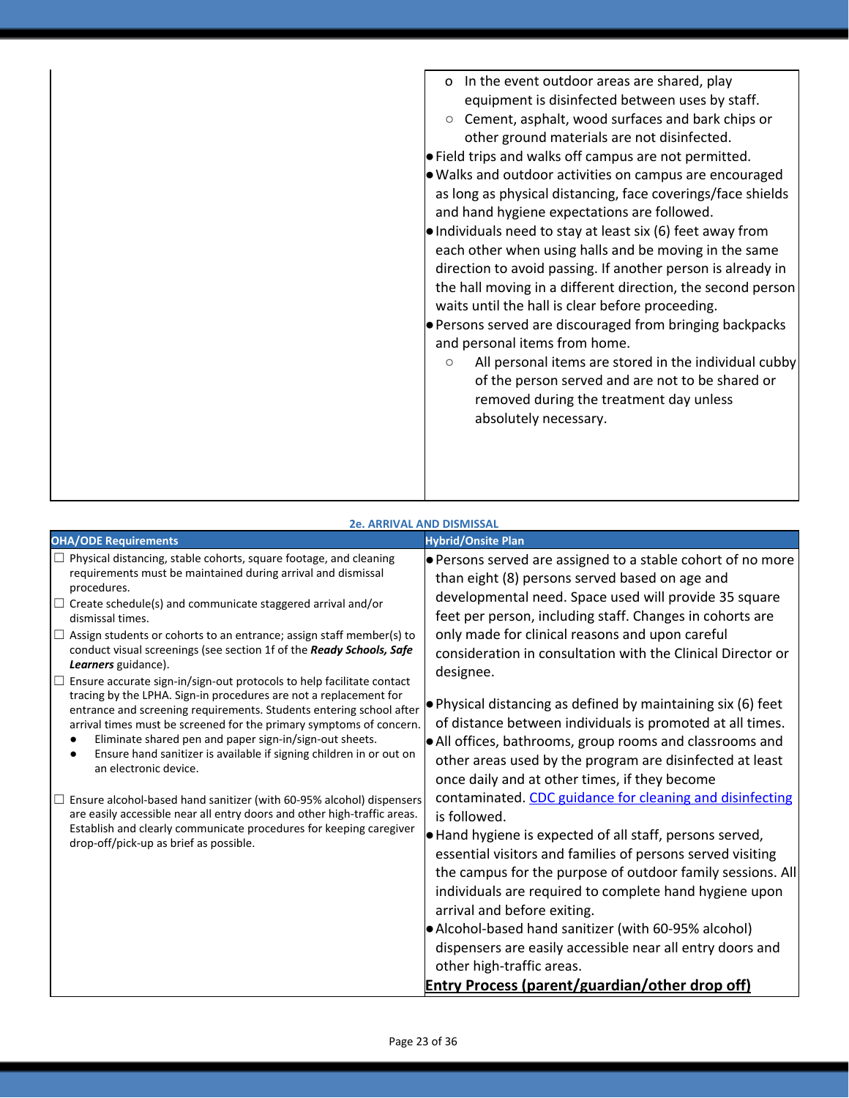| o In the event outdoor areas are shared, play<br>equipment is disinfected between uses by staff.<br>Cement, asphalt, wood surfaces and bark chips or<br>other ground materials are not disinfected.<br>. Field trips and walks off campus are not permitted.<br>. Walks and outdoor activities on campus are encouraged<br>as long as physical distancing, face coverings/face shields<br>and hand hygiene expectations are followed.<br>. Individuals need to stay at least six (6) feet away from<br>each other when using halls and be moving in the same<br>direction to avoid passing. If another person is already in<br>the hall moving in a different direction, the second person<br>waits until the hall is clear before proceeding.<br>• Persons served are discouraged from bringing backpacks<br>and personal items from home.<br>All personal items are stored in the individual cubby<br>$\circ$<br>of the person served and are not to be shared or<br>removed during the treatment day unless<br>absolutely necessary. |
|-----------------------------------------------------------------------------------------------------------------------------------------------------------------------------------------------------------------------------------------------------------------------------------------------------------------------------------------------------------------------------------------------------------------------------------------------------------------------------------------------------------------------------------------------------------------------------------------------------------------------------------------------------------------------------------------------------------------------------------------------------------------------------------------------------------------------------------------------------------------------------------------------------------------------------------------------------------------------------------------------------------------------------------------|
|                                                                                                                                                                                                                                                                                                                                                                                                                                                                                                                                                                                                                                                                                                                                                                                                                                                                                                                                                                                                                                         |
|                                                                                                                                                                                                                                                                                                                                                                                                                                                                                                                                                                                                                                                                                                                                                                                                                                                                                                                                                                                                                                         |

### **2e. ARRIVAL AND DISMISSAL**

| <b>OHA/ODE Requirements</b>                                                                                                                                                                                                                                                                                                                                                                                                                                                                                                                                                                                                                                                                                                                                                                                                                                                                                                                                                                                                                                                                                                                                              | <b>Hybrid/Onsite Plan</b>                                                                                                                                                                                                                                                                                                                                                                                                                                                                                                                                                                                                                                                                                                                                                                                                                                                                                                                                                                                                                                                                                                                                                                                                                                                    |
|--------------------------------------------------------------------------------------------------------------------------------------------------------------------------------------------------------------------------------------------------------------------------------------------------------------------------------------------------------------------------------------------------------------------------------------------------------------------------------------------------------------------------------------------------------------------------------------------------------------------------------------------------------------------------------------------------------------------------------------------------------------------------------------------------------------------------------------------------------------------------------------------------------------------------------------------------------------------------------------------------------------------------------------------------------------------------------------------------------------------------------------------------------------------------|------------------------------------------------------------------------------------------------------------------------------------------------------------------------------------------------------------------------------------------------------------------------------------------------------------------------------------------------------------------------------------------------------------------------------------------------------------------------------------------------------------------------------------------------------------------------------------------------------------------------------------------------------------------------------------------------------------------------------------------------------------------------------------------------------------------------------------------------------------------------------------------------------------------------------------------------------------------------------------------------------------------------------------------------------------------------------------------------------------------------------------------------------------------------------------------------------------------------------------------------------------------------------|
| $\Box$ Physical distancing, stable cohorts, square footage, and cleaning<br>requirements must be maintained during arrival and dismissal<br>procedures.<br>$\Box$ Create schedule(s) and communicate staggered arrival and/or<br>dismissal times.<br>$\Box$ Assign students or cohorts to an entrance; assign staff member(s) to<br>conduct visual screenings (see section 1f of the Ready Schools, Safe<br>Learners guidance).<br>$\Box$ Ensure accurate sign-in/sign-out protocols to help facilitate contact<br>tracing by the LPHA. Sign-in procedures are not a replacement for<br>entrance and screening requirements. Students entering school after<br>arrival times must be screened for the primary symptoms of concern.<br>Eliminate shared pen and paper sign-in/sign-out sheets.<br>Ensure hand sanitizer is available if signing children in or out on<br>an electronic device.<br>$\Box$ Ensure alcohol-based hand sanitizer (with 60-95% alcohol) dispensers<br>are easily accessible near all entry doors and other high-traffic areas.<br>Establish and clearly communicate procedures for keeping caregiver<br>drop-off/pick-up as brief as possible. | <b>Persons served are assigned to a stable cohort of no more</b><br>than eight (8) persons served based on age and<br>developmental need. Space used will provide 35 square<br>feet per person, including staff. Changes in cohorts are<br>only made for clinical reasons and upon careful<br>consideration in consultation with the Clinical Director or<br>designee.<br>$\bullet$ Physical distancing as defined by maintaining six (6) feet<br>of distance between individuals is promoted at all times.<br>$\bullet$ All offices, bathrooms, group rooms and classrooms and<br>other areas used by the program are disinfected at least<br>once daily and at other times, if they become<br>contaminated. CDC guidance for cleaning and disinfecting<br>is followed.<br>$\bullet$ Hand hygiene is expected of all staff, persons served,<br>essential visitors and families of persons served visiting<br>the campus for the purpose of outdoor family sessions. All<br>individuals are required to complete hand hygiene upon<br>arrival and before exiting.<br>• Alcohol-based hand sanitizer (with 60-95% alcohol)<br>dispensers are easily accessible near all entry doors and<br>other high-traffic areas.<br><b>Entry Process (parent/guardian/other drop off)</b> |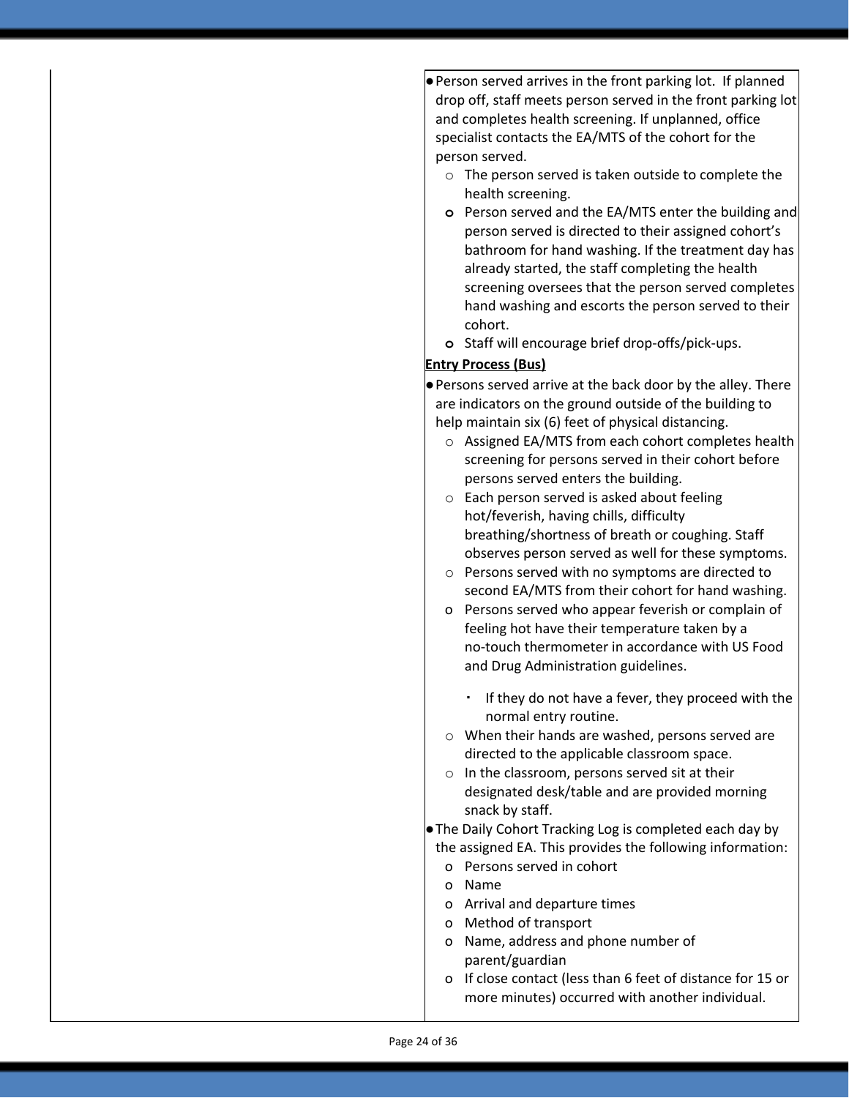●Person served arrives in the front parking lot. If planned drop off, staff meets person served in the front parking lot and completes health screening. If unplanned, office specialist contacts the EA/MTS of the cohort for the person served.

- o The person served is taken outside to complete the health screening.
- **o** Person served and the EA/MTS enter the building and person served is directed to their assigned cohort's bathroom for hand washing. If the treatment day has already started, the staff completing the health screening oversees that the person served completes hand washing and escorts the person served to their cohort.
- **o** Staff will encourage brief drop-offs/pick-ups.

### **Entry Process (Bus)**

●Persons served arrive at the back door by the alley. There are indicators on the ground outside of the building to help maintain six (6) feet of physical distancing.

- o Assigned EA/MTS from each cohort completes health screening for persons served in their cohort before persons served enters the building.
- o Each person served is asked about feeling hot/feverish, having chills, difficulty breathing/shortness of breath or coughing. Staff observes person served as well for these symptoms.
- o Persons served with no symptoms are directed to second EA/MTS from their cohort for hand washing.
- o Persons served who appear feverish or complain of feeling hot have their temperature taken by a no-touch thermometer in accordance with US Food and Drug Administration guidelines.
	- If they do not have a fever, they proceed with the normal entry routine.
- o When their hands are washed, persons served are directed to the applicable classroom space.
- o In the classroom, persons served sit at their designated desk/table and are provided morning snack by staff.

●The Daily Cohort Tracking Log is completed each day by the assigned EA. This provides the following information:

- o Persons served in cohort
- o Name
- o Arrival and departure times
- o Method of transport
- o Name, address and phone number of parent/guardian
- o If close contact (less than 6 feet of distance for 15 or more minutes) occurred with another individual.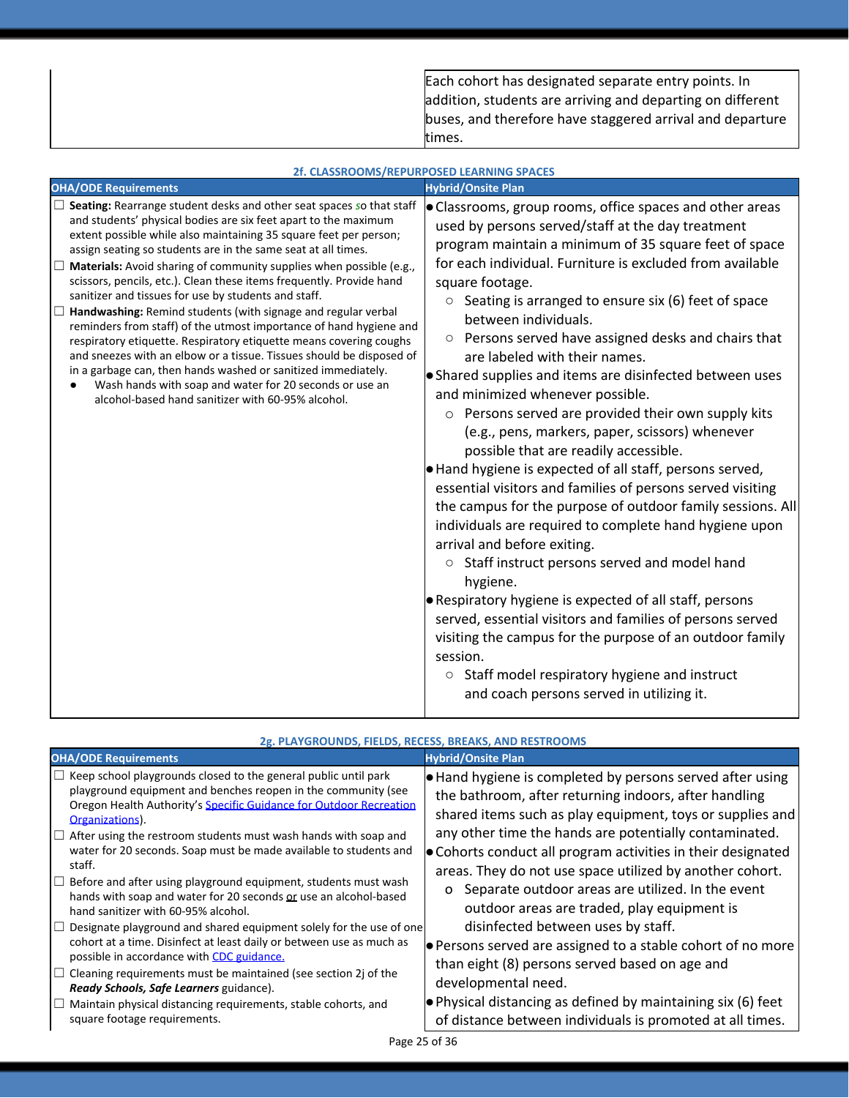Each cohort has designated separate entry points. In addition, students are arriving and departing on different buses, and therefore have staggered arrival and departure times.

|                                                                                                                                                                                                                                                                                                                                                                                                                                                                                                                                                                                                                                                                                                                                                                                                                                                                                                                                                                          | 2f. CLASSROOMS/REPURPOSED LEARNING SPACES                                                                                                                                                                                                                                                                                                                                                                                                                                                                                                                                                                                                                                                                                                                                                                                                                                                                                                                                                                                                                                                                                                                                                                                                                                                                                                                        |
|--------------------------------------------------------------------------------------------------------------------------------------------------------------------------------------------------------------------------------------------------------------------------------------------------------------------------------------------------------------------------------------------------------------------------------------------------------------------------------------------------------------------------------------------------------------------------------------------------------------------------------------------------------------------------------------------------------------------------------------------------------------------------------------------------------------------------------------------------------------------------------------------------------------------------------------------------------------------------|------------------------------------------------------------------------------------------------------------------------------------------------------------------------------------------------------------------------------------------------------------------------------------------------------------------------------------------------------------------------------------------------------------------------------------------------------------------------------------------------------------------------------------------------------------------------------------------------------------------------------------------------------------------------------------------------------------------------------------------------------------------------------------------------------------------------------------------------------------------------------------------------------------------------------------------------------------------------------------------------------------------------------------------------------------------------------------------------------------------------------------------------------------------------------------------------------------------------------------------------------------------------------------------------------------------------------------------------------------------|
| <b>OHA/ODE Requirements</b>                                                                                                                                                                                                                                                                                                                                                                                                                                                                                                                                                                                                                                                                                                                                                                                                                                                                                                                                              | <b>Hybrid/Onsite Plan</b>                                                                                                                                                                                                                                                                                                                                                                                                                                                                                                                                                                                                                                                                                                                                                                                                                                                                                                                                                                                                                                                                                                                                                                                                                                                                                                                                        |
| $\Box$ Seating: Rearrange student desks and other seat spaces so that staff<br>and students' physical bodies are six feet apart to the maximum<br>extent possible while also maintaining 35 square feet per person;<br>assign seating so students are in the same seat at all times.<br>$\Box$ Materials: Avoid sharing of community supplies when possible (e.g.,<br>scissors, pencils, etc.). Clean these items frequently. Provide hand<br>sanitizer and tissues for use by students and staff.<br>Handwashing: Remind students (with signage and regular verbal<br>reminders from staff) of the utmost importance of hand hygiene and<br>respiratory etiquette. Respiratory etiquette means covering coughs<br>and sneezes with an elbow or a tissue. Tissues should be disposed of<br>in a garbage can, then hands washed or sanitized immediately.<br>Wash hands with soap and water for 20 seconds or use an<br>alcohol-based hand sanitizer with 60-95% alcohol. | <b>.</b> Classrooms, group rooms, office spaces and other areas<br>used by persons served/staff at the day treatment<br>program maintain a minimum of 35 square feet of space<br>for each individual. Furniture is excluded from available<br>square footage.<br>Seating is arranged to ensure six (6) feet of space<br>$\circ$<br>between individuals.<br>○ Persons served have assigned desks and chairs that<br>are labeled with their names.<br>• Shared supplies and items are disinfected between uses<br>and minimized whenever possible.<br>o Persons served are provided their own supply kits<br>(e.g., pens, markers, paper, scissors) whenever<br>possible that are readily accessible.<br>. Hand hygiene is expected of all staff, persons served,<br>essential visitors and families of persons served visiting<br>the campus for the purpose of outdoor family sessions. All<br>individuals are required to complete hand hygiene upon<br>arrival and before exiting.<br>Staff instruct persons served and model hand<br>$\circ$<br>hygiene.<br>• Respiratory hygiene is expected of all staff, persons<br>served, essential visitors and families of persons served<br>visiting the campus for the purpose of an outdoor family<br>session.<br>$\circ$ Staff model respiratory hygiene and instruct<br>and coach persons served in utilizing it. |

|                                                                                                                                                                                                                                                                                                                                                                                                                                                                                                                                                                                                                                                                                                                                                                                                                                                                                                                                                                                                                 | 2g. PLAYGROUNDS, FIELDS, RECESS, BREAKS, AND RESTROOMS                                                                                                                                                                                                                                                                                                                                                                                                                                                                                                                                                                                                                                                                                                                                                      |
|-----------------------------------------------------------------------------------------------------------------------------------------------------------------------------------------------------------------------------------------------------------------------------------------------------------------------------------------------------------------------------------------------------------------------------------------------------------------------------------------------------------------------------------------------------------------------------------------------------------------------------------------------------------------------------------------------------------------------------------------------------------------------------------------------------------------------------------------------------------------------------------------------------------------------------------------------------------------------------------------------------------------|-------------------------------------------------------------------------------------------------------------------------------------------------------------------------------------------------------------------------------------------------------------------------------------------------------------------------------------------------------------------------------------------------------------------------------------------------------------------------------------------------------------------------------------------------------------------------------------------------------------------------------------------------------------------------------------------------------------------------------------------------------------------------------------------------------------|
| <b>OHA/ODE Requirements</b>                                                                                                                                                                                                                                                                                                                                                                                                                                                                                                                                                                                                                                                                                                                                                                                                                                                                                                                                                                                     | <b>Hybrid/Onsite Plan</b>                                                                                                                                                                                                                                                                                                                                                                                                                                                                                                                                                                                                                                                                                                                                                                                   |
| $\Box$ Keep school playgrounds closed to the general public until park<br>playground equipment and benches reopen in the community (see<br>Oregon Health Authority's Specific Guidance for Outdoor Recreation<br>Organizations).<br>$\Box$ After using the restroom students must wash hands with soap and<br>water for 20 seconds. Soap must be made available to students and<br>staff.<br>$\Box$ Before and after using playground equipment, students must wash<br>hands with soap and water for 20 seconds or use an alcohol-based<br>hand sanitizer with 60-95% alcohol.<br>$\Box$ Designate playground and shared equipment solely for the use of one<br>cohort at a time. Disinfect at least daily or between use as much as<br>possible in accordance with CDC guidance.<br>$\Box$ Cleaning requirements must be maintained (see section 2j of the<br>Ready Schools, Safe Learners guidance).<br>$\Box$ Maintain physical distancing requirements, stable cohorts, and<br>square footage requirements. | $\bullet$ Hand hygiene is completed by persons served after using<br>the bathroom, after returning indoors, after handling<br>shared items such as play equipment, toys or supplies and<br>any other time the hands are potentially contaminated.<br>• Cohorts conduct all program activities in their designated<br>areas. They do not use space utilized by another cohort.<br>Separate outdoor areas are utilized. In the event<br>outdoor areas are traded, play equipment is<br>disinfected between uses by staff.<br><b>•</b> Persons served are assigned to a stable cohort of no more<br>than eight (8) persons served based on age and<br>developmental need.<br>$\bullet$ Physical distancing as defined by maintaining six (6) feet<br>of distance between individuals is promoted at all times. |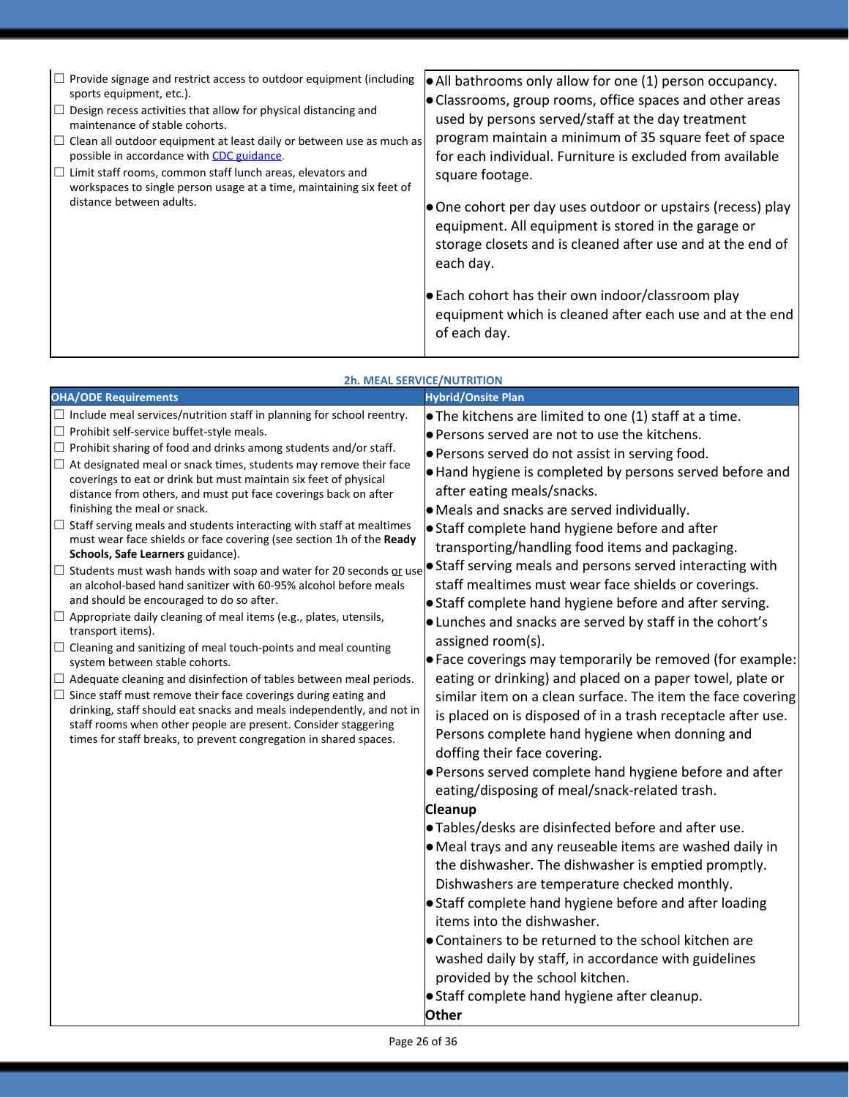| $\bullet$ All bathrooms only allow for one (1) person occupancy.<br>$\bullet$ Classrooms, group rooms, office spaces and other areas<br>used by persons served/staff at the day treatment<br>program maintain a minimum of 35 square feet of space<br>$\Box$ Clean all outdoor equipment at least daily or between use as much as<br>for each individual. Furniture is excluded from available<br>square footage.<br>$\bullet$ One cohort per day uses outdoor or upstairs (recess) play<br>equipment. All equipment is stored in the garage or<br>storage closets and is cleaned after use and at the end of<br>each day.<br>$\bullet$ Each cohort has their own indoor/classroom play<br>equipment which is cleaned after each use and at the end<br>of each day. |
|---------------------------------------------------------------------------------------------------------------------------------------------------------------------------------------------------------------------------------------------------------------------------------------------------------------------------------------------------------------------------------------------------------------------------------------------------------------------------------------------------------------------------------------------------------------------------------------------------------------------------------------------------------------------------------------------------------------------------------------------------------------------|
| $\Box$ Provide signage and restrict access to outdoor equipment (including                                                                                                                                                                                                                                                                                                                                                                                                                                                                                                                                                                                                                                                                                          |

|                                                                                                                                                                                                                                                                                                                                                                                                                                                                                                                                                                                                                                                                                                                                                                                                                                                                                                                                                                                                                                                                                                                                                                                                                                                                                                                                                                                                                                           | <b>2h. MEAL SERVICE/NUTRITION</b>                                                                                                                                                                                                                                                                                                                                                                                                                                                                                                                                                                                                                                                                                                                                                                                                                                                                                                                                                                                                                                                                                                                                                                                                                                                                                                                                                                                                                                                                                                                                                                                                                                                              |
|-------------------------------------------------------------------------------------------------------------------------------------------------------------------------------------------------------------------------------------------------------------------------------------------------------------------------------------------------------------------------------------------------------------------------------------------------------------------------------------------------------------------------------------------------------------------------------------------------------------------------------------------------------------------------------------------------------------------------------------------------------------------------------------------------------------------------------------------------------------------------------------------------------------------------------------------------------------------------------------------------------------------------------------------------------------------------------------------------------------------------------------------------------------------------------------------------------------------------------------------------------------------------------------------------------------------------------------------------------------------------------------------------------------------------------------------|------------------------------------------------------------------------------------------------------------------------------------------------------------------------------------------------------------------------------------------------------------------------------------------------------------------------------------------------------------------------------------------------------------------------------------------------------------------------------------------------------------------------------------------------------------------------------------------------------------------------------------------------------------------------------------------------------------------------------------------------------------------------------------------------------------------------------------------------------------------------------------------------------------------------------------------------------------------------------------------------------------------------------------------------------------------------------------------------------------------------------------------------------------------------------------------------------------------------------------------------------------------------------------------------------------------------------------------------------------------------------------------------------------------------------------------------------------------------------------------------------------------------------------------------------------------------------------------------------------------------------------------------------------------------------------------------|
| <b>OHA/ODE Requirements</b>                                                                                                                                                                                                                                                                                                                                                                                                                                                                                                                                                                                                                                                                                                                                                                                                                                                                                                                                                                                                                                                                                                                                                                                                                                                                                                                                                                                                               | <b>Hybrid/Onsite Plan</b>                                                                                                                                                                                                                                                                                                                                                                                                                                                                                                                                                                                                                                                                                                                                                                                                                                                                                                                                                                                                                                                                                                                                                                                                                                                                                                                                                                                                                                                                                                                                                                                                                                                                      |
| $\Box$ Include meal services/nutrition staff in planning for school reentry.<br>$\Box$ Prohibit self-service buffet-style meals.<br>$\Box$ Prohibit sharing of food and drinks among students and/or staff.<br>$\Box$ At designated meal or snack times, students may remove their face<br>coverings to eat or drink but must maintain six feet of physical<br>distance from others, and must put face coverings back on after<br>finishing the meal or snack.<br>$\Box$ Staff serving meals and students interacting with staff at mealtimes<br>must wear face shields or face covering (see section 1h of the Ready<br>Schools, Safe Learners guidance).<br>$\Box$ Students must wash hands with soap and water for 20 seconds or use<br>an alcohol-based hand sanitizer with 60-95% alcohol before meals<br>and should be encouraged to do so after.<br>$\Box$ Appropriate daily cleaning of meal items (e.g., plates, utensils,<br>transport items).<br>$\Box$ Cleaning and sanitizing of meal touch-points and meal counting<br>system between stable cohorts.<br>$\Box$ Adequate cleaning and disinfection of tables between meal periods.<br>$\Box$ Since staff must remove their face coverings during eating and<br>drinking, staff should eat snacks and meals independently, and not in<br>staff rooms when other people are present. Consider staggering<br>times for staff breaks, to prevent congregation in shared spaces. | $\bullet$ The kitchens are limited to one (1) staff at a time.<br><b>Persons served are not to use the kitchens.</b><br>Persons served do not assist in serving food.<br>Hand hygiene is completed by persons served before and<br>after eating meals/snacks.<br>• Meals and snacks are served individually.<br>Staff complete hand hygiene before and after<br>transporting/handling food items and packaging.<br>Staff serving meals and persons served interacting with<br>staff mealtimes must wear face shields or coverings.<br>Staff complete hand hygiene before and after serving.<br>$\bullet$ Lunches and snacks are served by staff in the cohort's<br>assigned room(s).<br>$\bullet$ Face coverings may temporarily be removed (for example:<br>eating or drinking) and placed on a paper towel, plate or<br>similar item on a clean surface. The item the face covering<br>is placed on is disposed of in a trash receptacle after use.<br>Persons complete hand hygiene when donning and<br>doffing their face covering.<br>Persons served complete hand hygiene before and after<br>eating/disposing of meal/snack-related trash.<br><b>Cleanup</b><br>• Tables/desks are disinfected before and after use.<br>$\bullet$ Meal trays and any reuseable items are washed daily in<br>the dishwasher. The dishwasher is emptied promptly.<br>Dishwashers are temperature checked monthly.<br>Staff complete hand hygiene before and after loading<br>items into the dishwasher.<br>• Containers to be returned to the school kitchen are<br>washed daily by staff, in accordance with guidelines<br>provided by the school kitchen.<br>Staff complete hand hygiene after cleanup. |

**Other**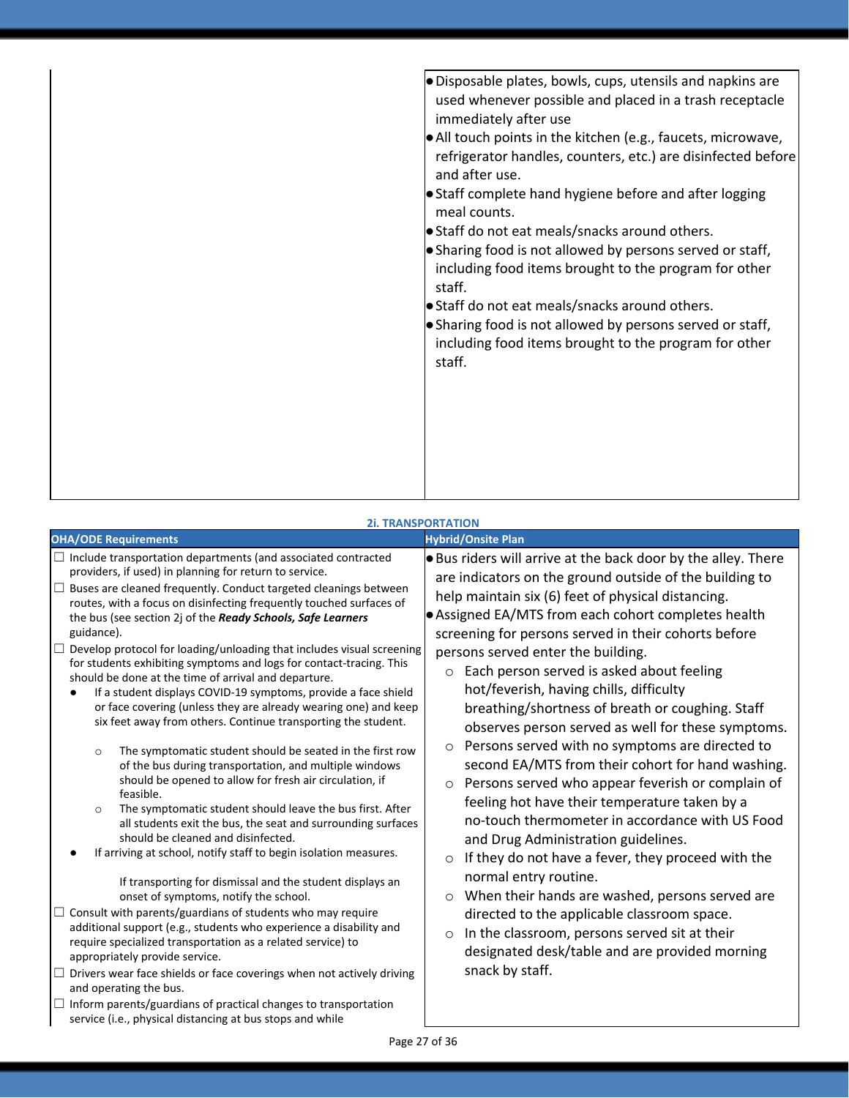| $\bullet$ Disposable plates, bowls, cups, utensils and napkins are<br>used whenever possible and placed in a trash receptacle<br>immediately after use<br>All touch points in the kitchen (e.g., faucets, microwave,<br>refrigerator handles, counters, etc.) are disinfected before<br>and after use.<br>• Staff complete hand hygiene before and after logging<br>meal counts.<br>Staff do not eat meals/snacks around others.<br>• Sharing food is not allowed by persons served or staff,<br>including food items brought to the program for other<br>staff.<br>Staff do not eat meals/snacks around others.<br>• Sharing food is not allowed by persons served or staff,<br>including food items brought to the program for other<br>staff. |
|--------------------------------------------------------------------------------------------------------------------------------------------------------------------------------------------------------------------------------------------------------------------------------------------------------------------------------------------------------------------------------------------------------------------------------------------------------------------------------------------------------------------------------------------------------------------------------------------------------------------------------------------------------------------------------------------------------------------------------------------------|
|                                                                                                                                                                                                                                                                                                                                                                                                                                                                                                                                                                                                                                                                                                                                                  |

### **2i. TRANSPORTATION**

| <b>OHA/ODE Requirements</b>                                                                                                                                                                                                                                                                                                                                                                                                                                                                                                                                                                                                                                                                                                                                                                                                                                                                                                                                                                                                                                                                                                                                                                                                                                                                                                                                                                                                                                                                                                                                                                                                                                                                                                                                                                                                                    | <b>Hybrid/Onsite Plan</b>                                                                                                                                                                                                                                                                                                                                                                                                                                                                                                                                                                                                                                                                                                                                                                                                                                                                                                                                                                                                                                                                                                                                                                                      |
|------------------------------------------------------------------------------------------------------------------------------------------------------------------------------------------------------------------------------------------------------------------------------------------------------------------------------------------------------------------------------------------------------------------------------------------------------------------------------------------------------------------------------------------------------------------------------------------------------------------------------------------------------------------------------------------------------------------------------------------------------------------------------------------------------------------------------------------------------------------------------------------------------------------------------------------------------------------------------------------------------------------------------------------------------------------------------------------------------------------------------------------------------------------------------------------------------------------------------------------------------------------------------------------------------------------------------------------------------------------------------------------------------------------------------------------------------------------------------------------------------------------------------------------------------------------------------------------------------------------------------------------------------------------------------------------------------------------------------------------------------------------------------------------------------------------------------------------------|----------------------------------------------------------------------------------------------------------------------------------------------------------------------------------------------------------------------------------------------------------------------------------------------------------------------------------------------------------------------------------------------------------------------------------------------------------------------------------------------------------------------------------------------------------------------------------------------------------------------------------------------------------------------------------------------------------------------------------------------------------------------------------------------------------------------------------------------------------------------------------------------------------------------------------------------------------------------------------------------------------------------------------------------------------------------------------------------------------------------------------------------------------------------------------------------------------------|
| $\Box$ Include transportation departments (and associated contracted<br>providers, if used) in planning for return to service.<br>Buses are cleaned frequently. Conduct targeted cleanings between<br>$\Box$<br>routes, with a focus on disinfecting frequently touched surfaces of<br>the bus (see section 2j of the Ready Schools, Safe Learners<br>guidance).<br>Develop protocol for loading/unloading that includes visual screening<br>$\Box$<br>for students exhibiting symptoms and logs for contact-tracing. This<br>should be done at the time of arrival and departure.<br>If a student displays COVID-19 symptoms, provide a face shield<br>or face covering (unless they are already wearing one) and keep<br>six feet away from others. Continue transporting the student.<br>The symptomatic student should be seated in the first row<br>$\circ$<br>of the bus during transportation, and multiple windows<br>should be opened to allow for fresh air circulation, if<br>feasible.<br>The symptomatic student should leave the bus first. After<br>$\circ$<br>all students exit the bus, the seat and surrounding surfaces<br>should be cleaned and disinfected.<br>If arriving at school, notify staff to begin isolation measures.<br>If transporting for dismissal and the student displays an<br>onset of symptoms, notify the school.<br>Consult with parents/guardians of students who may require<br>additional support (e.g., students who experience a disability and<br>require specialized transportation as a related service) to<br>appropriately provide service.<br>$\Box$ Drivers wear face shields or face coverings when not actively driving<br>and operating the bus.<br>Inform parents/guardians of practical changes to transportation<br>⊔<br>service (i.e., physical distancing at bus stops and while | <b>Bus riders will arrive at the back door by the alley. There</b><br>are indicators on the ground outside of the building to<br>help maintain six (6) feet of physical distancing.<br>Assigned EA/MTS from each cohort completes health<br>screening for persons served in their cohorts before<br>persons served enter the building.<br>Each person served is asked about feeling<br>$\circ$<br>hot/feverish, having chills, difficulty<br>breathing/shortness of breath or coughing. Staff<br>observes person served as well for these symptoms.<br>Persons served with no symptoms are directed to<br>second EA/MTS from their cohort for hand washing.<br>Persons served who appear feverish or complain of<br>$\circ$<br>feeling hot have their temperature taken by a<br>no-touch thermometer in accordance with US Food<br>and Drug Administration guidelines.<br>If they do not have a fever, they proceed with the<br>$\circ$<br>normal entry routine.<br>When their hands are washed, persons served are<br>$\circ$<br>directed to the applicable classroom space.<br>In the classroom, persons served sit at their<br>$\circ$<br>designated desk/table and are provided morning<br>snack by staff. |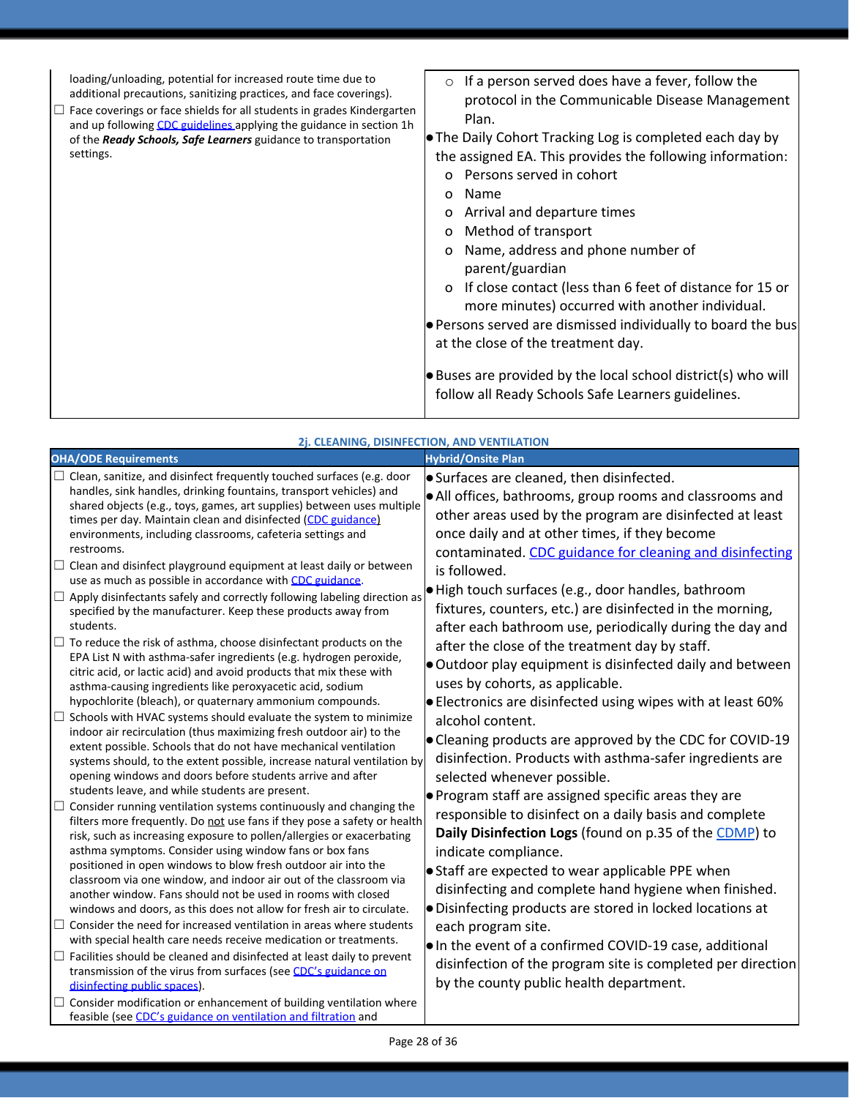loading/unloading, potential for increased route time due to additional precautions, sanitizing practices, and face coverings).

 $\Box$  Face coverings or face shields for all students in grades Kindergarten and up following [CDC guidelines a](https://www.cdc.gov/coronavirus/2019-ncov/prevent-getting-sick/diy-cloth-face-coverings.html)pplying the guidance in section 1h of the *Ready Schools, Safe Learners* guidance to transportation settings.

o If a person served does have a fever, follow the protocol in the Communicable Disease Management Plan.

●The Daily Cohort Tracking Log is completed each day by the assigned EA. This provides the following information:

- o Persons served in cohort
- o Name
- o Arrival and departure times
- o Method of transport
- o Name, address and phone number of parent/guardian
- o If close contact (less than 6 feet of distance for 15 or more minutes) occurred with another individual.

●Persons served are dismissed individually to board the bus at the close of the treatment day.

●Buses are provided by the local school district(s) who will follow all Ready Schools Safe Learners guidelines.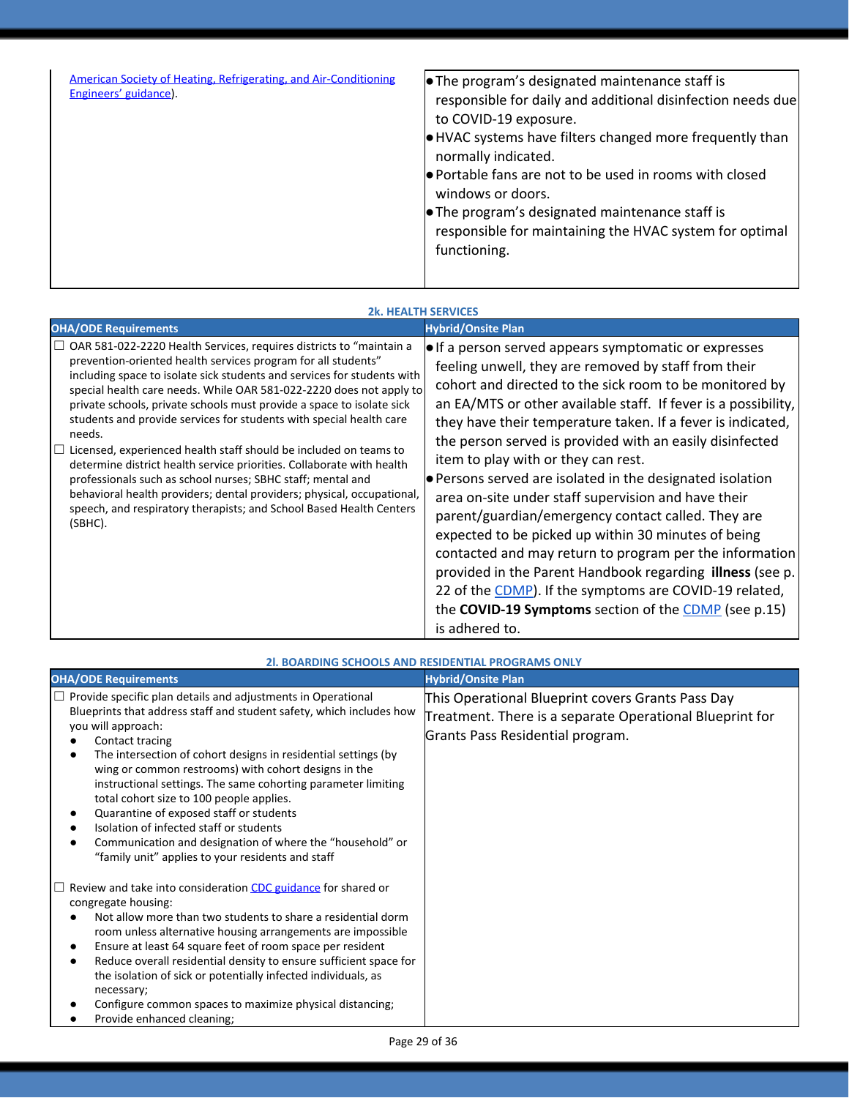| American Society of Heating, Refrigerating, and Air-Conditioning<br>Engineers' guidance). | $\bullet$ The program's designated maintenance staff is<br>responsible for daily and additional disinfection needs due<br>to COVID-19 exposure.<br>$\bullet$ HVAC systems have filters changed more frequently than<br>normally indicated.<br>● Portable fans are not to be used in rooms with closed<br>windows or doors.<br>$\bullet$ The program's designated maintenance staff is<br>responsible for maintaining the HVAC system for optimal<br>functioning. |
|-------------------------------------------------------------------------------------------|------------------------------------------------------------------------------------------------------------------------------------------------------------------------------------------------------------------------------------------------------------------------------------------------------------------------------------------------------------------------------------------------------------------------------------------------------------------|
|                                                                                           |                                                                                                                                                                                                                                                                                                                                                                                                                                                                  |

### **2k. HEALTH SERVICES**

| <b>OHA/ODE Requirements</b>                                                                                                                                                                                                                                                                                                                                                                                                                                                                                                                                                                                                                                                                                                                                                                                                      | <b>Hybrid/Onsite Plan</b>                                                                                                                                                                                                                                                                                                                                                                                                                                                                                                                                                                                                                                                                                                                                                                                                                                                                                                 |
|----------------------------------------------------------------------------------------------------------------------------------------------------------------------------------------------------------------------------------------------------------------------------------------------------------------------------------------------------------------------------------------------------------------------------------------------------------------------------------------------------------------------------------------------------------------------------------------------------------------------------------------------------------------------------------------------------------------------------------------------------------------------------------------------------------------------------------|---------------------------------------------------------------------------------------------------------------------------------------------------------------------------------------------------------------------------------------------------------------------------------------------------------------------------------------------------------------------------------------------------------------------------------------------------------------------------------------------------------------------------------------------------------------------------------------------------------------------------------------------------------------------------------------------------------------------------------------------------------------------------------------------------------------------------------------------------------------------------------------------------------------------------|
| $\Box$ OAR 581-022-2220 Health Services, requires districts to "maintain a<br>prevention-oriented health services program for all students"<br>including space to isolate sick students and services for students with<br>special health care needs. While OAR 581-022-2220 does not apply to<br>private schools, private schools must provide a space to isolate sick<br>students and provide services for students with special health care<br>needs.<br>Licensed, experienced health staff should be included on teams to<br>determine district health service priorities. Collaborate with health<br>professionals such as school nurses; SBHC staff; mental and<br>behavioral health providers; dental providers; physical, occupational,<br>speech, and respiratory therapists; and School Based Health Centers<br>(SBHC). | $\bullet$ If a person served appears symptomatic or expresses<br>feeling unwell, they are removed by staff from their<br>cohort and directed to the sick room to be monitored by<br>an EA/MTS or other available staff. If fever is a possibility,<br>they have their temperature taken. If a fever is indicated,<br>the person served is provided with an easily disinfected<br>item to play with or they can rest.<br>$\bullet$ Persons served are isolated in the designated isolation<br>area on-site under staff supervision and have their<br>parent/guardian/emergency contact called. They are<br>expected to be picked up within 30 minutes of being<br>contacted and may return to program per the information<br>provided in the Parent Handbook regarding illness (see p.<br>22 of the CDMP). If the symptoms are COVID-19 related,<br>the COVID-19 Symptoms section of the CDMP (see p.15)<br>is adhered to. |

|                                                                                                                                                                                                                                                                                                                                                                                                                                                                                                                                                                                                                              | 21. BOARDING SCHOOLS AND RESIDENTIAL PROGRAMS ONLY                                                                                                |
|------------------------------------------------------------------------------------------------------------------------------------------------------------------------------------------------------------------------------------------------------------------------------------------------------------------------------------------------------------------------------------------------------------------------------------------------------------------------------------------------------------------------------------------------------------------------------------------------------------------------------|---------------------------------------------------------------------------------------------------------------------------------------------------|
| <b>OHA/ODE Requirements</b>                                                                                                                                                                                                                                                                                                                                                                                                                                                                                                                                                                                                  | <b>Hybrid/Onsite Plan</b>                                                                                                                         |
| Provide specific plan details and adjustments in Operational<br>Blueprints that address staff and student safety, which includes how<br>you will approach:<br>Contact tracing<br>The intersection of cohort designs in residential settings (by<br>wing or common restrooms) with cohort designs in the<br>instructional settings. The same cohorting parameter limiting<br>total cohort size to 100 people applies.<br>Quarantine of exposed staff or students<br>Isolation of infected staff or students<br>Communication and designation of where the "household" or<br>"family unit" applies to your residents and staff | This Operational Blueprint covers Grants Pass Day<br>Treatment. There is a separate Operational Blueprint for<br>Grants Pass Residential program. |
| Review and take into consideration CDC guidance for shared or<br>congregate housing:<br>Not allow more than two students to share a residential dorm<br>room unless alternative housing arrangements are impossible<br>Ensure at least 64 square feet of room space per resident<br>Reduce overall residential density to ensure sufficient space for<br>the isolation of sick or potentially infected individuals, as<br>necessary;<br>Configure common spaces to maximize physical distancing;<br>Provide enhanced cleaning;                                                                                               |                                                                                                                                                   |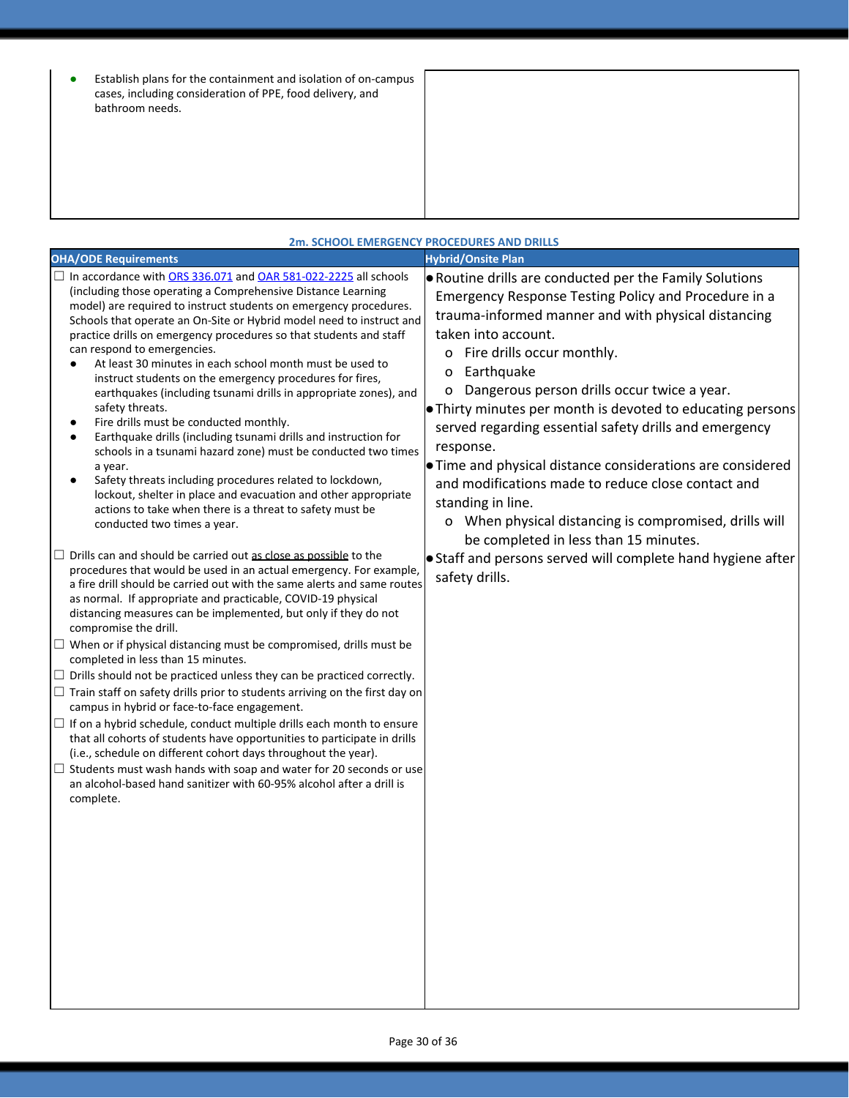| $\bullet$ | Establish plans for the containment and isolation of on-campus |
|-----------|----------------------------------------------------------------|
|           | cases, including consideration of PPE, food delivery, and      |
|           | bathroom needs.                                                |

|                                                                                                                                                                                                                                                                                                                                                                                                                                                                                                                                                                                                                                                                                                                                                                                                                                                                                                                                                                                                                           | 2m. SCHOOL EMERGENCY PROCEDURES AND DRILLS                                                                                                                                                                                                                                                                                                                                                                                                                                                                                                                                                                                                                                            |
|---------------------------------------------------------------------------------------------------------------------------------------------------------------------------------------------------------------------------------------------------------------------------------------------------------------------------------------------------------------------------------------------------------------------------------------------------------------------------------------------------------------------------------------------------------------------------------------------------------------------------------------------------------------------------------------------------------------------------------------------------------------------------------------------------------------------------------------------------------------------------------------------------------------------------------------------------------------------------------------------------------------------------|---------------------------------------------------------------------------------------------------------------------------------------------------------------------------------------------------------------------------------------------------------------------------------------------------------------------------------------------------------------------------------------------------------------------------------------------------------------------------------------------------------------------------------------------------------------------------------------------------------------------------------------------------------------------------------------|
| <b>OHA/ODE Requirements</b>                                                                                                                                                                                                                                                                                                                                                                                                                                                                                                                                                                                                                                                                                                                                                                                                                                                                                                                                                                                               | <b>Hybrid/Onsite Plan</b>                                                                                                                                                                                                                                                                                                                                                                                                                                                                                                                                                                                                                                                             |
| $\Box$ In accordance with ORS 336.071 and OAR 581-022-2225 all schools<br>(including those operating a Comprehensive Distance Learning<br>model) are required to instruct students on emergency procedures.<br>Schools that operate an On-Site or Hybrid model need to instruct and<br>practice drills on emergency procedures so that students and staff<br>can respond to emergencies.<br>At least 30 minutes in each school month must be used to<br>instruct students on the emergency procedures for fires,<br>earthquakes (including tsunami drills in appropriate zones), and<br>safety threats.<br>Fire drills must be conducted monthly.<br>Earthquake drills (including tsunami drills and instruction for<br>schools in a tsunami hazard zone) must be conducted two times<br>a year.<br>Safety threats including procedures related to lockdown,<br>lockout, shelter in place and evacuation and other appropriate<br>actions to take when there is a threat to safety must be<br>conducted two times a year. | . Routine drills are conducted per the Family Solutions<br>Emergency Response Testing Policy and Procedure in a<br>trauma-informed manner and with physical distancing<br>taken into account.<br>o Fire drills occur monthly.<br>Earthquake<br>O<br>Dangerous person drills occur twice a year.<br>o<br>• Thirty minutes per month is devoted to educating persons<br>served regarding essential safety drills and emergency<br>response.<br>• Time and physical distance considerations are considered<br>and modifications made to reduce close contact and<br>standing in line.<br>o When physical distancing is compromised, drills will<br>be completed in less than 15 minutes. |
| $\Box$ Drills can and should be carried out as close as possible to the<br>procedures that would be used in an actual emergency. For example,<br>a fire drill should be carried out with the same alerts and same routes<br>as normal. If appropriate and practicable, COVID-19 physical<br>distancing measures can be implemented, but only if they do not<br>compromise the drill.                                                                                                                                                                                                                                                                                                                                                                                                                                                                                                                                                                                                                                      | • Staff and persons served will complete hand hygiene after<br>safety drills.                                                                                                                                                                                                                                                                                                                                                                                                                                                                                                                                                                                                         |
| $\Box$ When or if physical distancing must be compromised, drills must be<br>completed in less than 15 minutes.                                                                                                                                                                                                                                                                                                                                                                                                                                                                                                                                                                                                                                                                                                                                                                                                                                                                                                           |                                                                                                                                                                                                                                                                                                                                                                                                                                                                                                                                                                                                                                                                                       |
| $\Box$ Drills should not be practiced unless they can be practiced correctly.                                                                                                                                                                                                                                                                                                                                                                                                                                                                                                                                                                                                                                                                                                                                                                                                                                                                                                                                             |                                                                                                                                                                                                                                                                                                                                                                                                                                                                                                                                                                                                                                                                                       |
| $\Box$ Train staff on safety drills prior to students arriving on the first day on<br>campus in hybrid or face-to-face engagement.                                                                                                                                                                                                                                                                                                                                                                                                                                                                                                                                                                                                                                                                                                                                                                                                                                                                                        |                                                                                                                                                                                                                                                                                                                                                                                                                                                                                                                                                                                                                                                                                       |
| $\Box$ If on a hybrid schedule, conduct multiple drills each month to ensure<br>that all cohorts of students have opportunities to participate in drills<br>(i.e., schedule on different cohort days throughout the year).                                                                                                                                                                                                                                                                                                                                                                                                                                                                                                                                                                                                                                                                                                                                                                                                |                                                                                                                                                                                                                                                                                                                                                                                                                                                                                                                                                                                                                                                                                       |
| $\Box$ Students must wash hands with soap and water for 20 seconds or use<br>an alcohol-based hand sanitizer with 60-95% alcohol after a drill is<br>complete.                                                                                                                                                                                                                                                                                                                                                                                                                                                                                                                                                                                                                                                                                                                                                                                                                                                            |                                                                                                                                                                                                                                                                                                                                                                                                                                                                                                                                                                                                                                                                                       |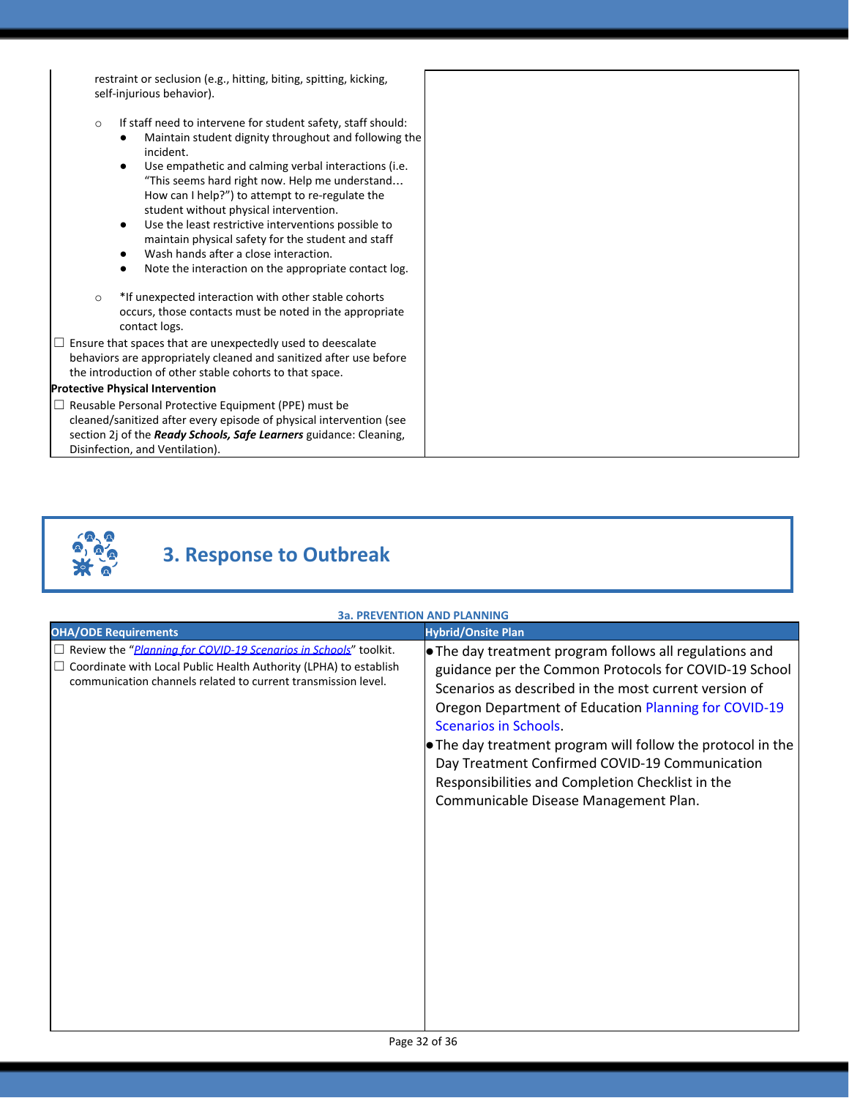restraint or seclusion (e.g., hitting, biting, spitting, kicking, self-injurious behavior).

- o If staff need to intervene for student safety, staff should:
	- Maintain student dignity throughout and following the incident.
	- Use empathetic and calming verbal interactions (i.e. "This seems hard right now. Help me understand… How can I help?") to attempt to re-regulate the student without physical intervention.
	- Use the least restrictive interventions possible to maintain physical safety for the student and staff
	- Wash hands after a close interaction.
	- Note the interaction on the appropriate contact log.
- o \*If unexpected interaction with other stable cohorts occurs, those contacts must be noted in the appropriate contact logs.
- $\Box$  Ensure that spaces that are unexpectedly used to deescalate behaviors are appropriately cleaned and sanitized after use before the introduction of other stable cohorts to that space.

#### **Protective Physical Intervention**

☐ Reusable Personal Protective Equipment (PPE) must be cleaned/sanitized after every episode of physical intervention (see section 2j of the *Ready Schools, Safe Learners* guidance: Cleaning, Disinfection, and Ventilation).



## **3. Response to Outbreak**

### **3a. PREVENTION AND PLANNING**

| <b>OHA/ODE Requirements</b>                                                                                                                                                                                                   | <b>Hybrid/Onsite Plan</b>                                                                                                                                                                                                                                                                                                                                                                                                                                                       |
|-------------------------------------------------------------------------------------------------------------------------------------------------------------------------------------------------------------------------------|---------------------------------------------------------------------------------------------------------------------------------------------------------------------------------------------------------------------------------------------------------------------------------------------------------------------------------------------------------------------------------------------------------------------------------------------------------------------------------|
| $\Box$ Review the " <i>Planning for COVID-19 Scenarios in Schools</i> " toolkit.<br>$\Box$ Coordinate with Local Public Health Authority (LPHA) to establish<br>communication channels related to current transmission level. | . The day treatment program follows all regulations and<br>guidance per the Common Protocols for COVID-19 School<br>Scenarios as described in the most current version of<br>Oregon Department of Education Planning for COVID-19<br><b>Scenarios in Schools.</b><br>• The day treatment program will follow the protocol in the<br>Day Treatment Confirmed COVID-19 Communication<br>Responsibilities and Completion Checklist in the<br>Communicable Disease Management Plan. |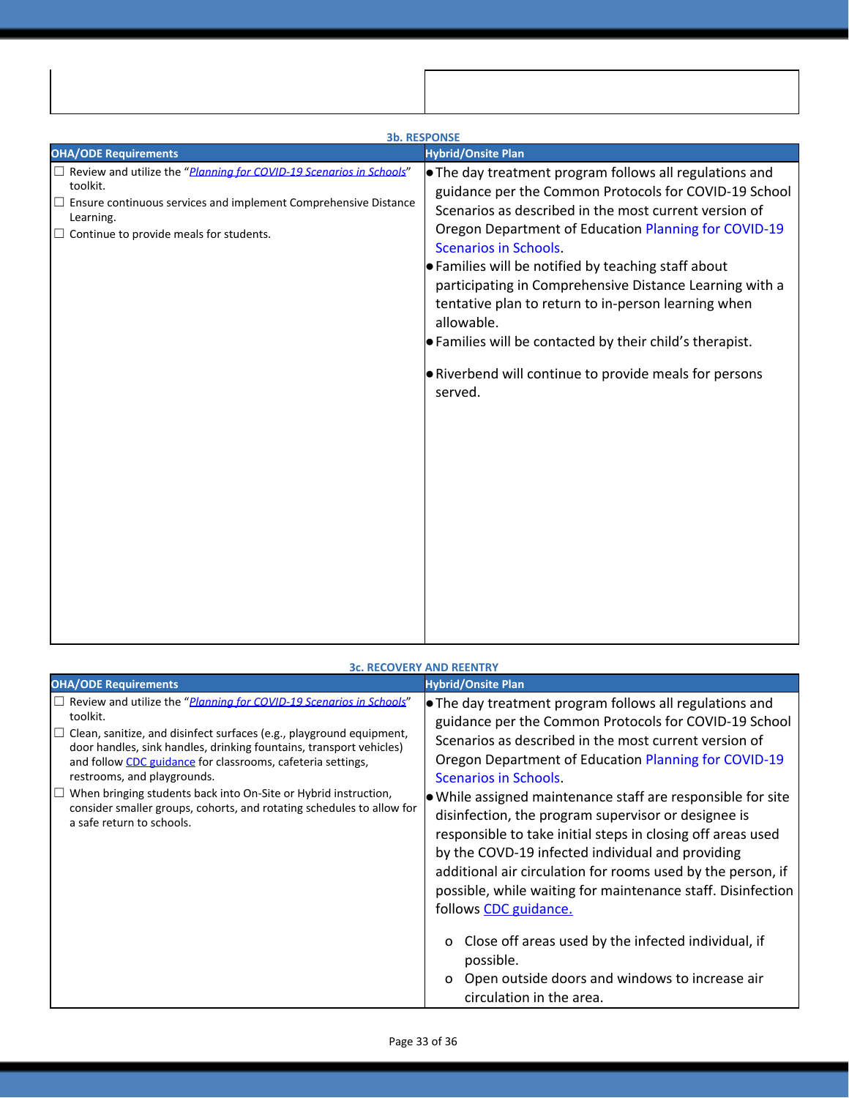| <b>3b. RESPONSE</b>                                                                                                                                                                                                               |                                                                                                                                                                                                                                                                                                                                                                                                                                                                                                                                                                                                                |  |
|-----------------------------------------------------------------------------------------------------------------------------------------------------------------------------------------------------------------------------------|----------------------------------------------------------------------------------------------------------------------------------------------------------------------------------------------------------------------------------------------------------------------------------------------------------------------------------------------------------------------------------------------------------------------------------------------------------------------------------------------------------------------------------------------------------------------------------------------------------------|--|
| <b>OHA/ODE Requirements</b>                                                                                                                                                                                                       | <b>Hybrid/Onsite Plan</b>                                                                                                                                                                                                                                                                                                                                                                                                                                                                                                                                                                                      |  |
| $\Box$ Review and utilize the " <i>Planning for COVID-19 Scenarios in Schools</i> "<br>toolkit.<br>Ensure continuous services and implement Comprehensive Distance<br>Learning.<br>$\Box$ Continue to provide meals for students. | The day treatment program follows all regulations and<br>guidance per the Common Protocols for COVID-19 School<br>Scenarios as described in the most current version of<br>Oregon Department of Education Planning for COVID-19<br><b>Scenarios in Schools.</b><br>$\bullet$ Families will be notified by teaching staff about<br>participating in Comprehensive Distance Learning with a<br>tentative plan to return to in-person learning when<br>allowable.<br>$\bullet$ Families will be contacted by their child's therapist.<br><b>.</b> Riverbend will continue to provide meals for persons<br>served. |  |

| <b>3c. RECOVERY AND REENTRY</b>                                                                                                                                                                                                                                                                                                                                                                                                                                                                                                        |                                                                                                                                                                                                                                                                                                                                                                                                                                                                                                                                                                                                                                                                                                                                                                                                                                          |  |
|----------------------------------------------------------------------------------------------------------------------------------------------------------------------------------------------------------------------------------------------------------------------------------------------------------------------------------------------------------------------------------------------------------------------------------------------------------------------------------------------------------------------------------------|------------------------------------------------------------------------------------------------------------------------------------------------------------------------------------------------------------------------------------------------------------------------------------------------------------------------------------------------------------------------------------------------------------------------------------------------------------------------------------------------------------------------------------------------------------------------------------------------------------------------------------------------------------------------------------------------------------------------------------------------------------------------------------------------------------------------------------------|--|
| <b>OHA/ODE Requirements</b>                                                                                                                                                                                                                                                                                                                                                                                                                                                                                                            | <b>Hybrid/Onsite Plan</b>                                                                                                                                                                                                                                                                                                                                                                                                                                                                                                                                                                                                                                                                                                                                                                                                                |  |
| $\Box$ Review and utilize the " <i>Planning for COVID-19 Scenarios in Schools</i> "<br>toolkit.<br>$\Box$ Clean, sanitize, and disinfect surfaces (e.g., playground equipment,<br>door handles, sink handles, drinking fountains, transport vehicles)<br>and follow CDC guidance for classrooms, cafeteria settings,<br>restrooms, and playgrounds.<br>When bringing students back into On-Site or Hybrid instruction,<br>$\Box$<br>consider smaller groups, cohorts, and rotating schedules to allow for<br>a safe return to schools. | $\bullet$ The day treatment program follows all regulations and<br>guidance per the Common Protocols for COVID-19 School<br>Scenarios as described in the most current version of<br>Oregon Department of Education Planning for COVID-19<br>Scenarios in Schools.<br>$\bullet$ While assigned maintenance staff are responsible for site<br>disinfection, the program supervisor or designee is<br>responsible to take initial steps in closing off areas used<br>by the COVD-19 infected individual and providing<br>additional air circulation for rooms used by the person, if<br>possible, while waiting for maintenance staff. Disinfection<br>follows CDC guidance.<br>Close off areas used by the infected individual, if<br>$\Omega$<br>possible.<br>Open outside doors and windows to increase air<br>circulation in the area. |  |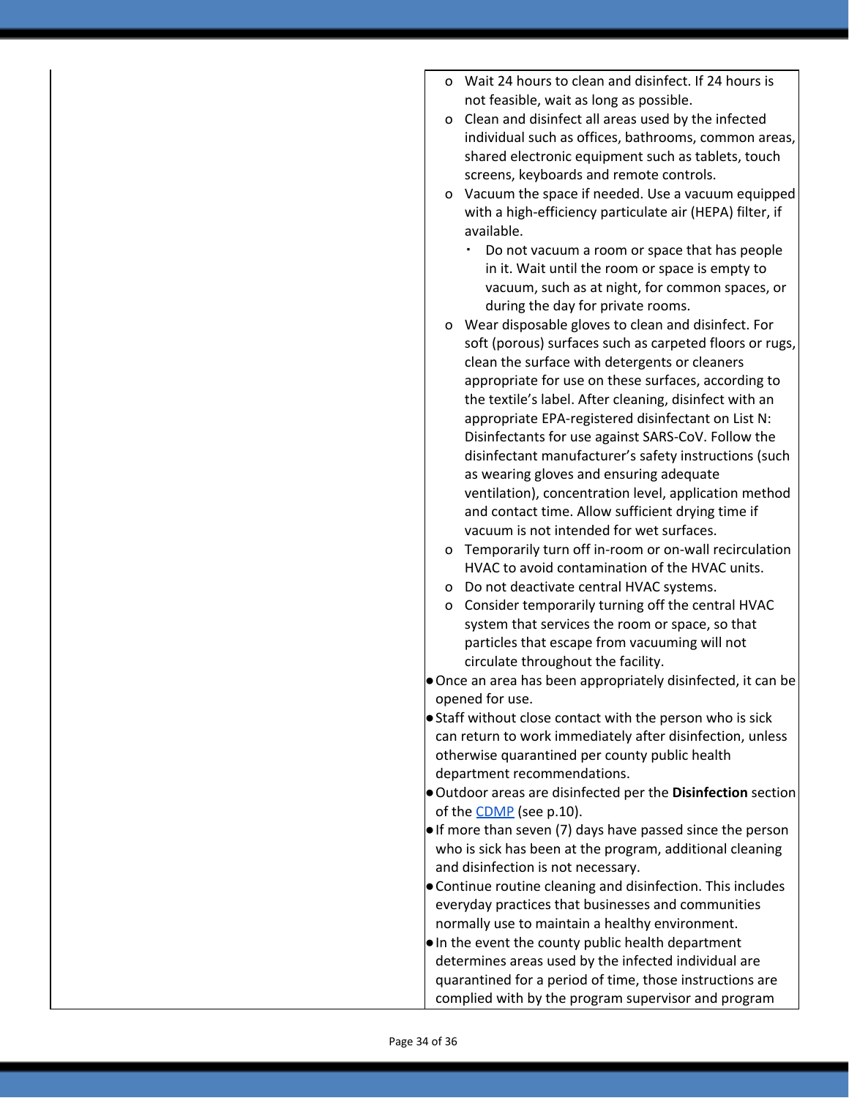- o Wait 24 hours to clean and disinfect. If 24 hours is not feasible, wait as long as possible.
- o Clean and disinfect all areas used by the infected individual such as offices, bathrooms, common areas, shared electronic equipment such as tablets, touch screens, keyboards and remote controls.
- o [Vacuum](https://www.cdc.gov/coronavirus/2019-ncov/faq.html#Cleaning-and-Disinfection) the space if needed. Use a vacuum equipped with a high-efficiency particulate air (HEPA) filter, if available.
	- Do not vacuum a room or space that has people in it. Wait until the room or space is empty to vacuum, such as at night, for common spaces, or during the day for private rooms.
- o Wear disposable gloves to clean and disinfect. For soft (porous) surfaces such as carpeted floors or rugs, clean the surface with detergents or cleaners appropriate for use on these surfaces, according to the textile's label. After cleaning, disinfect with an appropriate EPA-registered disinfectant on List N: Disinfectants for use against SARS-CoV. Follow the disinfectant manufacturer's safety instructions (such as wearing gloves and ensuring adequate ventilation), concentration level, application method and contact time. Allow sufficient drying time if vacuum is not intended for wet surfaces.
- o Temporarily turn off in-room or on-wall recirculation HVAC to avoid contamination of the HVAC units.
- o Do not deactivate central HVAC systems.
- o Consider temporarily turning off the central HVAC system that services the room or space, so that particles that escape from vacuuming will not circulate throughout the facility.
- ●Once an area has been appropriately disinfected, it can be opened for use.
- Staff without close contact with the person who is sick can return to work immediately after disinfection, unless otherwise quarantined per county public health department recommendations.
- ●Outdoor areas are disinfected per the **Disinfection** section of the [CDMP](https://familysolutionsoregon.org/wp-content/uploads/2020/09/Family-Solutions-CDMP-DTX.pdf) (see p.10).
- ●If more than seven (7) days have passed since the person who is sick has been at the program, additional cleaning and disinfection is not necessary.
- ●Continue routine cleaning and disinfection. This includes everyday practices that businesses and communities normally use to maintain a healthy environment.
- ●In the event the county public health department determines areas used by the infected individual are quarantined for a period of time, those instructions are complied with by the program supervisor and program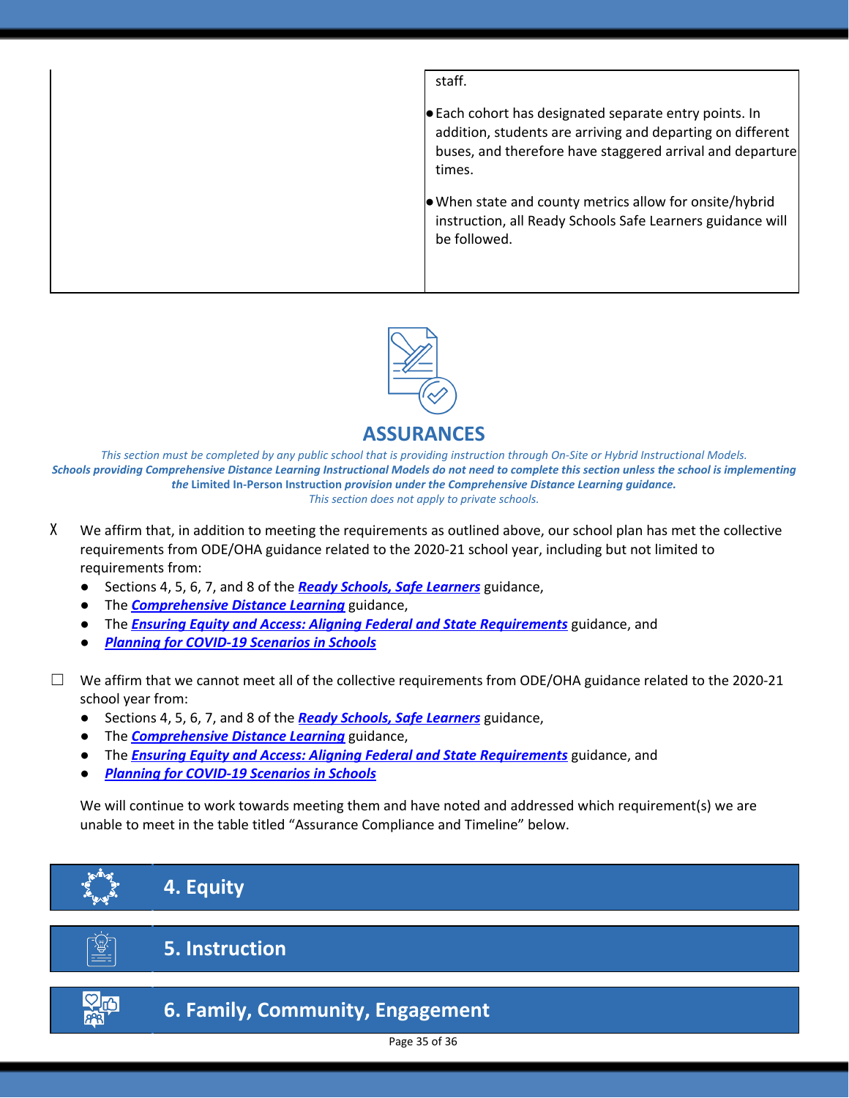| staff.                                                                                                                                                                                    |
|-------------------------------------------------------------------------------------------------------------------------------------------------------------------------------------------|
| Each cohort has designated separate entry points. In<br>addition, students are arriving and departing on different<br>buses, and therefore have staggered arrival and departure<br>times. |
| $\bullet$ When state and county metrics allow for onsite/hybrid<br>instruction, all Ready Schools Safe Learners guidance will<br>be followed.                                             |



### **ASSURANCES**

*This section must be completed by any public school that is providing instruction through On-Site or Hybrid Instructional Models. Schools providing Comprehensive Distance Learning Instructional Models do not need to complete this section unless the school is implementing the* **Limited In-Person Instruction** *provision under the Comprehensive Distance Learning guidance. This section does not apply to private schools.*

- X We affirm that, in addition to meeting the requirements as outlined above, our school plan has met the collective requirements from ODE/OHA guidance related to the 2020-21 school year, including but not limited to requirements from:
	- Sections 4, 5, 6, 7, and 8 of the *Ready Schools, Safe [Learners](https://www.oregon.gov/ode/students-and-family/healthsafety/Documents/Ready%20Schools%20Safe%20Learners%202020-21%20Guidance.pdf)* guidance,
	- The *[Comprehensive](https://www.oregon.gov/ode/educator-resources/standards/Pages/Comprehensive-Distance-Learning.aspx) Distance Learning* guidance,
	- The *Ensuring Equity and Access: Aligning Federal and State [Requirements](https://www.oregon.gov/ode/students-and-family/healthsafety/Documents/Ensuring%20Equity%20and%20Access%20Aligning%20State%20and%20Federal%20Requirements.pdf)* guidance, and
	- *Planning for [COVID-19](https://www.oregon.gov/ode/students-and-family/healthsafety/Documents/Planning%20and%20Responding%20to%20COVID-19%20Scenarios%20in%20Schools.pdf) Scenarios in Schools*

 $\Box$  We affirm that we cannot meet all of the collective requirements from ODE/OHA guidance related to the 2020-21 school year from:

- Sections 4, 5, 6, 7, and 8 of the *Ready Schools, Safe [Learners](https://www.oregon.gov/ode/students-and-family/healthsafety/Documents/Ready%20Schools%20Safe%20Learners%202020-21%20Guidance.pdf)* guidance,
- The *[Comprehensive](https://www.oregon.gov/ode/educator-resources/standards/Pages/Comprehensive-Distance-Learning.aspx) Distance Learning* guidance,
- The *Ensuring Equity and Access: Aligning Federal and State [Requirements](https://www.oregon.gov/ode/students-and-family/healthsafety/Documents/Ensuring%20Equity%20and%20Access%20Aligning%20State%20and%20Federal%20Requirements.pdf)* guidance, and
- *Planning for [COVID-19](https://www.oregon.gov/ode/students-and-family/healthsafety/Documents/Planning%20and%20Responding%20to%20COVID-19%20Scenarios%20in%20Schools%20August%202020.pdf) Scenarios in Schools*

We will continue to work towards meeting them and have noted and addressed which requirement(s) we are unable to meet in the table titled "Assurance Compliance and Timeline" below.





## **5. Instruction**

## **6. Family, Community, Engagement**

Page 35 of 36